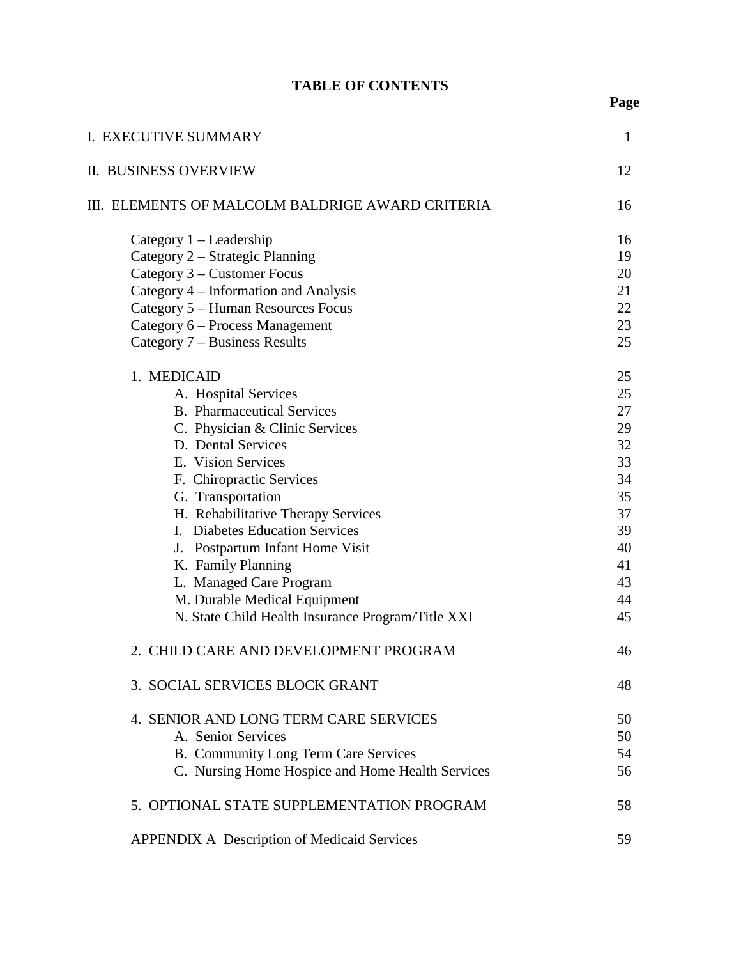## **TABLE OF CONTENTS**

| I. EXECUTIVE SUMMARY                                                                        | $\mathbf{1}$   |
|---------------------------------------------------------------------------------------------|----------------|
| II. BUSINESS OVERVIEW                                                                       | 12             |
| III. ELEMENTS OF MALCOLM BALDRIGE AWARD CRITERIA                                            | 16             |
| Category $1 -$ Leadership<br>Category 2 – Strategic Planning<br>Category 3 – Customer Focus | 16<br>19<br>20 |
| Category 4 – Information and Analysis                                                       | 21             |
| Category 5 – Human Resources Focus                                                          | 22             |
| Category 6 – Process Management                                                             | 23             |
| Category 7 – Business Results                                                               | 25             |
| 1. MEDICAID                                                                                 | 25             |
| A. Hospital Services                                                                        | 25             |
| <b>B.</b> Pharmaceutical Services                                                           | 27             |
| C. Physician & Clinic Services                                                              | 29             |
| D. Dental Services                                                                          | 32             |
| E. Vision Services                                                                          | 33             |
| F. Chiropractic Services                                                                    | 34             |
| G. Transportation                                                                           | 35             |
| H. Rehabilitative Therapy Services                                                          | 37             |
| I. Diabetes Education Services                                                              | 39             |
| J. Postpartum Infant Home Visit                                                             | 40             |
| K. Family Planning                                                                          | 41             |
| L. Managed Care Program                                                                     | 43             |
| M. Durable Medical Equipment                                                                | 44             |
| N. State Child Health Insurance Program/Title XXI                                           | 45             |
| 2. CHILD CARE AND DEVELOPMENT PROGRAM                                                       | 46             |
| 3. SOCIAL SERVICES BLOCK GRANT                                                              | 48             |
| 4. SENIOR AND LONG TERM CARE SERVICES                                                       | 50             |
| A. Senior Services                                                                          | 50             |
| B. Community Long Term Care Services                                                        | 54             |
| C. Nursing Home Hospice and Home Health Services                                            | 56             |
| 5. OPTIONAL STATE SUPPLEMENTATION PROGRAM                                                   | 58             |
| <b>APPENDIX A Description of Medicaid Services</b>                                          | 59             |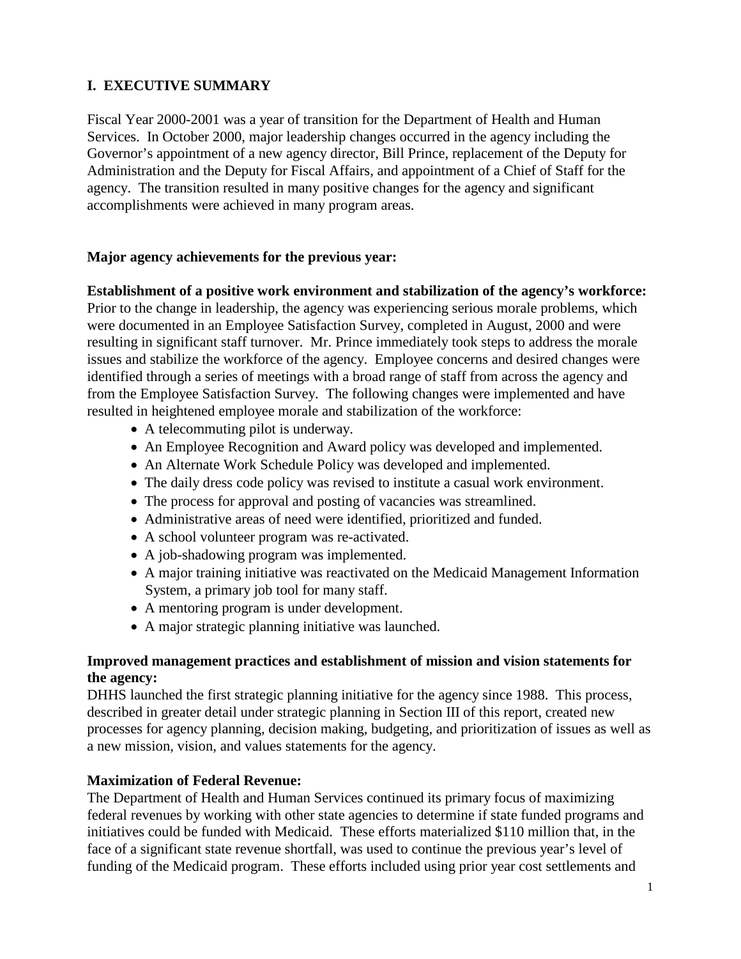## **I. EXECUTIVE SUMMARY**

Fiscal Year 2000-2001 was a year of transition for the Department of Health and Human Services. In October 2000, major leadership changes occurred in the agency including the Governor's appointment of a new agency director, Bill Prince, replacement of the Deputy for Administration and the Deputy for Fiscal Affairs, and appointment of a Chief of Staff for the agency. The transition resulted in many positive changes for the agency and significant accomplishments were achieved in many program areas.

## **Major agency achievements for the previous year:**

**Establishment of a positive work environment and stabilization of the agency's workforce:** Prior to the change in leadership, the agency was experiencing serious morale problems, which were documented in an Employee Satisfaction Survey, completed in August, 2000 and were resulting in significant staff turnover. Mr. Prince immediately took steps to address the morale issues and stabilize the workforce of the agency. Employee concerns and desired changes were identified through a series of meetings with a broad range of staff from across the agency and from the Employee Satisfaction Survey. The following changes were implemented and have resulted in heightened employee morale and stabilization of the workforce:

- A telecommuting pilot is underway.
- An Employee Recognition and Award policy was developed and implemented.
- An Alternate Work Schedule Policy was developed and implemented.
- The daily dress code policy was revised to institute a casual work environment.
- The process for approval and posting of vacancies was streamlined.
- Administrative areas of need were identified, prioritized and funded.
- A school volunteer program was re-activated.
- A job-shadowing program was implemented.
- A major training initiative was reactivated on the Medicaid Management Information System, a primary job tool for many staff.
- A mentoring program is under development.
- A major strategic planning initiative was launched.

## **Improved management practices and establishment of mission and vision statements for the agency:**

DHHS launched the first strategic planning initiative for the agency since 1988. This process, described in greater detail under strategic planning in Section III of this report, created new processes for agency planning, decision making, budgeting, and prioritization of issues as well as a new mission, vision, and values statements for the agency.

## **Maximization of Federal Revenue:**

The Department of Health and Human Services continued its primary focus of maximizing federal revenues by working with other state agencies to determine if state funded programs and initiatives could be funded with Medicaid. These efforts materialized \$110 million that, in the face of a significant state revenue shortfall, was used to continue the previous year's level of funding of the Medicaid program. These efforts included using prior year cost settlements and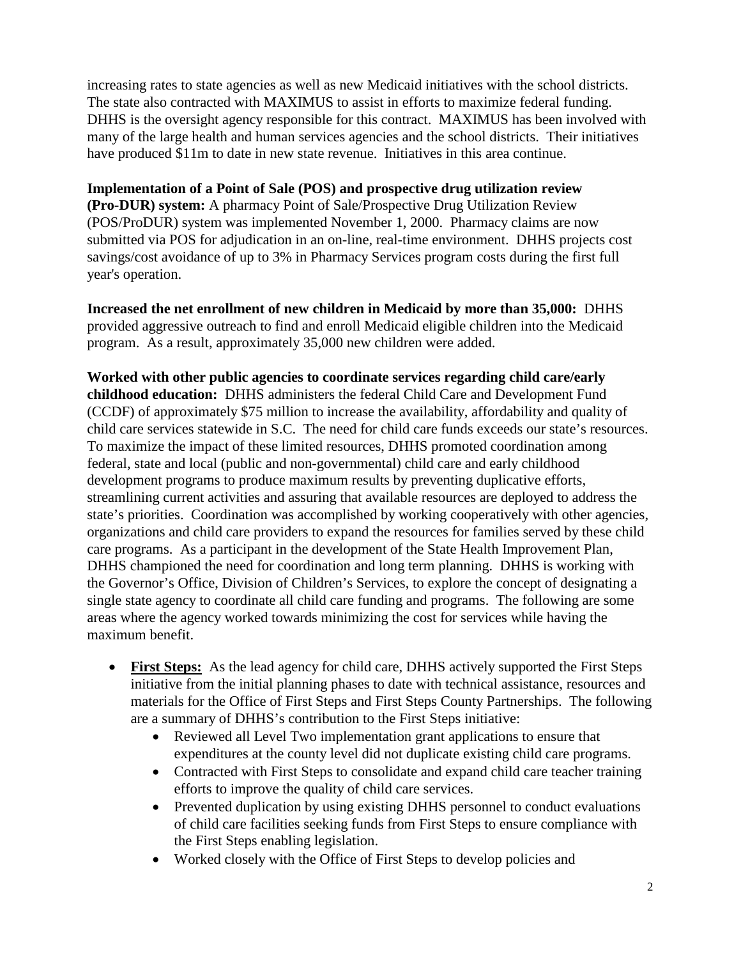increasing rates to state agencies as well as new Medicaid initiatives with the school districts. The state also contracted with MAXIMUS to assist in efforts to maximize federal funding. DHHS is the oversight agency responsible for this contract. MAXIMUS has been involved with many of the large health and human services agencies and the school districts. Their initiatives have produced \$11m to date in new state revenue. Initiatives in this area continue.

**Implementation of a Point of Sale (POS) and prospective drug utilization review (Pro-DUR) system:** A pharmacy Point of Sale/Prospective Drug Utilization Review (POS/ProDUR) system was implemented November 1, 2000. Pharmacy claims are now submitted via POS for adjudication in an on-line, real-time environment. DHHS projects cost savings/cost avoidance of up to 3% in Pharmacy Services program costs during the first full year's operation.

**Increased the net enrollment of new children in Medicaid by more than 35,000:** DHHS provided aggressive outreach to find and enroll Medicaid eligible children into the Medicaid program. As a result, approximately 35,000 new children were added.

**Worked with other public agencies to coordinate services regarding child care/early childhood education:** DHHS administers the federal Child Care and Development Fund (CCDF) of approximately \$75 million to increase the availability, affordability and quality of child care services statewide in S.C. The need for child care funds exceeds our state's resources. To maximize the impact of these limited resources, DHHS promoted coordination among federal, state and local (public and non-governmental) child care and early childhood development programs to produce maximum results by preventing duplicative efforts, streamlining current activities and assuring that available resources are deployed to address the state's priorities. Coordination was accomplished by working cooperatively with other agencies, organizations and child care providers to expand the resources for families served by these child care programs. As a participant in the development of the State Health Improvement Plan, DHHS championed the need for coordination and long term planning. DHHS is working with the Governor's Office, Division of Children's Services, to explore the concept of designating a single state agency to coordinate all child care funding and programs. The following are some areas where the agency worked towards minimizing the cost for services while having the maximum benefit.

- **First Steps:** As the lead agency for child care, DHHS actively supported the First Steps initiative from the initial planning phases to date with technical assistance, resources and materials for the Office of First Steps and First Steps County Partnerships. The following are a summary of DHHS's contribution to the First Steps initiative:
	- Reviewed all Level Two implementation grant applications to ensure that expenditures at the county level did not duplicate existing child care programs.
	- Contracted with First Steps to consolidate and expand child care teacher training efforts to improve the quality of child care services.
	- Prevented duplication by using existing DHHS personnel to conduct evaluations of child care facilities seeking funds from First Steps to ensure compliance with the First Steps enabling legislation.
	- Worked closely with the Office of First Steps to develop policies and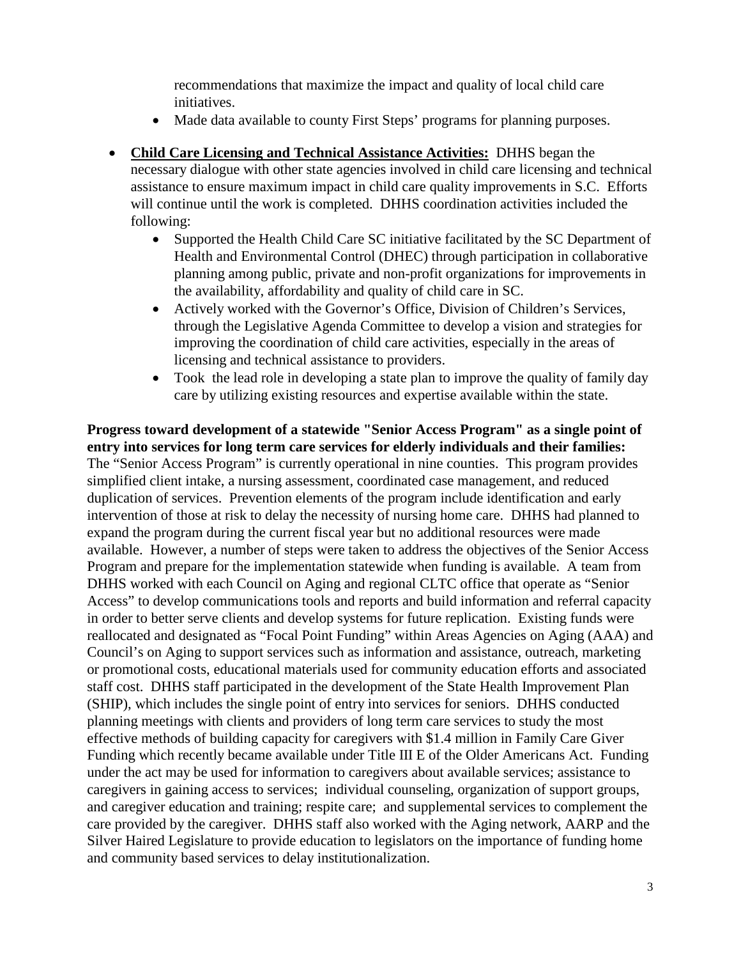recommendations that maximize the impact and quality of local child care initiatives.

- Made data available to county First Steps' programs for planning purposes.
- **Child Care Licensing and Technical Assistance Activities:** DHHS began the necessary dialogue with other state agencies involved in child care licensing and technical assistance to ensure maximum impact in child care quality improvements in S.C. Efforts will continue until the work is completed. DHHS coordination activities included the following:
	- Supported the Health Child Care SC initiative facilitated by the SC Department of Health and Environmental Control (DHEC) through participation in collaborative planning among public, private and non-profit organizations for improvements in the availability, affordability and quality of child care in SC.
	- Actively worked with the Governor's Office, Division of Children's Services, through the Legislative Agenda Committee to develop a vision and strategies for improving the coordination of child care activities, especially in the areas of licensing and technical assistance to providers.
	- Took the lead role in developing a state plan to improve the quality of family day care by utilizing existing resources and expertise available within the state.

**Progress toward development of a statewide "Senior Access Program" as a single point of entry into services for long term care services for elderly individuals and their families:** The "Senior Access Program" is currently operational in nine counties. This program provides simplified client intake, a nursing assessment, coordinated case management, and reduced duplication of services. Prevention elements of the program include identification and early intervention of those at risk to delay the necessity of nursing home care. DHHS had planned to expand the program during the current fiscal year but no additional resources were made available. However, a number of steps were taken to address the objectives of the Senior Access Program and prepare for the implementation statewide when funding is available. A team from DHHS worked with each Council on Aging and regional CLTC office that operate as "Senior Access" to develop communications tools and reports and build information and referral capacity in order to better serve clients and develop systems for future replication. Existing funds were reallocated and designated as "Focal Point Funding" within Areas Agencies on Aging (AAA) and Council's on Aging to support services such as information and assistance, outreach, marketing or promotional costs, educational materials used for community education efforts and associated staff cost. DHHS staff participated in the development of the State Health Improvement Plan (SHIP), which includes the single point of entry into services for seniors. DHHS conducted planning meetings with clients and providers of long term care services to study the most effective methods of building capacity for caregivers with \$1.4 million in Family Care Giver Funding which recently became available under Title III E of the Older Americans Act. Funding under the act may be used for information to caregivers about available services; assistance to caregivers in gaining access to services; individual counseling, organization of support groups, and caregiver education and training; respite care; and supplemental services to complement the care provided by the caregiver. DHHS staff also worked with the Aging network, AARP and the Silver Haired Legislature to provide education to legislators on the importance of funding home and community based services to delay institutionalization.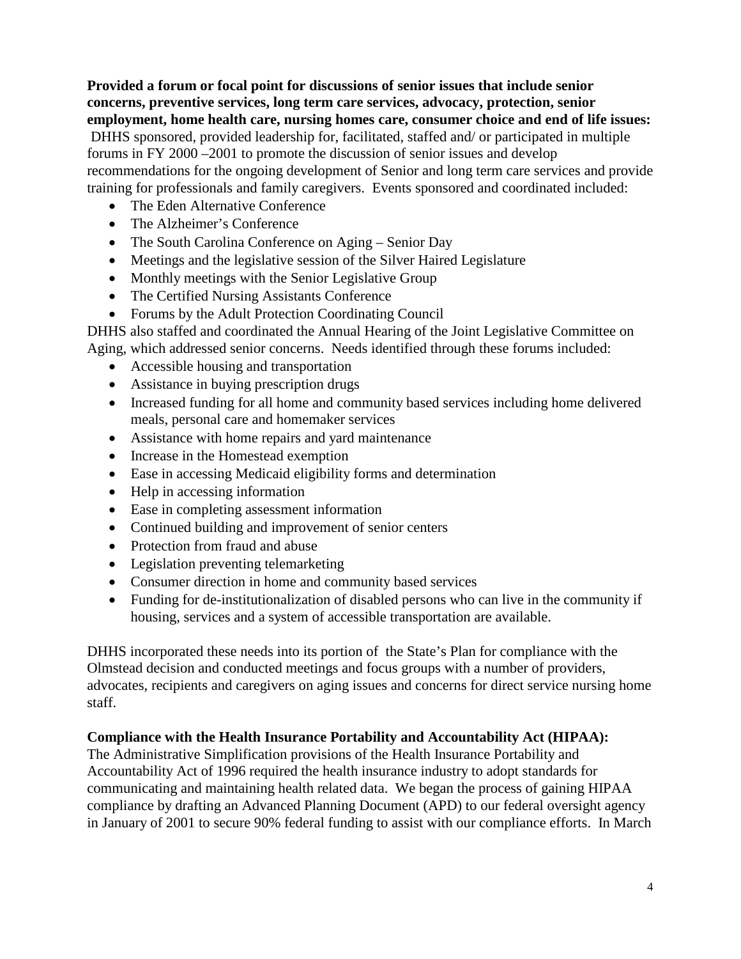**Provided a forum or focal point for discussions of senior issues that include senior concerns, preventive services, long term care services, advocacy, protection, senior employment, home health care, nursing homes care, consumer choice and end of life issues:**  DHHS sponsored, provided leadership for, facilitated, staffed and/ or participated in multiple forums in FY 2000 –2001 to promote the discussion of senior issues and develop recommendations for the ongoing development of Senior and long term care services and provide training for professionals and family caregivers. Events sponsored and coordinated included:

- The Eden Alternative Conference
- The Alzheimer's Conference
- The South Carolina Conference on Aging Senior Day
- Meetings and the legislative session of the Silver Haired Legislature
- Monthly meetings with the Senior Legislative Group
- The Certified Nursing Assistants Conference
- Forums by the Adult Protection Coordinating Council

DHHS also staffed and coordinated the Annual Hearing of the Joint Legislative Committee on Aging, which addressed senior concerns. Needs identified through these forums included:

- Accessible housing and transportation
- Assistance in buying prescription drugs
- Increased funding for all home and community based services including home delivered meals, personal care and homemaker services
- Assistance with home repairs and yard maintenance
- Increase in the Homestead exemption
- Ease in accessing Medicaid eligibility forms and determination
- Help in accessing information
- Ease in completing assessment information
- Continued building and improvement of senior centers
- Protection from fraud and abuse
- Legislation preventing telemarketing
- Consumer direction in home and community based services
- Funding for de-institutionalization of disabled persons who can live in the community if housing, services and a system of accessible transportation are available.

DHHS incorporated these needs into its portion of the State's Plan for compliance with the Olmstead decision and conducted meetings and focus groups with a number of providers, advocates, recipients and caregivers on aging issues and concerns for direct service nursing home staff.

## **Compliance with the Health Insurance Portability and Accountability Act (HIPAA):**

The Administrative Simplification provisions of the Health Insurance Portability and Accountability Act of 1996 required the health insurance industry to adopt standards for communicating and maintaining health related data. We began the process of gaining HIPAA compliance by drafting an Advanced Planning Document (APD) to our federal oversight agency in January of 2001 to secure 90% federal funding to assist with our compliance efforts. In March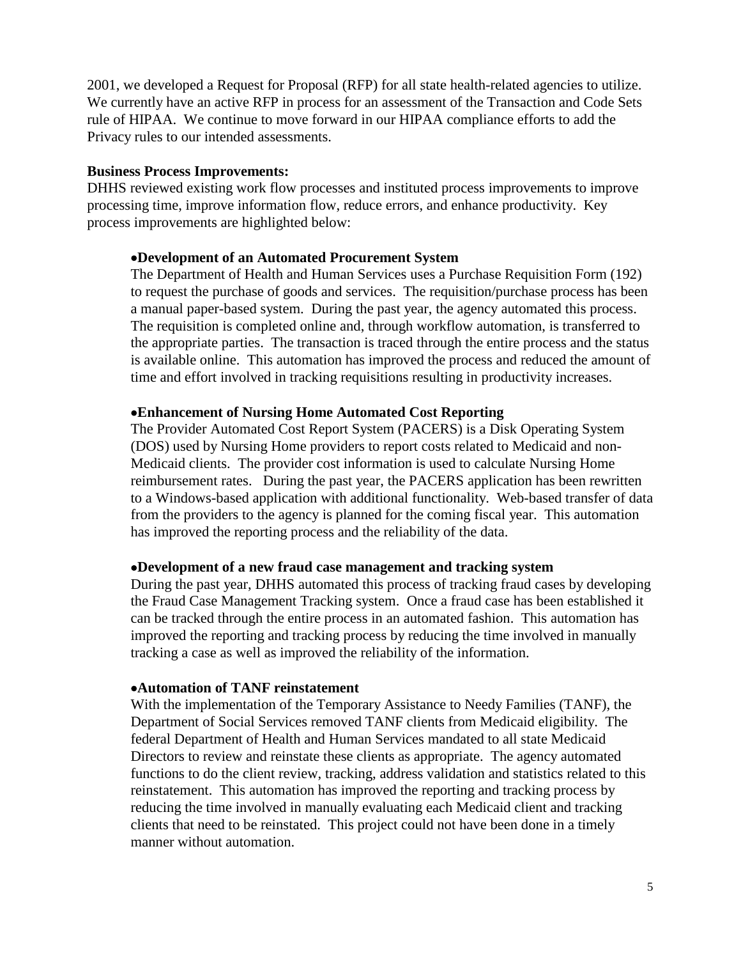2001, we developed a Request for Proposal (RFP) for all state health-related agencies to utilize. We currently have an active RFP in process for an assessment of the Transaction and Code Sets rule of HIPAA. We continue to move forward in our HIPAA compliance efforts to add the Privacy rules to our intended assessments.

#### **Business Process Improvements:**

DHHS reviewed existing work flow processes and instituted process improvements to improve processing time, improve information flow, reduce errors, and enhance productivity. Key process improvements are highlighted below:

#### •**Development of an Automated Procurement System**

The Department of Health and Human Services uses a Purchase Requisition Form (192) to request the purchase of goods and services. The requisition/purchase process has been a manual paper-based system. During the past year, the agency automated this process. The requisition is completed online and, through workflow automation, is transferred to the appropriate parties. The transaction is traced through the entire process and the status is available online. This automation has improved the process and reduced the amount of time and effort involved in tracking requisitions resulting in productivity increases.

#### •**Enhancement of Nursing Home Automated Cost Reporting**

The Provider Automated Cost Report System (PACERS) is a Disk Operating System (DOS) used by Nursing Home providers to report costs related to Medicaid and non-Medicaid clients. The provider cost information is used to calculate Nursing Home reimbursement rates. During the past year, the PACERS application has been rewritten to a Windows-based application with additional functionality. Web-based transfer of data from the providers to the agency is planned for the coming fiscal year. This automation has improved the reporting process and the reliability of the data.

#### •**Development of a new fraud case management and tracking system**

During the past year, DHHS automated this process of tracking fraud cases by developing the Fraud Case Management Tracking system. Once a fraud case has been established it can be tracked through the entire process in an automated fashion. This automation has improved the reporting and tracking process by reducing the time involved in manually tracking a case as well as improved the reliability of the information.

#### •**Automation of TANF reinstatement**

With the implementation of the Temporary Assistance to Needy Families (TANF), the Department of Social Services removed TANF clients from Medicaid eligibility. The federal Department of Health and Human Services mandated to all state Medicaid Directors to review and reinstate these clients as appropriate. The agency automated functions to do the client review, tracking, address validation and statistics related to this reinstatement. This automation has improved the reporting and tracking process by reducing the time involved in manually evaluating each Medicaid client and tracking clients that need to be reinstated. This project could not have been done in a timely manner without automation.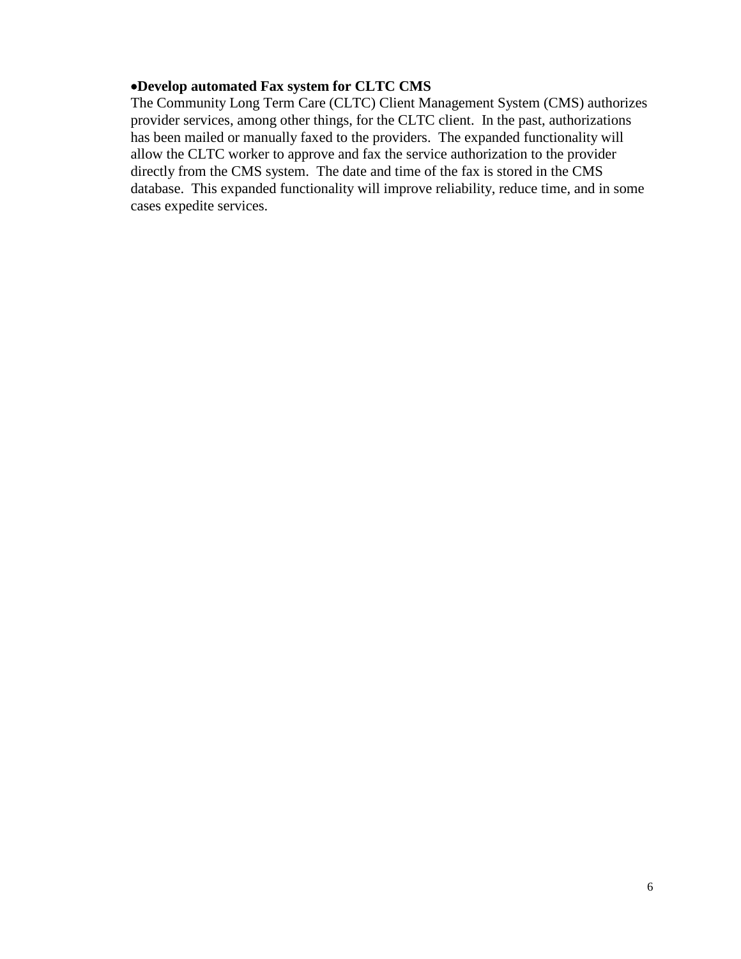#### •**Develop automated Fax system for CLTC CMS**

The Community Long Term Care (CLTC) Client Management System (CMS) authorizes provider services, among other things, for the CLTC client. In the past, authorizations has been mailed or manually faxed to the providers. The expanded functionality will allow the CLTC worker to approve and fax the service authorization to the provider directly from the CMS system. The date and time of the fax is stored in the CMS database. This expanded functionality will improve reliability, reduce time, and in some cases expedite services.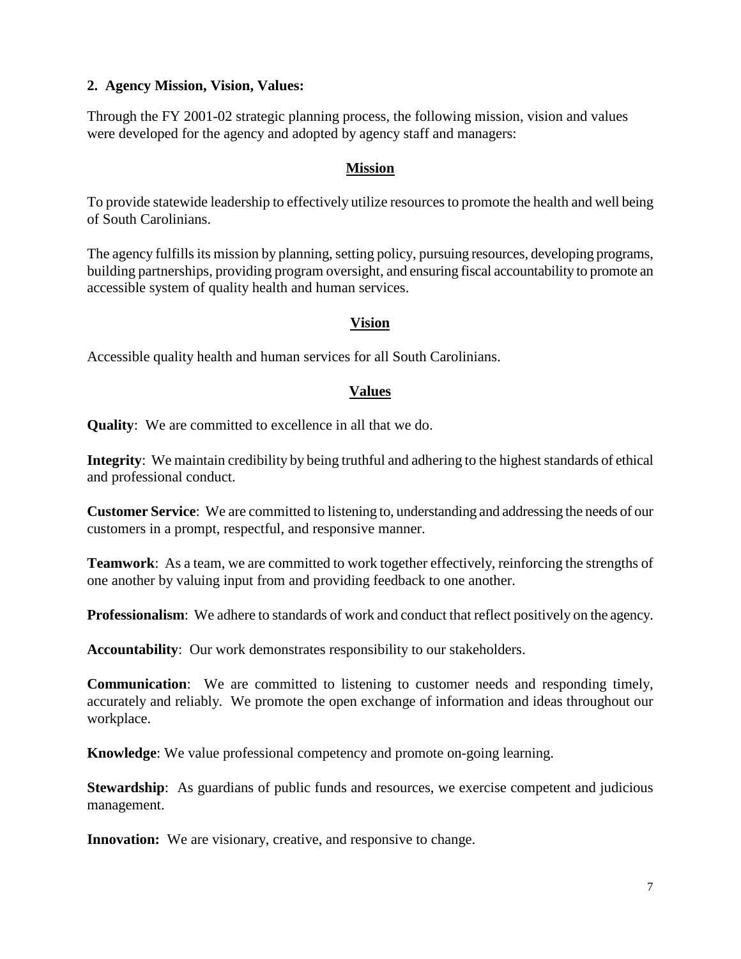#### **2. Agency Mission, Vision, Values:**

Through the FY 2001-02 strategic planning process, the following mission, vision and values were developed for the agency and adopted by agency staff and managers:

#### **Mission**

To provide statewide leadership to effectively utilize resources to promote the health and well being of South Carolinians.

The agency fulfills its mission by planning, setting policy, pursuing resources, developing programs, building partnerships, providing program oversight, and ensuring fiscal accountability to promote an accessible system of quality health and human services.

#### **Vision**

Accessible quality health and human services for all South Carolinians.

#### **Values**

**Quality**: We are committed to excellence in all that we do.

**Integrity**: We maintain credibility by being truthful and adhering to the highest standards of ethical and professional conduct.

**Customer Service**: We are committed to listening to, understanding and addressing the needs of our customers in a prompt, respectful, and responsive manner.

**Teamwork**: As a team, we are committed to work together effectively, reinforcing the strengths of one another by valuing input from and providing feedback to one another.

**Professionalism:** We adhere to standards of work and conduct that reflect positively on the agency.

**Accountability**: Our work demonstrates responsibility to our stakeholders.

**Communication**: We are committed to listening to customer needs and responding timely, accurately and reliably. We promote the open exchange of information and ideas throughout our workplace.

**Knowledge**: We value professional competency and promote on-going learning.

**Stewardship**: As guardians of public funds and resources, we exercise competent and judicious management.

**Innovation:** We are visionary, creative, and responsive to change.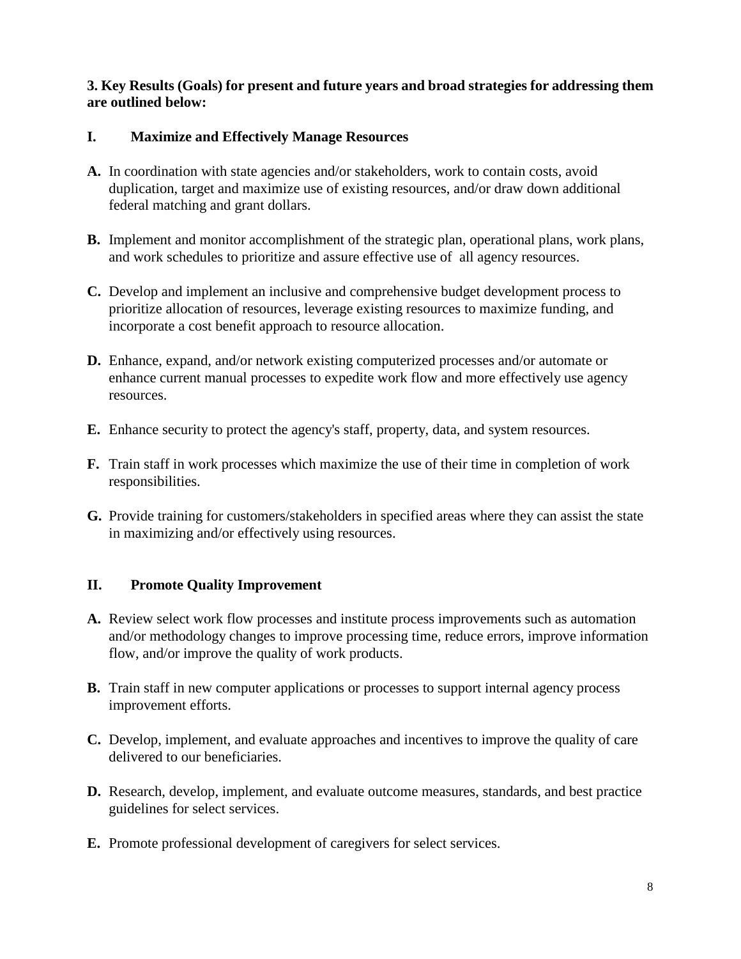## **3. Key Results (Goals) for present and future years and broad strategies for addressing them are outlined below:**

## **I. Maximize and Effectively Manage Resources**

- **A.** In coordination with state agencies and/or stakeholders, work to contain costs, avoid duplication, target and maximize use of existing resources, and/or draw down additional federal matching and grant dollars.
- **B.** Implement and monitor accomplishment of the strategic plan, operational plans, work plans, and work schedules to prioritize and assure effective use of all agency resources.
- **C.** Develop and implement an inclusive and comprehensive budget development process to prioritize allocation of resources, leverage existing resources to maximize funding, and incorporate a cost benefit approach to resource allocation.
- **D.** Enhance, expand, and/or network existing computerized processes and/or automate or enhance current manual processes to expedite work flow and more effectively use agency resources.
- **E.** Enhance security to protect the agency's staff, property, data, and system resources.
- **F.** Train staff in work processes which maximize the use of their time in completion of work responsibilities.
- **G.** Provide training for customers/stakeholders in specified areas where they can assist the state in maximizing and/or effectively using resources.

## **II. Promote Quality Improvement**

- **A.** Review select work flow processes and institute process improvements such as automation and/or methodology changes to improve processing time, reduce errors, improve information flow, and/or improve the quality of work products.
- **B.** Train staff in new computer applications or processes to support internal agency process improvement efforts.
- **C.** Develop, implement, and evaluate approaches and incentives to improve the quality of care delivered to our beneficiaries.
- **D.** Research, develop, implement, and evaluate outcome measures, standards, and best practice guidelines for select services.
- **E.** Promote professional development of caregivers for select services.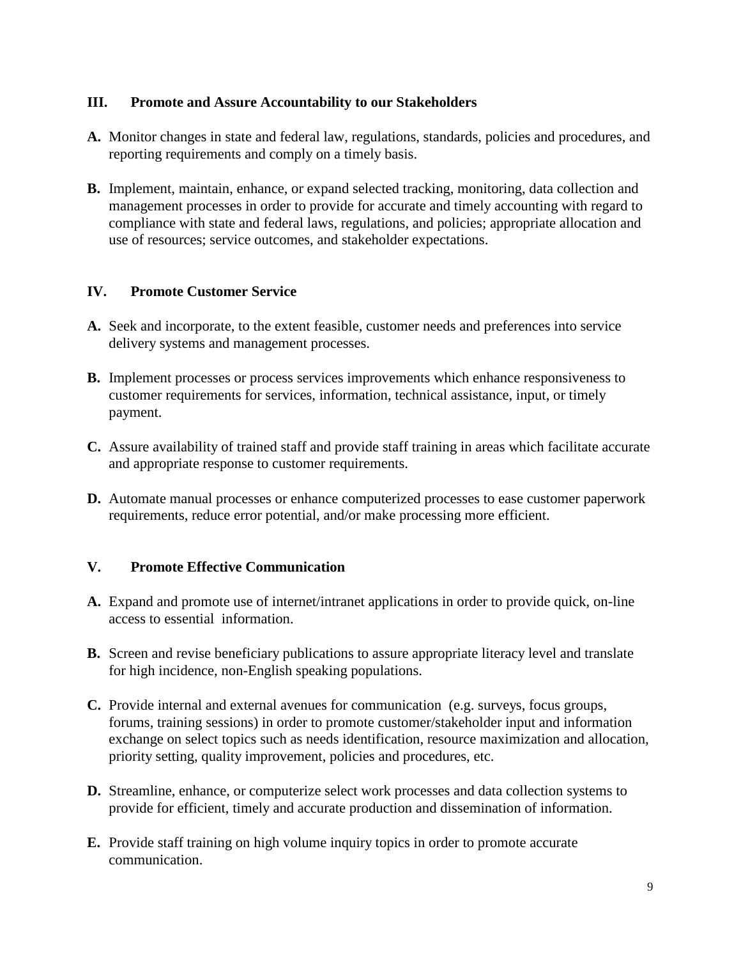#### **III. Promote and Assure Accountability to our Stakeholders**

- **A.** Monitor changes in state and federal law, regulations, standards, policies and procedures, and reporting requirements and comply on a timely basis.
- **B.** Implement, maintain, enhance, or expand selected tracking, monitoring, data collection and management processes in order to provide for accurate and timely accounting with regard to compliance with state and federal laws, regulations, and policies; appropriate allocation and use of resources; service outcomes, and stakeholder expectations.

#### **IV. Promote Customer Service**

- **A.** Seek and incorporate, to the extent feasible, customer needs and preferences into service delivery systems and management processes.
- **B.** Implement processes or process services improvements which enhance responsiveness to customer requirements for services, information, technical assistance, input, or timely payment.
- **C.** Assure availability of trained staff and provide staff training in areas which facilitate accurate and appropriate response to customer requirements.
- **D.** Automate manual processes or enhance computerized processes to ease customer paperwork requirements, reduce error potential, and/or make processing more efficient.

#### **V. Promote Effective Communication**

- **A.** Expand and promote use of internet/intranet applications in order to provide quick, on-line access to essential information.
- **B.** Screen and revise beneficiary publications to assure appropriate literacy level and translate for high incidence, non-English speaking populations.
- **C.** Provide internal and external avenues for communication (e.g. surveys, focus groups, forums, training sessions) in order to promote customer/stakeholder input and information exchange on select topics such as needs identification, resource maximization and allocation, priority setting, quality improvement, policies and procedures, etc.
- **D.** Streamline, enhance, or computerize select work processes and data collection systems to provide for efficient, timely and accurate production and dissemination of information.
- **E.** Provide staff training on high volume inquiry topics in order to promote accurate communication.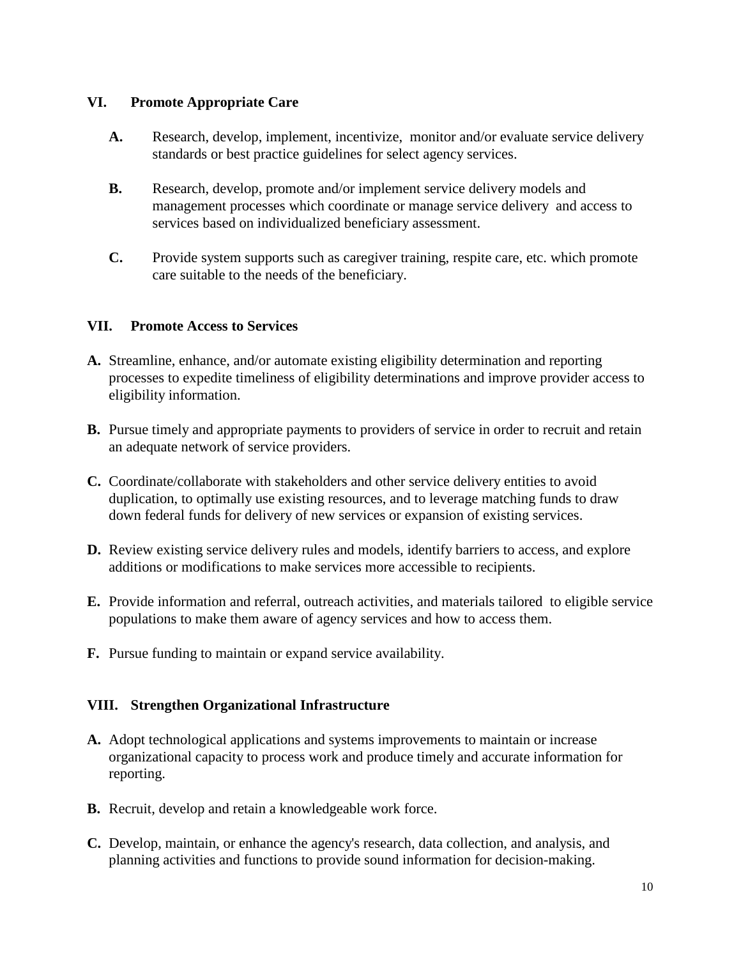#### **VI. Promote Appropriate Care**

- **A.** Research, develop, implement, incentivize, monitor and/or evaluate service delivery standards or best practice guidelines for select agency services.
- **B.** Research, develop, promote and/or implement service delivery models and management processes which coordinate or manage service delivery and access to services based on individualized beneficiary assessment.
- **C.** Provide system supports such as caregiver training, respite care, etc. which promote care suitable to the needs of the beneficiary.

## **VII. Promote Access to Services**

- **A.** Streamline, enhance, and/or automate existing eligibility determination and reporting processes to expedite timeliness of eligibility determinations and improve provider access to eligibility information.
- **B.** Pursue timely and appropriate payments to providers of service in order to recruit and retain an adequate network of service providers.
- **C.** Coordinate/collaborate with stakeholders and other service delivery entities to avoid duplication, to optimally use existing resources, and to leverage matching funds to draw down federal funds for delivery of new services or expansion of existing services.
- **D.** Review existing service delivery rules and models, identify barriers to access, and explore additions or modifications to make services more accessible to recipients.
- **E.** Provide information and referral, outreach activities, and materials tailored to eligible service populations to make them aware of agency services and how to access them.
- **F.** Pursue funding to maintain or expand service availability.

## **VIII. Strengthen Organizational Infrastructure**

- **A.** Adopt technological applications and systems improvements to maintain or increase organizational capacity to process work and produce timely and accurate information for reporting.
- **B.** Recruit, develop and retain a knowledgeable work force.
- **C.** Develop, maintain, or enhance the agency's research, data collection, and analysis, and planning activities and functions to provide sound information for decision-making.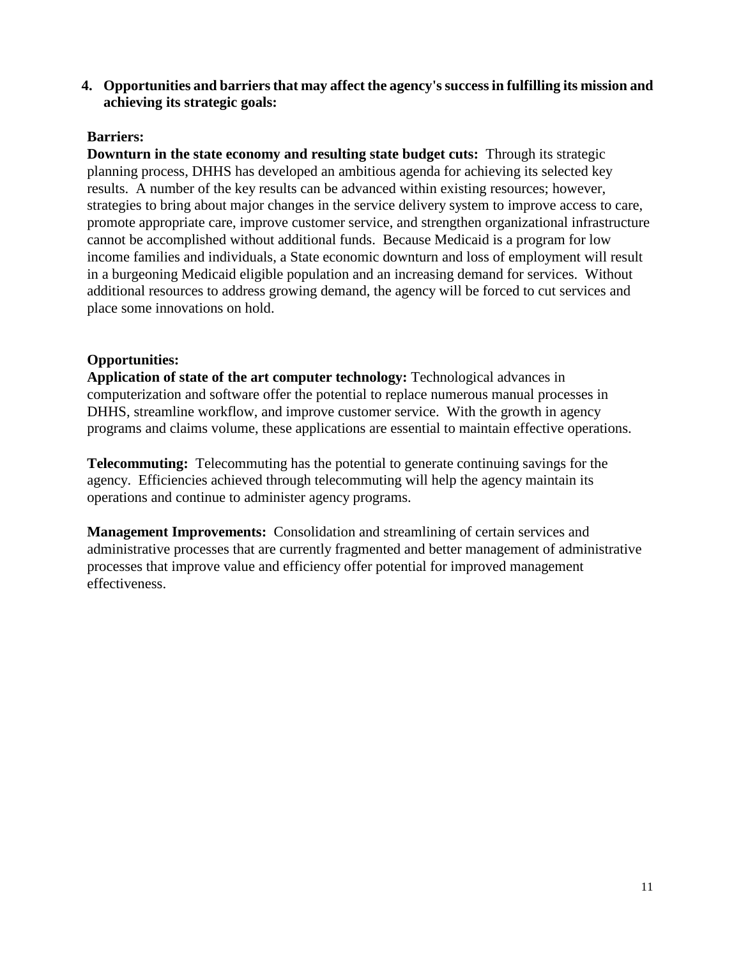**4. Opportunities and barriers that may affect the agency's success in fulfilling its mission and achieving its strategic goals:**

#### **Barriers:**

**Downturn in the state economy and resulting state budget cuts:** Through its strategic planning process, DHHS has developed an ambitious agenda for achieving its selected key results. A number of the key results can be advanced within existing resources; however, strategies to bring about major changes in the service delivery system to improve access to care, promote appropriate care, improve customer service, and strengthen organizational infrastructure cannot be accomplished without additional funds. Because Medicaid is a program for low income families and individuals, a State economic downturn and loss of employment will result in a burgeoning Medicaid eligible population and an increasing demand for services. Without additional resources to address growing demand, the agency will be forced to cut services and place some innovations on hold.

## **Opportunities:**

**Application of state of the art computer technology:** Technological advances in computerization and software offer the potential to replace numerous manual processes in DHHS, streamline workflow, and improve customer service. With the growth in agency programs and claims volume, these applications are essential to maintain effective operations.

**Telecommuting:** Telecommuting has the potential to generate continuing savings for the agency. Efficiencies achieved through telecommuting will help the agency maintain its operations and continue to administer agency programs.

**Management Improvements:** Consolidation and streamlining of certain services and administrative processes that are currently fragmented and better management of administrative processes that improve value and efficiency offer potential for improved management effectiveness.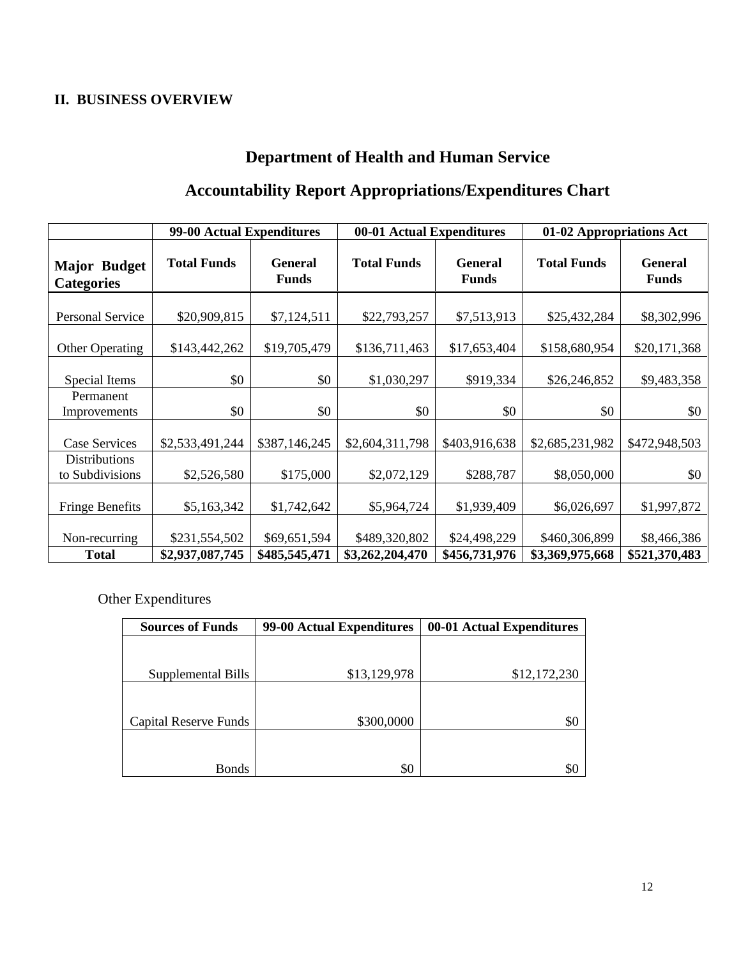## **II. BUSINESS OVERVIEW**

## **Department of Health and Human Service**

## **Accountability Report Appropriations/Expenditures Chart**

|                                          | 99-00 Actual Expenditures |                                | 00-01 Actual Expenditures |                                | 01-02 Appropriations Act |                                |
|------------------------------------------|---------------------------|--------------------------------|---------------------------|--------------------------------|--------------------------|--------------------------------|
| <b>Major Budget</b><br><b>Categories</b> | <b>Total Funds</b>        | <b>General</b><br><b>Funds</b> | <b>Total Funds</b>        | <b>General</b><br><b>Funds</b> | <b>Total Funds</b>       | <b>General</b><br><b>Funds</b> |
| Personal Service                         | \$20,909,815              | \$7,124,511                    | \$22,793,257              | \$7,513,913                    | \$25,432,284             | \$8,302,996                    |
| <b>Other Operating</b>                   | \$143,442,262             | \$19,705,479                   | \$136,711,463             | \$17,653,404                   | \$158,680,954            | \$20,171,368                   |
| Special Items                            | \$0                       | \$0                            | \$1,030,297               | \$919,334                      | \$26,246,852             | \$9,483,358                    |
| Permanent<br>Improvements                | \$0                       | \$0                            | \$0                       | \$0                            | \$0                      | \$0                            |
| <b>Case Services</b>                     | \$2,533,491,244           | \$387,146,245                  | \$2,604,311,798           | \$403,916,638                  | \$2,685,231,982          | \$472,948,503                  |
| <b>Distributions</b><br>to Subdivisions  | \$2,526,580               | \$175,000                      | \$2,072,129               | \$288,787                      | \$8,050,000              | \$0                            |
| <b>Fringe Benefits</b>                   | \$5,163,342               | \$1,742,642                    | \$5,964,724               | \$1,939,409                    | \$6,026,697              | \$1,997,872                    |
| Non-recurring                            | \$231,554,502             | \$69,651,594                   | \$489,320,802             | \$24,498,229                   | \$460,306,899            | \$8,466,386                    |
| <b>Total</b>                             | \$2,937,087,745           | \$485,545,471                  | \$3,262,204,470           | \$456,731,976                  | \$3,369,975,668          | \$521,370,483                  |

Other Expenditures

| <b>Sources of Funds</b>      | 99-00 Actual Expenditures | 00-01 Actual Expenditures |
|------------------------------|---------------------------|---------------------------|
|                              |                           |                           |
|                              |                           |                           |
| Supplemental Bills           | \$13,129,978              | \$12,172,230              |
| <b>Capital Reserve Funds</b> | \$300,0000                | \$0                       |
|                              |                           |                           |
| <b>Bonds</b>                 | \$0                       | \$C                       |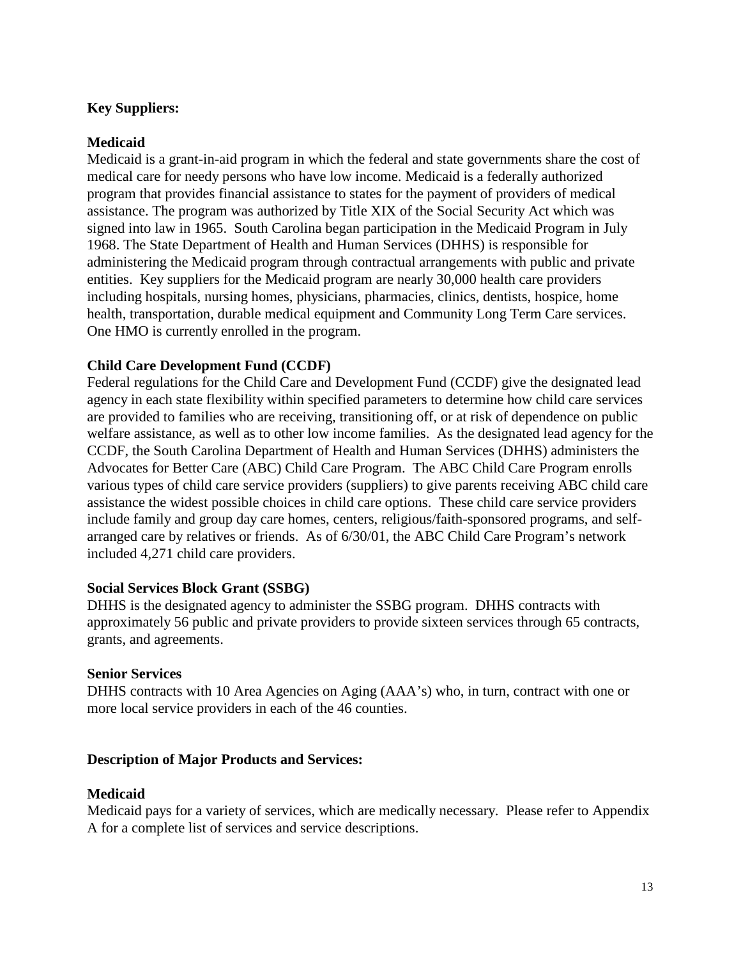## **Key Suppliers:**

## **Medicaid**

Medicaid is a grant-in-aid program in which the federal and state governments share the cost of medical care for needy persons who have low income. Medicaid is a federally authorized program that provides financial assistance to states for the payment of providers of medical assistance. The program was authorized by Title XIX of the Social Security Act which was signed into law in 1965. South Carolina began participation in the Medicaid Program in July 1968. The State Department of Health and Human Services (DHHS) is responsible for administering the Medicaid program through contractual arrangements with public and private entities. Key suppliers for the Medicaid program are nearly 30,000 health care providers including hospitals, nursing homes, physicians, pharmacies, clinics, dentists, hospice, home health, transportation, durable medical equipment and Community Long Term Care services. One HMO is currently enrolled in the program.

## **Child Care Development Fund (CCDF)**

Federal regulations for the Child Care and Development Fund (CCDF) give the designated lead agency in each state flexibility within specified parameters to determine how child care services are provided to families who are receiving, transitioning off, or at risk of dependence on public welfare assistance, as well as to other low income families. As the designated lead agency for the CCDF, the South Carolina Department of Health and Human Services (DHHS) administers the Advocates for Better Care (ABC) Child Care Program. The ABC Child Care Program enrolls various types of child care service providers (suppliers) to give parents receiving ABC child care assistance the widest possible choices in child care options. These child care service providers include family and group day care homes, centers, religious/faith-sponsored programs, and selfarranged care by relatives or friends. As of 6/30/01, the ABC Child Care Program's network included 4,271 child care providers.

## **Social Services Block Grant (SSBG)**

DHHS is the designated agency to administer the SSBG program. DHHS contracts with approximately 56 public and private providers to provide sixteen services through 65 contracts, grants, and agreements.

## **Senior Services**

DHHS contracts with 10 Area Agencies on Aging (AAA's) who, in turn, contract with one or more local service providers in each of the 46 counties.

## **Description of Major Products and Services:**

#### **Medicaid**

Medicaid pays for a variety of services, which are medically necessary. Please refer to Appendix A for a complete list of services and service descriptions.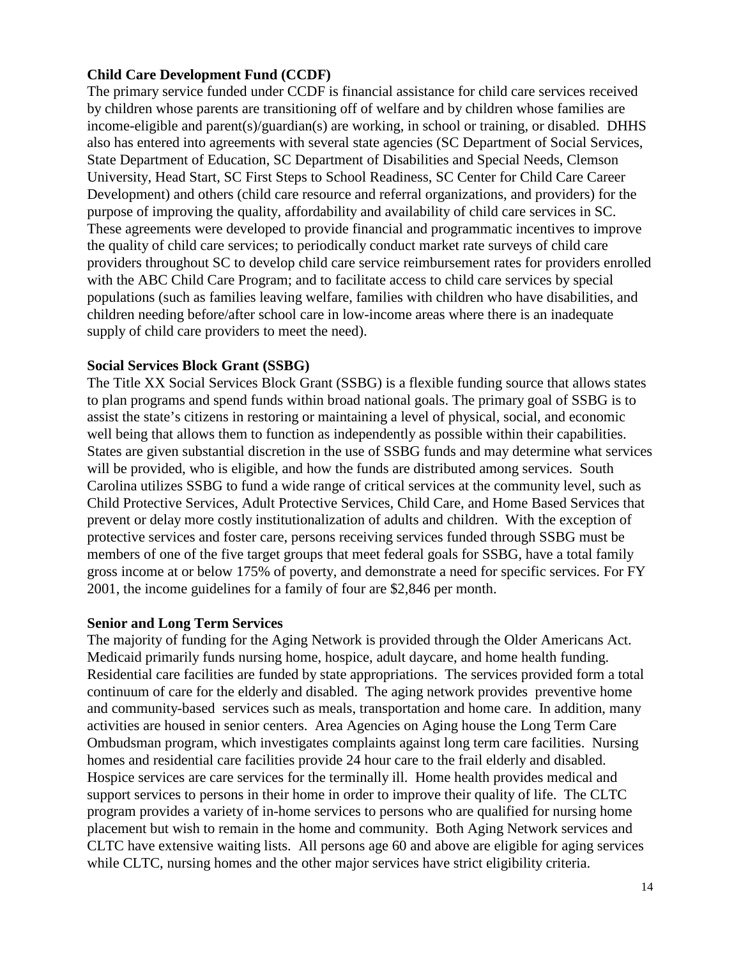#### **Child Care Development Fund (CCDF)**

The primary service funded under CCDF is financial assistance for child care services received by children whose parents are transitioning off of welfare and by children whose families are income-eligible and parent(s)/guardian(s) are working, in school or training, or disabled. DHHS also has entered into agreements with several state agencies (SC Department of Social Services, State Department of Education, SC Department of Disabilities and Special Needs, Clemson University, Head Start, SC First Steps to School Readiness, SC Center for Child Care Career Development) and others (child care resource and referral organizations, and providers) for the purpose of improving the quality, affordability and availability of child care services in SC. These agreements were developed to provide financial and programmatic incentives to improve the quality of child care services; to periodically conduct market rate surveys of child care providers throughout SC to develop child care service reimbursement rates for providers enrolled with the ABC Child Care Program; and to facilitate access to child care services by special populations (such as families leaving welfare, families with children who have disabilities, and children needing before/after school care in low-income areas where there is an inadequate supply of child care providers to meet the need).

#### **Social Services Block Grant (SSBG)**

The Title XX Social Services Block Grant (SSBG) is a flexible funding source that allows states to plan programs and spend funds within broad national goals. The primary goal of SSBG is to assist the state's citizens in restoring or maintaining a level of physical, social, and economic well being that allows them to function as independently as possible within their capabilities. States are given substantial discretion in the use of SSBG funds and may determine what services will be provided, who is eligible, and how the funds are distributed among services. South Carolina utilizes SSBG to fund a wide range of critical services at the community level, such as Child Protective Services, Adult Protective Services, Child Care, and Home Based Services that prevent or delay more costly institutionalization of adults and children. With the exception of protective services and foster care, persons receiving services funded through SSBG must be members of one of the five target groups that meet federal goals for SSBG, have a total family gross income at or below 175% of poverty, and demonstrate a need for specific services. For FY 2001, the income guidelines for a family of four are \$2,846 per month.

#### **Senior and Long Term Services**

The majority of funding for the Aging Network is provided through the Older Americans Act. Medicaid primarily funds nursing home, hospice, adult daycare, and home health funding. Residential care facilities are funded by state appropriations. The services provided form a total continuum of care for the elderly and disabled. The aging network provides preventive home and community-based services such as meals, transportation and home care. In addition, many activities are housed in senior centers. Area Agencies on Aging house the Long Term Care Ombudsman program, which investigates complaints against long term care facilities. Nursing homes and residential care facilities provide 24 hour care to the frail elderly and disabled. Hospice services are care services for the terminally ill. Home health provides medical and support services to persons in their home in order to improve their quality of life. The CLTC program provides a variety of in-home services to persons who are qualified for nursing home placement but wish to remain in the home and community. Both Aging Network services and CLTC have extensive waiting lists. All persons age 60 and above are eligible for aging services while CLTC, nursing homes and the other major services have strict eligibility criteria.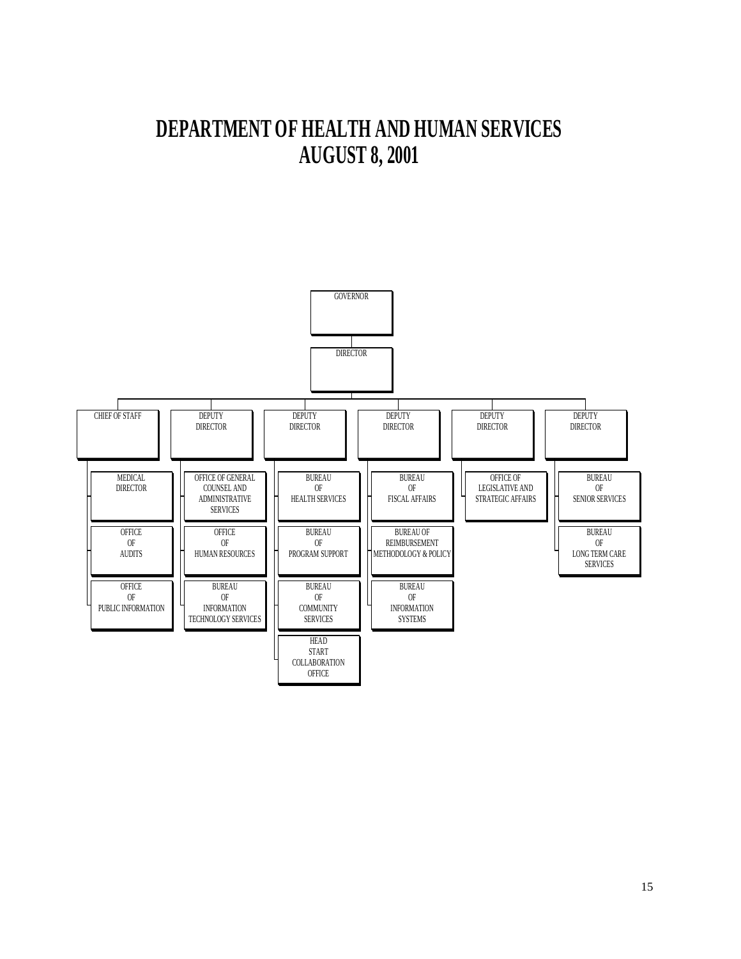# **DEPARTMENT OF HEALTH AND HUMAN SERVICES AUGUST 8, 2001**

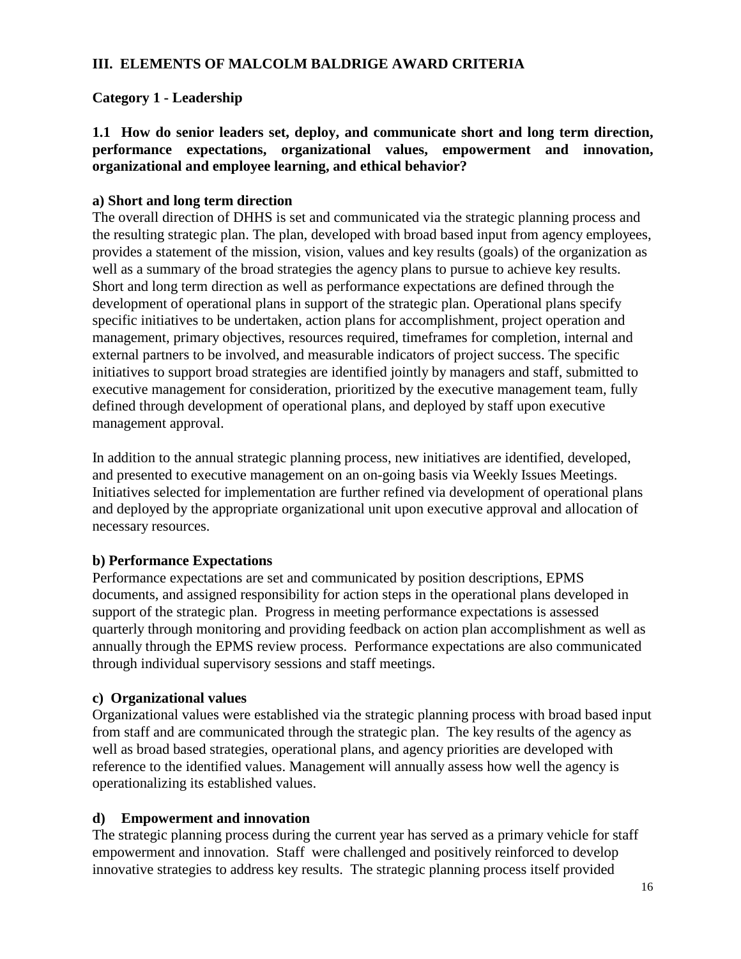## **III. ELEMENTS OF MALCOLM BALDRIGE AWARD CRITERIA**

## **Category 1 - Leadership**

**1.1 How do senior leaders set, deploy, and communicate short and long term direction, performance expectations, organizational values, empowerment and innovation, organizational and employee learning, and ethical behavior?**

## **a) Short and long term direction**

The overall direction of DHHS is set and communicated via the strategic planning process and the resulting strategic plan. The plan, developed with broad based input from agency employees, provides a statement of the mission, vision, values and key results (goals) of the organization as well as a summary of the broad strategies the agency plans to pursue to achieve key results. Short and long term direction as well as performance expectations are defined through the development of operational plans in support of the strategic plan. Operational plans specify specific initiatives to be undertaken, action plans for accomplishment, project operation and management, primary objectives, resources required, timeframes for completion, internal and external partners to be involved, and measurable indicators of project success. The specific initiatives to support broad strategies are identified jointly by managers and staff, submitted to executive management for consideration, prioritized by the executive management team, fully defined through development of operational plans, and deployed by staff upon executive management approval.

In addition to the annual strategic planning process, new initiatives are identified, developed, and presented to executive management on an on-going basis via Weekly Issues Meetings. Initiatives selected for implementation are further refined via development of operational plans and deployed by the appropriate organizational unit upon executive approval and allocation of necessary resources.

## **b) Performance Expectations**

Performance expectations are set and communicated by position descriptions, EPMS documents, and assigned responsibility for action steps in the operational plans developed in support of the strategic plan. Progress in meeting performance expectations is assessed quarterly through monitoring and providing feedback on action plan accomplishment as well as annually through the EPMS review process. Performance expectations are also communicated through individual supervisory sessions and staff meetings.

## **c) Organizational values**

Organizational values were established via the strategic planning process with broad based input from staff and are communicated through the strategic plan. The key results of the agency as well as broad based strategies, operational plans, and agency priorities are developed with reference to the identified values. Management will annually assess how well the agency is operationalizing its established values.

## **d) Empowerment and innovation**

The strategic planning process during the current year has served as a primary vehicle for staff empowerment and innovation. Staff were challenged and positively reinforced to develop innovative strategies to address key results. The strategic planning process itself provided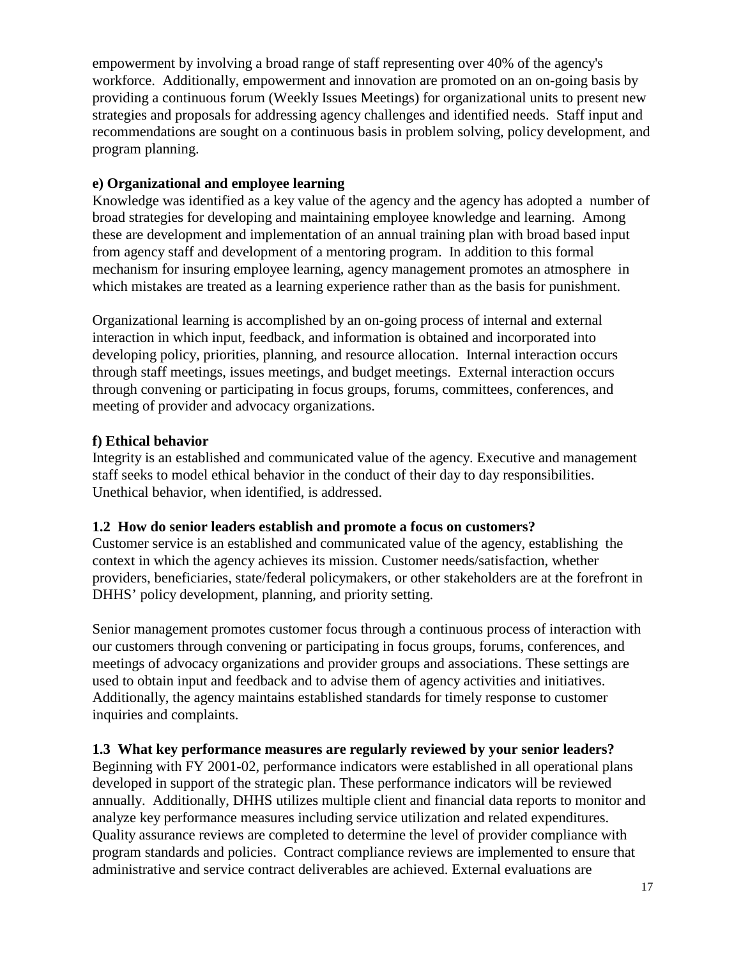empowerment by involving a broad range of staff representing over 40% of the agency's workforce. Additionally, empowerment and innovation are promoted on an on-going basis by providing a continuous forum (Weekly Issues Meetings) for organizational units to present new strategies and proposals for addressing agency challenges and identified needs. Staff input and recommendations are sought on a continuous basis in problem solving, policy development, and program planning.

## **e) Organizational and employee learning**

Knowledge was identified as a key value of the agency and the agency has adopted a number of broad strategies for developing and maintaining employee knowledge and learning. Among these are development and implementation of an annual training plan with broad based input from agency staff and development of a mentoring program. In addition to this formal mechanism for insuring employee learning, agency management promotes an atmosphere in which mistakes are treated as a learning experience rather than as the basis for punishment.

Organizational learning is accomplished by an on-going process of internal and external interaction in which input, feedback, and information is obtained and incorporated into developing policy, priorities, planning, and resource allocation. Internal interaction occurs through staff meetings, issues meetings, and budget meetings. External interaction occurs through convening or participating in focus groups, forums, committees, conferences, and meeting of provider and advocacy organizations.

#### **f) Ethical behavior**

Integrity is an established and communicated value of the agency. Executive and management staff seeks to model ethical behavior in the conduct of their day to day responsibilities. Unethical behavior, when identified, is addressed.

#### **1.2 How do senior leaders establish and promote a focus on customers?**

Customer service is an established and communicated value of the agency, establishing the context in which the agency achieves its mission. Customer needs/satisfaction, whether providers, beneficiaries, state/federal policymakers, or other stakeholders are at the forefront in DHHS' policy development, planning, and priority setting.

Senior management promotes customer focus through a continuous process of interaction with our customers through convening or participating in focus groups, forums, conferences, and meetings of advocacy organizations and provider groups and associations. These settings are used to obtain input and feedback and to advise them of agency activities and initiatives. Additionally, the agency maintains established standards for timely response to customer inquiries and complaints.

## **1.3 What key performance measures are regularly reviewed by your senior leaders?**

Beginning with FY 2001-02, performance indicators were established in all operational plans developed in support of the strategic plan. These performance indicators will be reviewed annually. Additionally, DHHS utilizes multiple client and financial data reports to monitor and analyze key performance measures including service utilization and related expenditures. Quality assurance reviews are completed to determine the level of provider compliance with program standards and policies. Contract compliance reviews are implemented to ensure that administrative and service contract deliverables are achieved. External evaluations are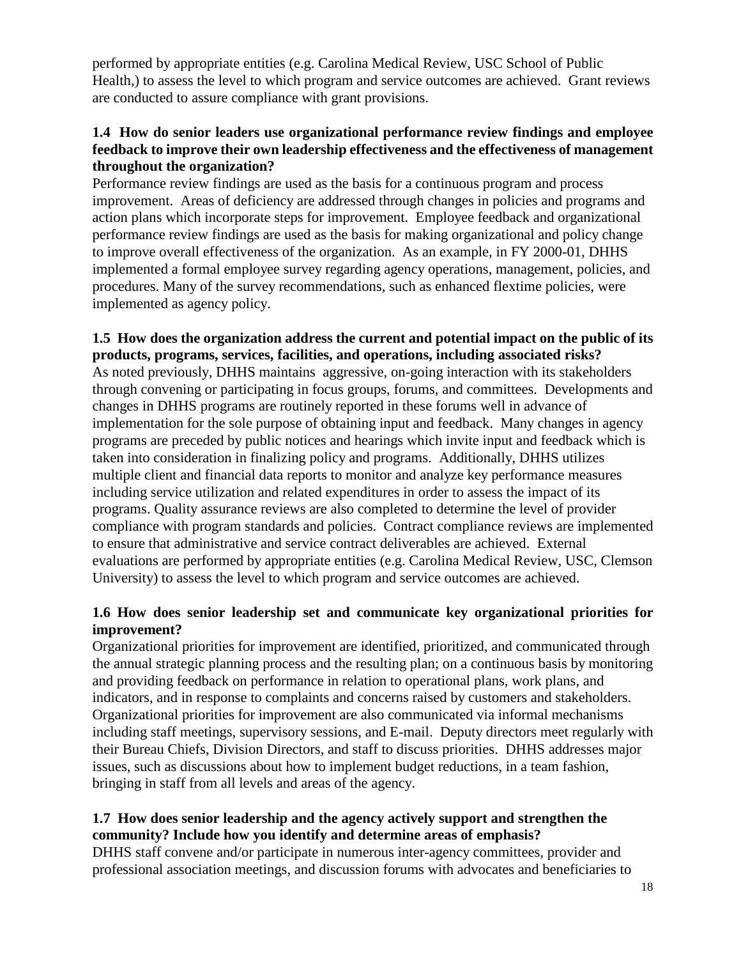performed by appropriate entities (e.g. Carolina Medical Review, USC School of Public Health,) to assess the level to which program and service outcomes are achieved. Grant reviews are conducted to assure compliance with grant provisions.

## **1.4 How do senior leaders use organizational performance review findings and employee feedback to improve their own leadership effectiveness and the effectiveness of management throughout the organization?**

Performance review findings are used as the basis for a continuous program and process improvement. Areas of deficiency are addressed through changes in policies and programs and action plans which incorporate steps for improvement. Employee feedback and organizational performance review findings are used as the basis for making organizational and policy change to improve overall effectiveness of the organization. As an example, in FY 2000-01, DHHS implemented a formal employee survey regarding agency operations, management, policies, and procedures. Many of the survey recommendations, such as enhanced flextime policies, were implemented as agency policy.

#### **1.5 How does the organization address the current and potential impact on the public of its products, programs, services, facilities, and operations, including associated risks?**

As noted previously, DHHS maintains aggressive, on-going interaction with its stakeholders through convening or participating in focus groups, forums, and committees. Developments and changes in DHHS programs are routinely reported in these forums well in advance of implementation for the sole purpose of obtaining input and feedback. Many changes in agency programs are preceded by public notices and hearings which invite input and feedback which is taken into consideration in finalizing policy and programs. Additionally, DHHS utilizes multiple client and financial data reports to monitor and analyze key performance measures including service utilization and related expenditures in order to assess the impact of its programs. Quality assurance reviews are also completed to determine the level of provider compliance with program standards and policies. Contract compliance reviews are implemented to ensure that administrative and service contract deliverables are achieved. External evaluations are performed by appropriate entities (e.g. Carolina Medical Review, USC, Clemson University) to assess the level to which program and service outcomes are achieved.

## **1.6 How does senior leadership set and communicate key organizational priorities for improvement?**

Organizational priorities for improvement are identified, prioritized, and communicated through the annual strategic planning process and the resulting plan; on a continuous basis by monitoring and providing feedback on performance in relation to operational plans, work plans, and indicators, and in response to complaints and concerns raised by customers and stakeholders. Organizational priorities for improvement are also communicated via informal mechanisms including staff meetings, supervisory sessions, and E-mail. Deputy directors meet regularly with their Bureau Chiefs, Division Directors, and staff to discuss priorities. DHHS addresses major issues, such as discussions about how to implement budget reductions, in a team fashion, bringing in staff from all levels and areas of the agency.

## **1.7 How does senior leadership and the agency actively support and strengthen the community? Include how you identify and determine areas of emphasis?**

DHHS staff convene and/or participate in numerous inter-agency committees, provider and professional association meetings, and discussion forums with advocates and beneficiaries to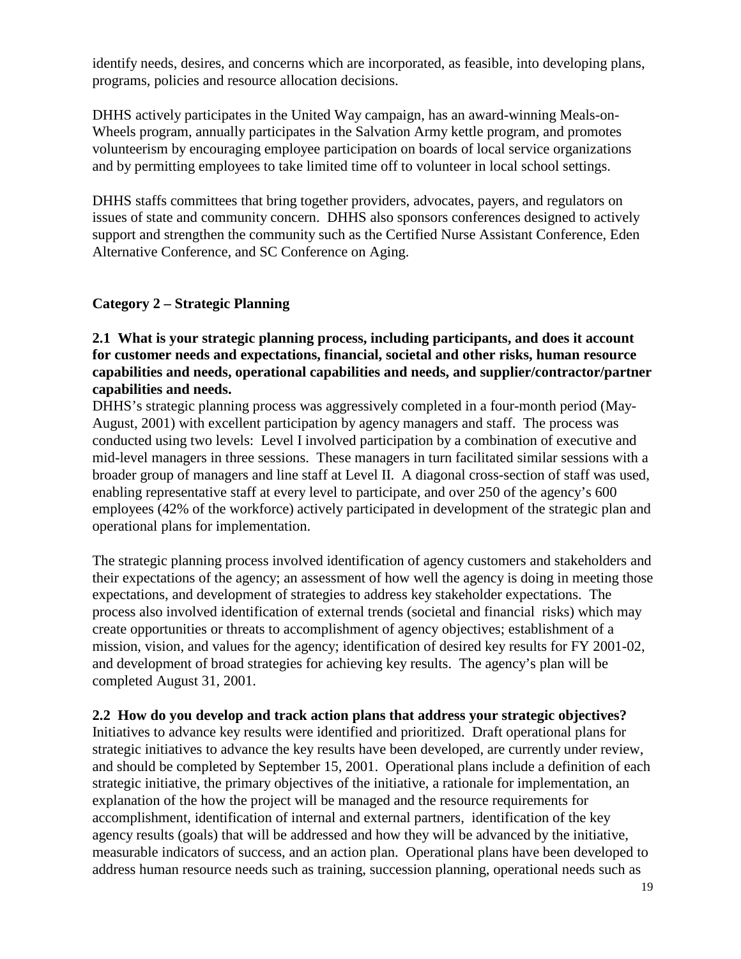identify needs, desires, and concerns which are incorporated, as feasible, into developing plans, programs, policies and resource allocation decisions.

DHHS actively participates in the United Way campaign, has an award-winning Meals-on-Wheels program, annually participates in the Salvation Army kettle program, and promotes volunteerism by encouraging employee participation on boards of local service organizations and by permitting employees to take limited time off to volunteer in local school settings.

DHHS staffs committees that bring together providers, advocates, payers, and regulators on issues of state and community concern. DHHS also sponsors conferences designed to actively support and strengthen the community such as the Certified Nurse Assistant Conference, Eden Alternative Conference, and SC Conference on Aging.

#### **Category 2 – Strategic Planning**

## **2.1 What is your strategic planning process, including participants, and does it account for customer needs and expectations, financial, societal and other risks, human resource capabilities and needs, operational capabilities and needs, and supplier/contractor/partner capabilities and needs.**

DHHS's strategic planning process was aggressively completed in a four-month period (May-August, 2001) with excellent participation by agency managers and staff. The process was conducted using two levels: Level I involved participation by a combination of executive and mid-level managers in three sessions. These managers in turn facilitated similar sessions with a broader group of managers and line staff at Level II. A diagonal cross-section of staff was used, enabling representative staff at every level to participate, and over 250 of the agency's 600 employees (42% of the workforce) actively participated in development of the strategic plan and operational plans for implementation.

The strategic planning process involved identification of agency customers and stakeholders and their expectations of the agency; an assessment of how well the agency is doing in meeting those expectations, and development of strategies to address key stakeholder expectations. The process also involved identification of external trends (societal and financial risks) which may create opportunities or threats to accomplishment of agency objectives; establishment of a mission, vision, and values for the agency; identification of desired key results for FY 2001-02, and development of broad strategies for achieving key results. The agency's plan will be completed August 31, 2001.

## **2.2 How do you develop and track action plans that address your strategic objectives?**

Initiatives to advance key results were identified and prioritized. Draft operational plans for strategic initiatives to advance the key results have been developed, are currently under review, and should be completed by September 15, 2001. Operational plans include a definition of each strategic initiative, the primary objectives of the initiative, a rationale for implementation, an explanation of the how the project will be managed and the resource requirements for accomplishment, identification of internal and external partners, identification of the key agency results (goals) that will be addressed and how they will be advanced by the initiative, measurable indicators of success, and an action plan. Operational plans have been developed to address human resource needs such as training, succession planning, operational needs such as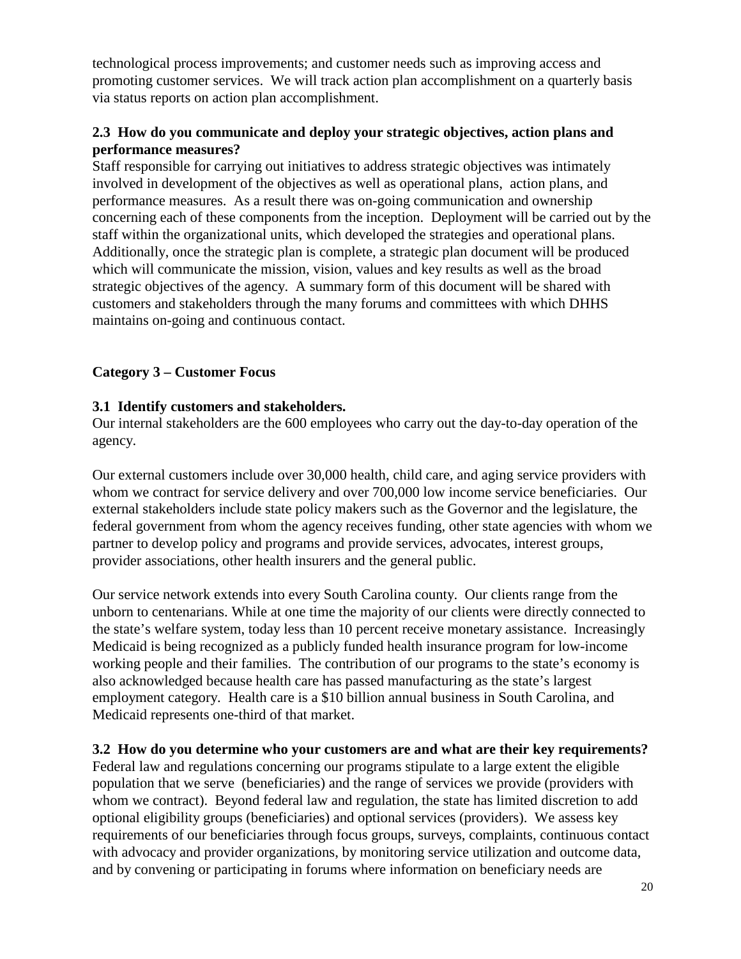technological process improvements; and customer needs such as improving access and promoting customer services. We will track action plan accomplishment on a quarterly basis via status reports on action plan accomplishment.

## **2.3 How do you communicate and deploy your strategic objectives, action plans and performance measures?**

Staff responsible for carrying out initiatives to address strategic objectives was intimately involved in development of the objectives as well as operational plans, action plans, and performance measures. As a result there was on-going communication and ownership concerning each of these components from the inception. Deployment will be carried out by the staff within the organizational units, which developed the strategies and operational plans. Additionally, once the strategic plan is complete, a strategic plan document will be produced which will communicate the mission, vision, values and key results as well as the broad strategic objectives of the agency. A summary form of this document will be shared with customers and stakeholders through the many forums and committees with which DHHS maintains on-going and continuous contact.

## **Category 3 – Customer Focus**

## **3.1 Identify customers and stakeholders.**

Our internal stakeholders are the 600 employees who carry out the day-to-day operation of the agency.

Our external customers include over 30,000 health, child care, and aging service providers with whom we contract for service delivery and over 700,000 low income service beneficiaries. Our external stakeholders include state policy makers such as the Governor and the legislature, the federal government from whom the agency receives funding, other state agencies with whom we partner to develop policy and programs and provide services, advocates, interest groups, provider associations, other health insurers and the general public.

Our service network extends into every South Carolina county. Our clients range from the unborn to centenarians. While at one time the majority of our clients were directly connected to the state's welfare system, today less than 10 percent receive monetary assistance. Increasingly Medicaid is being recognized as a publicly funded health insurance program for low-income working people and their families. The contribution of our programs to the state's economy is also acknowledged because health care has passed manufacturing as the state's largest employment category. Health care is a \$10 billion annual business in South Carolina, and Medicaid represents one-third of that market.

## **3.2 How do you determine who your customers are and what are their key requirements?**

Federal law and regulations concerning our programs stipulate to a large extent the eligible population that we serve (beneficiaries) and the range of services we provide (providers with whom we contract). Beyond federal law and regulation, the state has limited discretion to add optional eligibility groups (beneficiaries) and optional services (providers). We assess key requirements of our beneficiaries through focus groups, surveys, complaints, continuous contact with advocacy and provider organizations, by monitoring service utilization and outcome data, and by convening or participating in forums where information on beneficiary needs are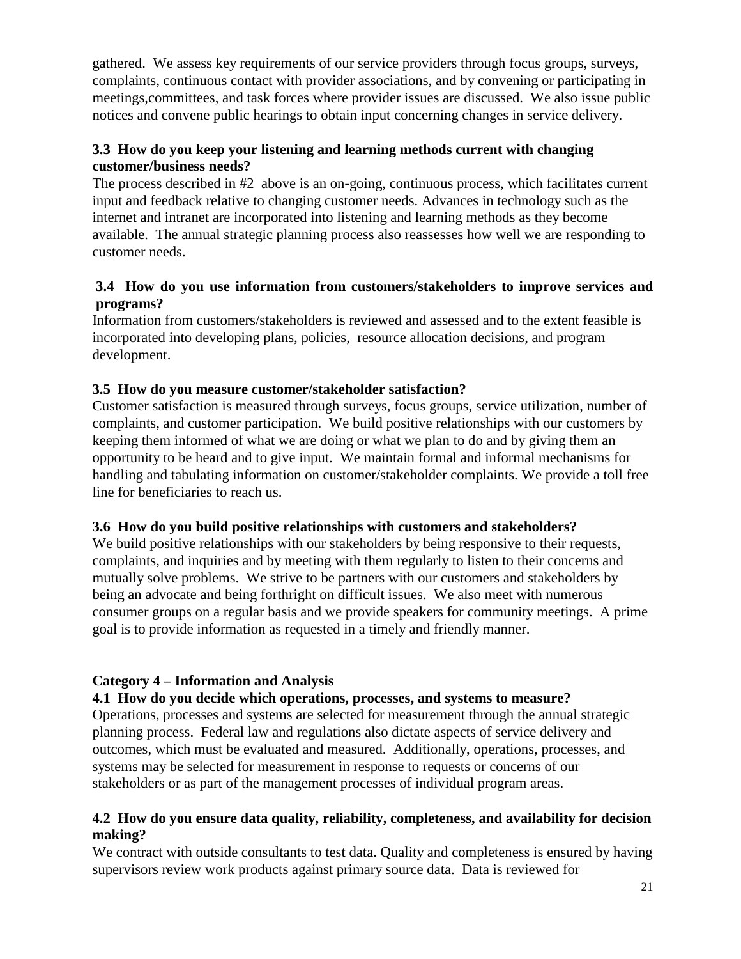gathered. We assess key requirements of our service providers through focus groups, surveys, complaints, continuous contact with provider associations, and by convening or participating in meetings,committees, and task forces where provider issues are discussed. We also issue public notices and convene public hearings to obtain input concerning changes in service delivery.

## **3.3 How do you keep your listening and learning methods current with changing customer/business needs?**

The process described in #2 above is an on-going, continuous process, which facilitates current input and feedback relative to changing customer needs. Advances in technology such as the internet and intranet are incorporated into listening and learning methods as they become available. The annual strategic planning process also reassesses how well we are responding to customer needs.

## **3.4 How do you use information from customers/stakeholders to improve services and programs?**

Information from customers/stakeholders is reviewed and assessed and to the extent feasible is incorporated into developing plans, policies, resource allocation decisions, and program development.

## **3.5 How do you measure customer/stakeholder satisfaction?**

Customer satisfaction is measured through surveys, focus groups, service utilization, number of complaints, and customer participation. We build positive relationships with our customers by keeping them informed of what we are doing or what we plan to do and by giving them an opportunity to be heard and to give input. We maintain formal and informal mechanisms for handling and tabulating information on customer/stakeholder complaints. We provide a toll free line for beneficiaries to reach us.

## **3.6 How do you build positive relationships with customers and stakeholders?**

We build positive relationships with our stakeholders by being responsive to their requests, complaints, and inquiries and by meeting with them regularly to listen to their concerns and mutually solve problems. We strive to be partners with our customers and stakeholders by being an advocate and being forthright on difficult issues. We also meet with numerous consumer groups on a regular basis and we provide speakers for community meetings. A prime goal is to provide information as requested in a timely and friendly manner.

## **Category 4 – Information and Analysis**

## **4.1 How do you decide which operations, processes, and systems to measure?**

Operations, processes and systems are selected for measurement through the annual strategic planning process. Federal law and regulations also dictate aspects of service delivery and outcomes, which must be evaluated and measured. Additionally, operations, processes, and systems may be selected for measurement in response to requests or concerns of our stakeholders or as part of the management processes of individual program areas.

#### **4.2 How do you ensure data quality, reliability, completeness, and availability for decision making?**

We contract with outside consultants to test data. Quality and completeness is ensured by having supervisors review work products against primary source data. Data is reviewed for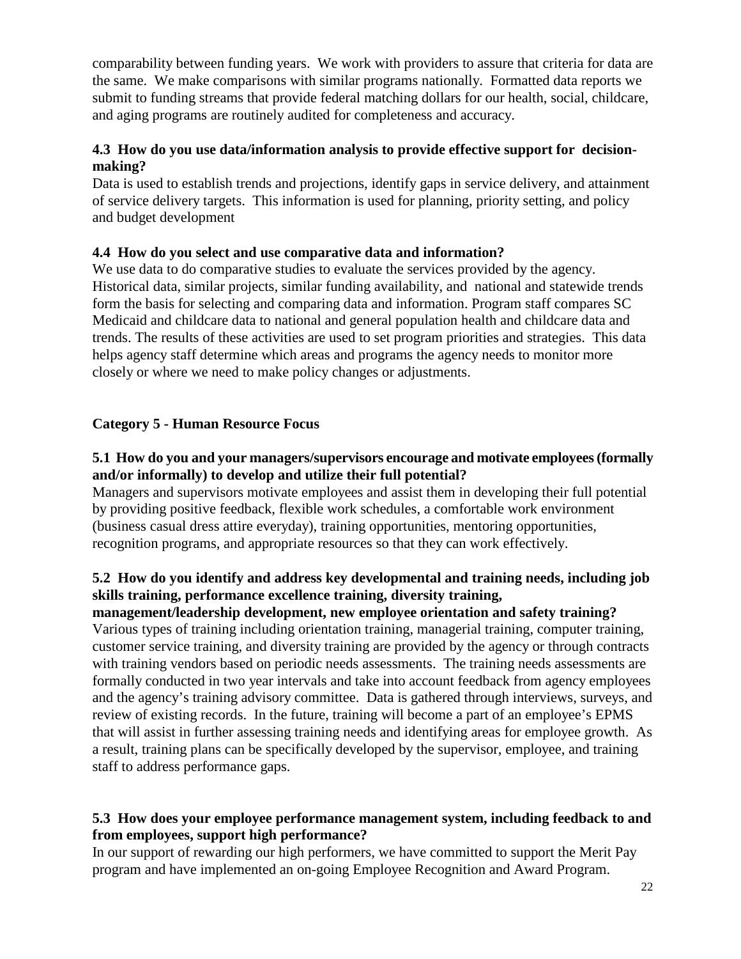comparability between funding years. We work with providers to assure that criteria for data are the same. We make comparisons with similar programs nationally. Formatted data reports we submit to funding streams that provide federal matching dollars for our health, social, childcare, and aging programs are routinely audited for completeness and accuracy.

## **4.3 How do you use data/information analysis to provide effective support for decisionmaking?**

Data is used to establish trends and projections, identify gaps in service delivery, and attainment of service delivery targets. This information is used for planning, priority setting, and policy and budget development

## **4.4 How do you select and use comparative data and information?**

We use data to do comparative studies to evaluate the services provided by the agency. Historical data, similar projects, similar funding availability, and national and statewide trends form the basis for selecting and comparing data and information. Program staff compares SC Medicaid and childcare data to national and general population health and childcare data and trends. The results of these activities are used to set program priorities and strategies. This data helps agency staff determine which areas and programs the agency needs to monitor more closely or where we need to make policy changes or adjustments.

## **Category 5 - Human Resource Focus**

## **5.1 How do you and your managers/supervisors encourage and motivate employees (formally and/or informally) to develop and utilize their full potential?**

Managers and supervisors motivate employees and assist them in developing their full potential by providing positive feedback, flexible work schedules, a comfortable work environment (business casual dress attire everyday), training opportunities, mentoring opportunities, recognition programs, and appropriate resources so that they can work effectively.

## **5.2 How do you identify and address key developmental and training needs, including job skills training, performance excellence training, diversity training,**

**management/leadership development, new employee orientation and safety training?** Various types of training including orientation training, managerial training, computer training, customer service training, and diversity training are provided by the agency or through contracts with training vendors based on periodic needs assessments. The training needs assessments are formally conducted in two year intervals and take into account feedback from agency employees and the agency's training advisory committee. Data is gathered through interviews, surveys, and review of existing records. In the future, training will become a part of an employee's EPMS that will assist in further assessing training needs and identifying areas for employee growth. As a result, training plans can be specifically developed by the supervisor, employee, and training staff to address performance gaps.

## **5.3 How does your employee performance management system, including feedback to and from employees, support high performance?**

In our support of rewarding our high performers, we have committed to support the Merit Pay program and have implemented an on-going Employee Recognition and Award Program.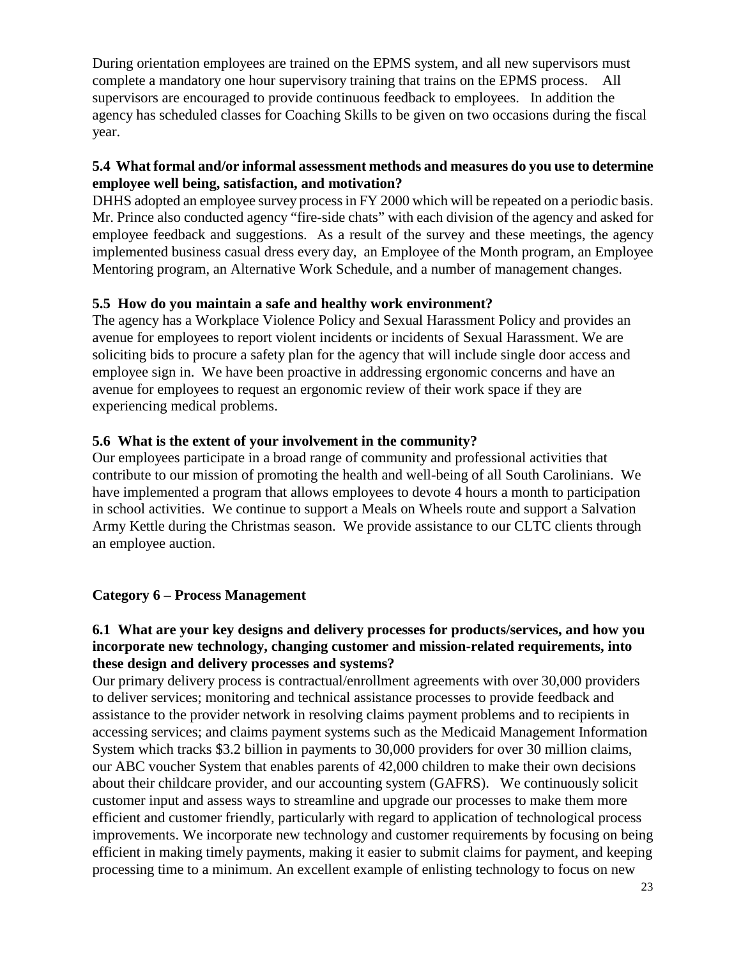During orientation employees are trained on the EPMS system, and all new supervisors must complete a mandatory one hour supervisory training that trains on the EPMS process. All supervisors are encouraged to provide continuous feedback to employees. In addition the agency has scheduled classes for Coaching Skills to be given on two occasions during the fiscal year.

## **5.4 What formal and/or informal assessment methods and measures do you use to determine employee well being, satisfaction, and motivation?**

DHHS adopted an employee survey process in FY 2000 which will be repeated on a periodic basis. Mr. Prince also conducted agency "fire-side chats" with each division of the agency and asked for employee feedback and suggestions. As a result of the survey and these meetings, the agency implemented business casual dress every day, an Employee of the Month program, an Employee Mentoring program, an Alternative Work Schedule, and a number of management changes.

## **5.5 How do you maintain a safe and healthy work environment?**

The agency has a Workplace Violence Policy and Sexual Harassment Policy and provides an avenue for employees to report violent incidents or incidents of Sexual Harassment. We are soliciting bids to procure a safety plan for the agency that will include single door access and employee sign in. We have been proactive in addressing ergonomic concerns and have an avenue for employees to request an ergonomic review of their work space if they are experiencing medical problems.

## **5.6 What is the extent of your involvement in the community?**

Our employees participate in a broad range of community and professional activities that contribute to our mission of promoting the health and well-being of all South Carolinians. We have implemented a program that allows employees to devote 4 hours a month to participation in school activities. We continue to support a Meals on Wheels route and support a Salvation Army Kettle during the Christmas season. We provide assistance to our CLTC clients through an employee auction.

## **Category 6 – Process Management**

## **6.1 What are your key designs and delivery processes for products/services, and how you incorporate new technology, changing customer and mission-related requirements, into these design and delivery processes and systems?**

Our primary delivery process is contractual/enrollment agreements with over 30,000 providers to deliver services; monitoring and technical assistance processes to provide feedback and assistance to the provider network in resolving claims payment problems and to recipients in accessing services; and claims payment systems such as the Medicaid Management Information System which tracks \$3.2 billion in payments to 30,000 providers for over 30 million claims, our ABC voucher System that enables parents of 42,000 children to make their own decisions about their childcare provider, and our accounting system (GAFRS). We continuously solicit customer input and assess ways to streamline and upgrade our processes to make them more efficient and customer friendly, particularly with regard to application of technological process improvements. We incorporate new technology and customer requirements by focusing on being efficient in making timely payments, making it easier to submit claims for payment, and keeping processing time to a minimum. An excellent example of enlisting technology to focus on new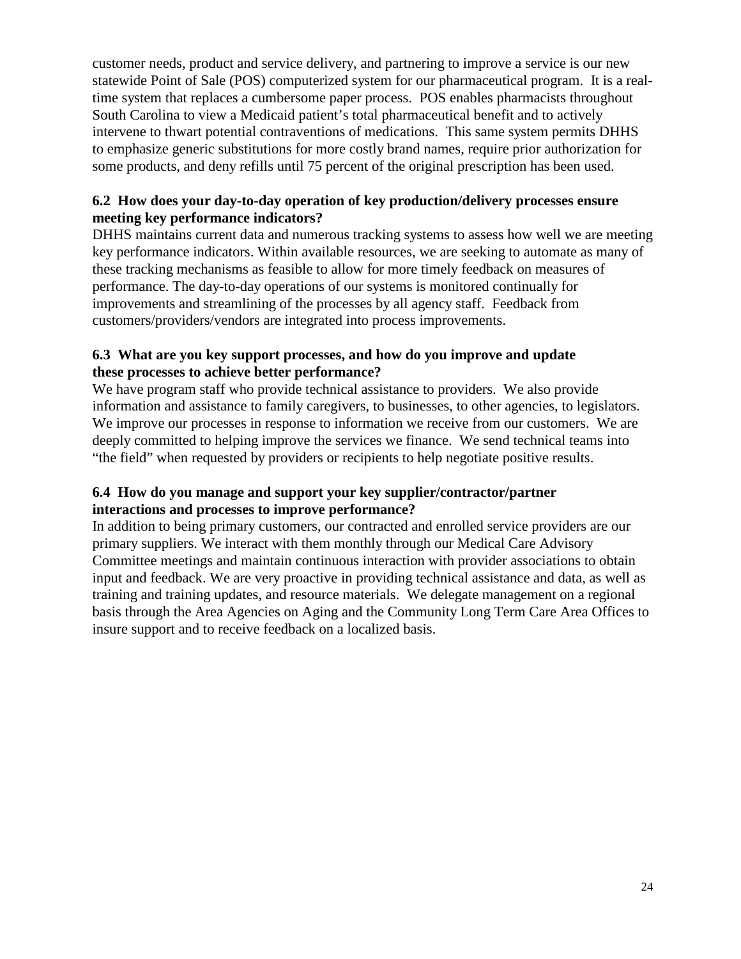customer needs, product and service delivery, and partnering to improve a service is our new statewide Point of Sale (POS) computerized system for our pharmaceutical program. It is a realtime system that replaces a cumbersome paper process. POS enables pharmacists throughout South Carolina to view a Medicaid patient's total pharmaceutical benefit and to actively intervene to thwart potential contraventions of medications. This same system permits DHHS to emphasize generic substitutions for more costly brand names, require prior authorization for some products, and deny refills until 75 percent of the original prescription has been used.

## **6.2 How does your day-to-day operation of key production/delivery processes ensure meeting key performance indicators?**

DHHS maintains current data and numerous tracking systems to assess how well we are meeting key performance indicators. Within available resources, we are seeking to automate as many of these tracking mechanisms as feasible to allow for more timely feedback on measures of performance. The day-to-day operations of our systems is monitored continually for improvements and streamlining of the processes by all agency staff. Feedback from customers/providers/vendors are integrated into process improvements.

## **6.3 What are you key support processes, and how do you improve and update these processes to achieve better performance?**

We have program staff who provide technical assistance to providers. We also provide information and assistance to family caregivers, to businesses, to other agencies, to legislators. We improve our processes in response to information we receive from our customers. We are deeply committed to helping improve the services we finance. We send technical teams into "the field" when requested by providers or recipients to help negotiate positive results.

## **6.4 How do you manage and support your key supplier/contractor/partner interactions and processes to improve performance?**

In addition to being primary customers, our contracted and enrolled service providers are our primary suppliers. We interact with them monthly through our Medical Care Advisory Committee meetings and maintain continuous interaction with provider associations to obtain input and feedback. We are very proactive in providing technical assistance and data, as well as training and training updates, and resource materials. We delegate management on a regional basis through the Area Agencies on Aging and the Community Long Term Care Area Offices to insure support and to receive feedback on a localized basis.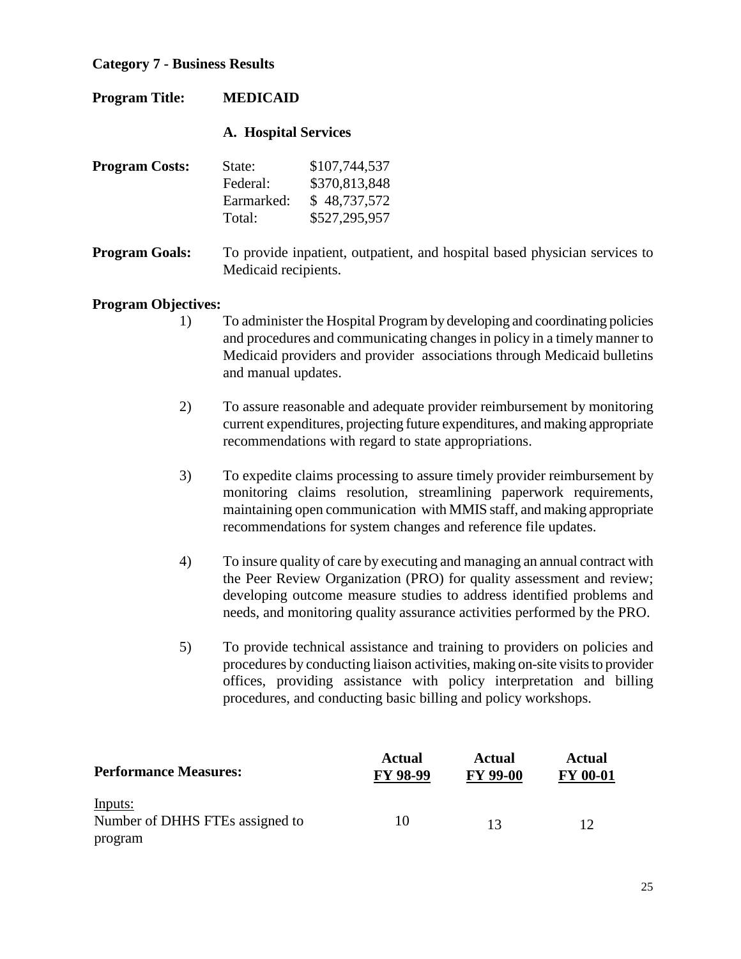## **Category 7 - Business Results**

| <b>Program Title:</b>      | <b>MEDICAID</b>                            |                                                                                                                                                                                                                                                                                                           |
|----------------------------|--------------------------------------------|-----------------------------------------------------------------------------------------------------------------------------------------------------------------------------------------------------------------------------------------------------------------------------------------------------------|
|                            | <b>A. Hospital Services</b>                |                                                                                                                                                                                                                                                                                                           |
| <b>Program Costs:</b>      | State:<br>Federal:<br>Earmarked:<br>Total: | \$107,744,537<br>\$370,813,848<br>\$48,737,572<br>\$527,295,957                                                                                                                                                                                                                                           |
| <b>Program Goals:</b>      | Medicaid recipients.                       | To provide inpatient, outpatient, and hospital based physician services to                                                                                                                                                                                                                                |
| <b>Program Objectives:</b> |                                            |                                                                                                                                                                                                                                                                                                           |
| 1)                         | and manual updates.                        | To administer the Hospital Program by developing and coordinating policies<br>and procedures and communicating changes in policy in a timely manner to<br>Medicaid providers and provider associations through Medicaid bulletins                                                                         |
| 2)                         |                                            | To assure reasonable and adequate provider reimbursement by monitoring<br>current expenditures, projecting future expenditures, and making appropriate<br>recommendations with regard to state appropriations.                                                                                            |
| 3)                         |                                            | To expedite claims processing to assure timely provider reimbursement by<br>monitoring claims resolution, streamlining paperwork requirements,<br>maintaining open communication with MMIS staff, and making appropriate<br>recommendations for system changes and reference file updates.                |
| 4)                         |                                            | To insure quality of care by executing and managing an annual contract with<br>the Peer Review Organization (PRO) for quality assessment and review;<br>developing outcome measure studies to address identified problems and<br>needs, and monitoring quality assurance activities performed by the PRO. |
| 5)                         |                                            | To provide technical assistance and training to providers on policies and<br>procedures by conducting liaison activities, making on-site visits to provider<br>offices, providing assistance with policy interpretation and billing<br>procedures, and conducting basic billing and policy workshops.     |

| <b>Performance Measures:</b>    | <b>Actual</b><br><b>FY 98-99</b> | Actual<br><b>FY 99-00</b> | <b>Actual</b><br><b>FY 00-01</b> |
|---------------------------------|----------------------------------|---------------------------|----------------------------------|
| Inputs:                         |                                  |                           |                                  |
| Number of DHHS FTEs assigned to | 10                               | 13                        |                                  |
| program                         |                                  |                           |                                  |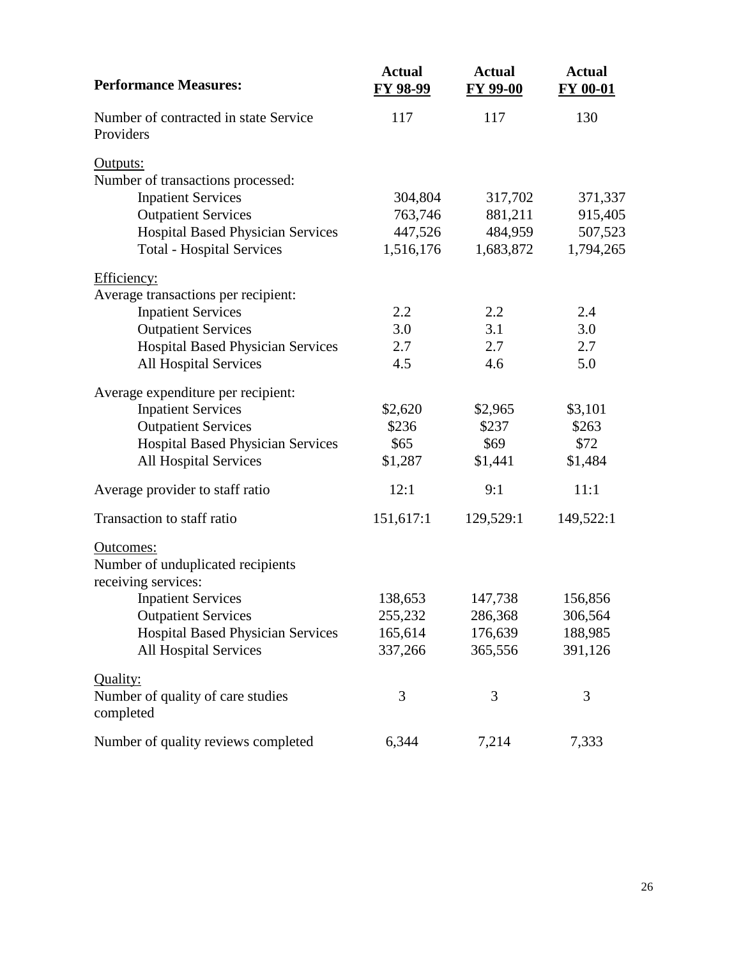| <b>Performance Measures:</b>                   | <b>Actual</b><br>FY 98-99 | <b>Actual</b><br>FY 99-00 | <b>Actual</b><br>FY 00-01 |
|------------------------------------------------|---------------------------|---------------------------|---------------------------|
| Number of contracted in state Service          | 117                       | 117                       | 130                       |
| Providers                                      |                           |                           |                           |
| Outputs:                                       |                           |                           |                           |
| Number of transactions processed:              |                           |                           |                           |
| <b>Inpatient Services</b>                      | 304,804                   | 317,702                   | 371,337                   |
| <b>Outpatient Services</b>                     | 763,746                   | 881,211                   | 915,405                   |
| <b>Hospital Based Physician Services</b>       | 447,526                   | 484,959                   | 507,523                   |
| <b>Total - Hospital Services</b>               | 1,516,176                 | 1,683,872                 | 1,794,265                 |
| Efficiency:                                    |                           |                           |                           |
| Average transactions per recipient:            |                           |                           |                           |
| <b>Inpatient Services</b>                      | 2.2                       | 2.2                       | 2.4                       |
| <b>Outpatient Services</b>                     | 3.0                       | 3.1                       | 3.0                       |
| <b>Hospital Based Physician Services</b>       | 2.7                       | 2.7                       | 2.7                       |
| <b>All Hospital Services</b>                   | 4.5                       | 4.6                       | 5.0                       |
| Average expenditure per recipient:             |                           |                           |                           |
| <b>Inpatient Services</b>                      | \$2,620                   | \$2,965                   | \$3,101                   |
| <b>Outpatient Services</b>                     | \$236                     | \$237                     | \$263                     |
| Hospital Based Physician Services              | \$65                      | \$69                      | \$72                      |
| <b>All Hospital Services</b>                   | \$1,287                   | \$1,441                   | \$1,484                   |
| Average provider to staff ratio                | 12:1                      | 9:1                       | 11:1                      |
| Transaction to staff ratio                     | 151,617:1                 | 129,529:1                 | 149,522:1                 |
| Outcomes:                                      |                           |                           |                           |
| Number of unduplicated recipients              |                           |                           |                           |
| receiving services:                            |                           |                           |                           |
| <b>Inpatient Services</b>                      | 138,653                   | 147,738                   | 156,856                   |
| <b>Outpatient Services</b>                     | 255,232                   | 286,368                   | 306,564                   |
| <b>Hospital Based Physician Services</b>       | 165,614                   | 176,639                   | 188,985                   |
| <b>All Hospital Services</b>                   | 337,266                   | 365,556                   | 391,126                   |
| Quality:                                       |                           |                           |                           |
| Number of quality of care studies<br>completed | 3                         | 3                         | 3                         |
| Number of quality reviews completed            | 6,344                     | 7,214                     | 7,333                     |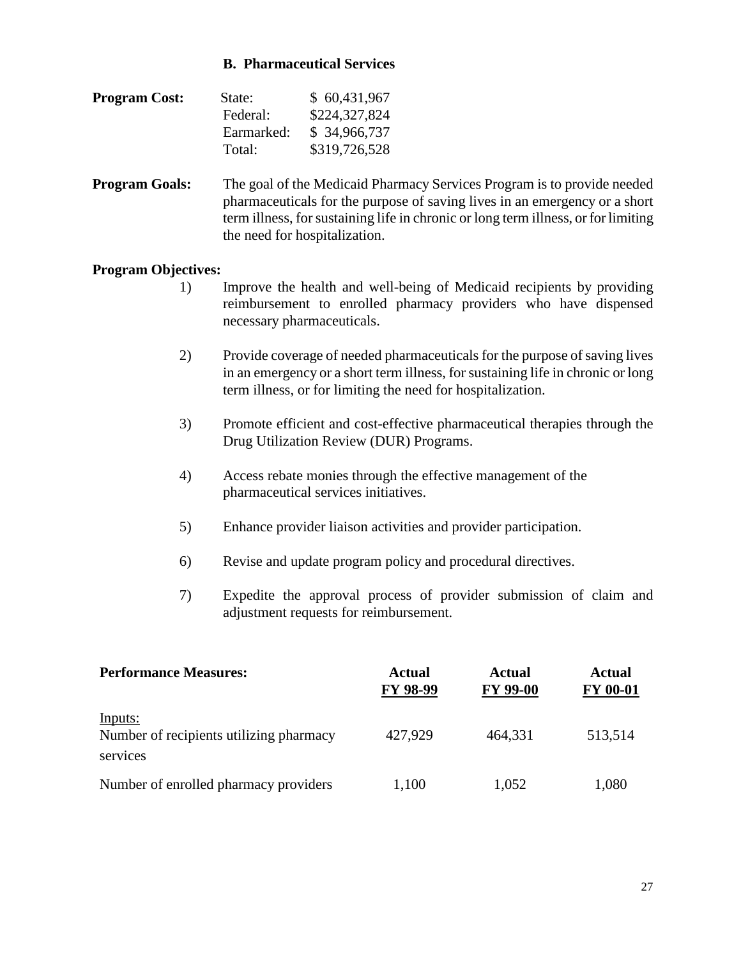#### **B. Pharmaceutical Services**

| <b>Program Cost:</b> | State:     | \$60,431,967  |
|----------------------|------------|---------------|
|                      | Federal:   | \$224,327,824 |
|                      | Earmarked: | \$34,966,737  |
|                      | Total:     | \$319,726,528 |

**Program Goals:** The goal of the Medicaid Pharmacy Services Program is to provide needed pharmaceuticals for the purpose of saving lives in an emergency or a short term illness, for sustaining life in chronic or long term illness, or for limiting the need for hospitalization.

- 1) Improve the health and well-being of Medicaid recipients by providing reimbursement to enrolled pharmacy providers who have dispensed necessary pharmaceuticals.
- 2) Provide coverage of needed pharmaceuticals for the purpose of saving lives in an emergency or a short term illness, for sustaining life in chronic or long term illness, or for limiting the need for hospitalization.
- 3) Promote efficient and cost-effective pharmaceutical therapies through the Drug Utilization Review (DUR) Programs.
- 4) Access rebate monies through the effective management of the pharmaceutical services initiatives.
- 5) Enhance provider liaison activities and provider participation.
- 6) Revise and update program policy and procedural directives.
- 7) Expedite the approval process of provider submission of claim and adjustment requests for reimbursement.

| <b>Performance Measures:</b>                                   | <b>Actual</b><br>FY 98-99 | <b>Actual</b><br><b>FY 99-00</b> | <b>Actual</b><br><b>FY 00-01</b> |
|----------------------------------------------------------------|---------------------------|----------------------------------|----------------------------------|
| Inputs:<br>Number of recipients utilizing pharmacy<br>services | 427,929                   | 464.331                          | 513,514                          |
| Number of enrolled pharmacy providers                          | 1,100                     | 1,052                            | 1,080                            |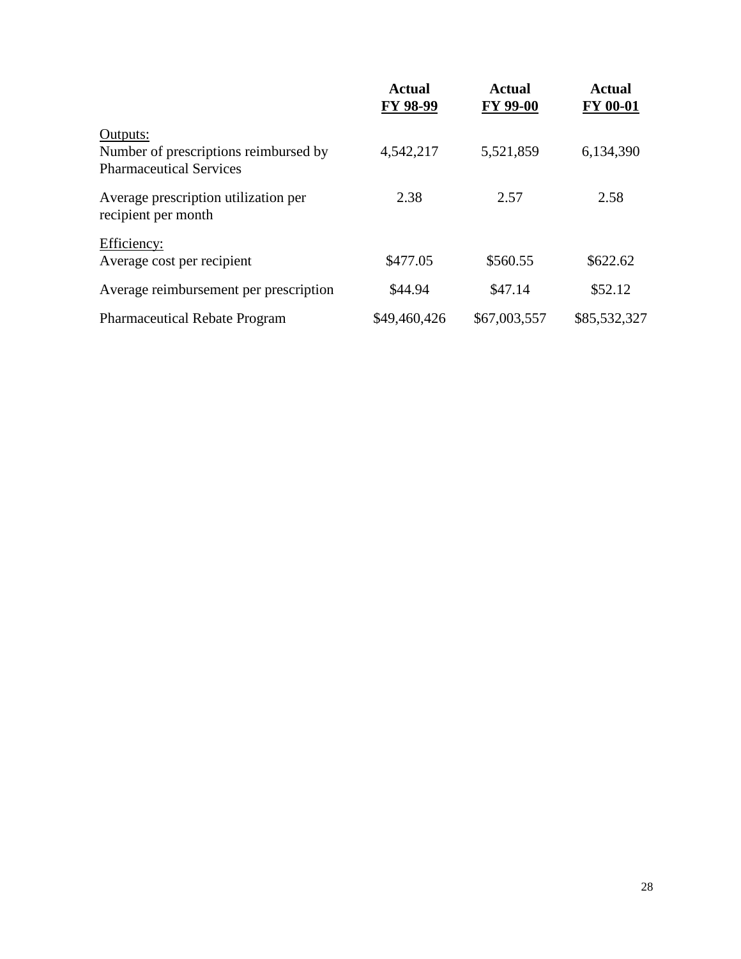|                                                                                     | Actual<br>FY 98-99 | <b>Actual</b><br><b>FY 99-00</b> | Actual<br>FY 00-01 |
|-------------------------------------------------------------------------------------|--------------------|----------------------------------|--------------------|
| Outputs:<br>Number of prescriptions reimbursed by<br><b>Pharmaceutical Services</b> | 4,542,217          | 5,521,859                        | 6,134,390          |
| Average prescription utilization per<br>recipient per month                         | 2.38               | 2.57                             | 2.58               |
| Efficiency:<br>Average cost per recipient                                           | \$477.05           | \$560.55                         | \$622.62           |
| Average reimbursement per prescription                                              | \$44.94            | \$47.14                          | \$52.12            |
| <b>Pharmaceutical Rebate Program</b>                                                | \$49,460,426       | \$67,003,557                     | \$85,532,327       |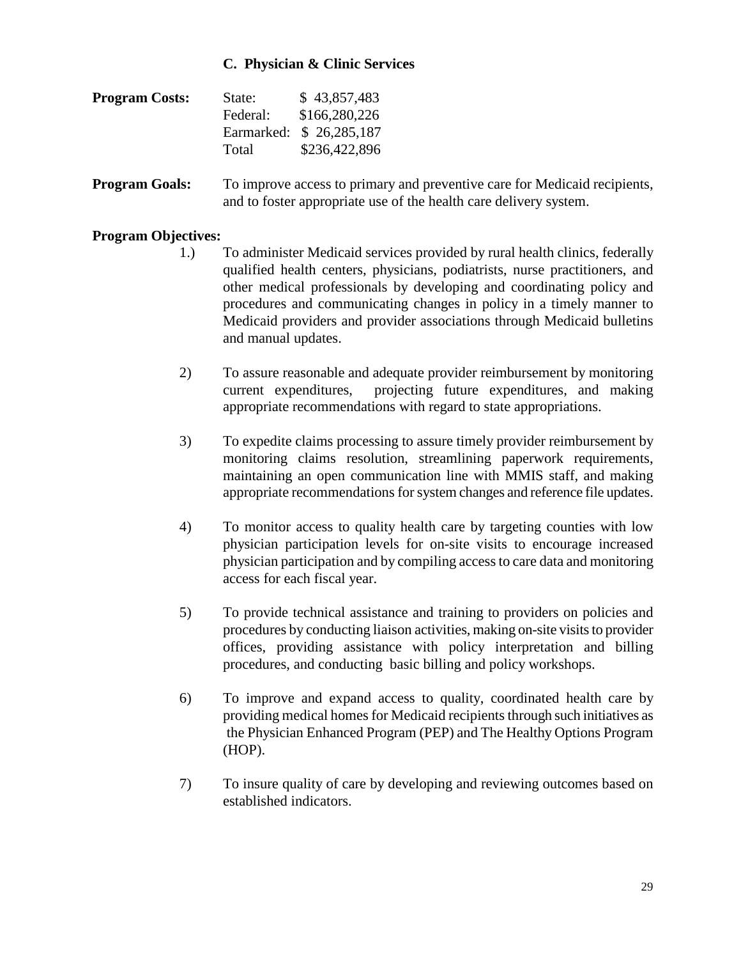#### **C. Physician & Clinic Services**

| <b>Program Costs:</b> | State:   | \$43,857,483            |
|-----------------------|----------|-------------------------|
|                       | Federal: | \$166,280,226           |
|                       |          | Earmarked: \$26,285,187 |
|                       | Total    | \$236,422,896           |

**Program Goals:** To improve access to primary and preventive care for Medicaid recipients, and to foster appropriate use of the health care delivery system.

- 1.) To administer Medicaid services provided by rural health clinics, federally qualified health centers, physicians, podiatrists, nurse practitioners, and other medical professionals by developing and coordinating policy and procedures and communicating changes in policy in a timely manner to Medicaid providers and provider associations through Medicaid bulletins and manual updates.
- 2) To assure reasonable and adequate provider reimbursement by monitoring current expenditures, projecting future expenditures, and making appropriate recommendations with regard to state appropriations.
- 3) To expedite claims processing to assure timely provider reimbursement by monitoring claims resolution, streamlining paperwork requirements, maintaining an open communication line with MMIS staff, and making appropriate recommendations for system changes and reference file updates.
- 4) To monitor access to quality health care by targeting counties with low physician participation levels for on-site visits to encourage increased physician participation and by compiling access to care data and monitoring access for each fiscal year.
- 5) To provide technical assistance and training to providers on policies and procedures by conducting liaison activities, making on-site visits to provider offices, providing assistance with policy interpretation and billing procedures, and conducting basic billing and policy workshops.
- 6) To improve and expand access to quality, coordinated health care by providing medical homes for Medicaid recipients through such initiatives as the Physician Enhanced Program (PEP) and The Healthy Options Program (HOP).
- 7) To insure quality of care by developing and reviewing outcomes based on established indicators.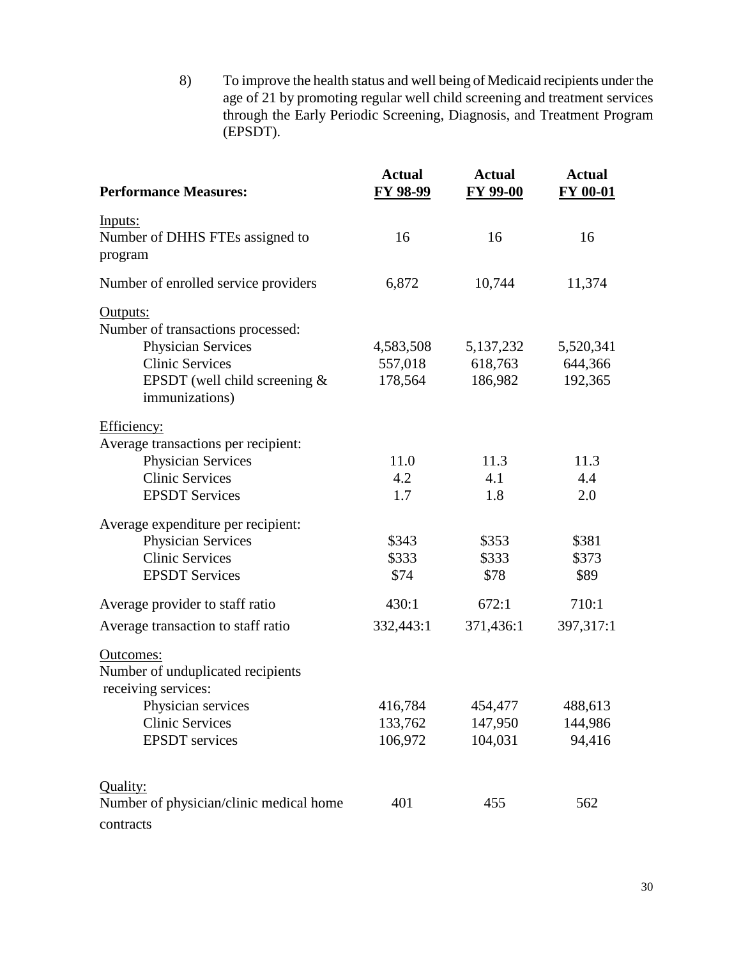8) To improve the health status and well being of Medicaid recipients under the age of 21 by promoting regular well child screening and treatment services through the Early Periodic Screening, Diagnosis, and Treatment Program (EPSDT).

| <b>Performance Measures:</b>                                                                                                                              | <b>Actual</b><br><b>FY 98-99</b> | <b>Actual</b><br><b>FY 99-00</b> | <b>Actual</b><br><b>FY 00-01</b> |
|-----------------------------------------------------------------------------------------------------------------------------------------------------------|----------------------------------|----------------------------------|----------------------------------|
| Inputs:<br>Number of DHHS FTEs assigned to<br>program                                                                                                     | 16                               | 16                               | 16                               |
| Number of enrolled service providers                                                                                                                      | 6,872                            | 10,744                           | 11,374                           |
| Outputs:<br>Number of transactions processed:<br><b>Physician Services</b><br><b>Clinic Services</b><br>EPSDT (well child screening $&$<br>immunizations) | 4,583,508<br>557,018<br>178,564  | 5,137,232<br>618,763<br>186,982  | 5,520,341<br>644,366<br>192,365  |
| Efficiency:<br>Average transactions per recipient:<br><b>Physician Services</b><br><b>Clinic Services</b><br><b>EPSDT</b> Services                        | 11.0<br>4.2<br>1.7               | 11.3<br>4.1<br>1.8               | 11.3<br>4.4<br>2.0               |
| Average expenditure per recipient:<br><b>Physician Services</b><br><b>Clinic Services</b><br><b>EPSDT</b> Services                                        | \$343<br>\$333<br>\$74           | \$353<br>\$333<br>\$78           | \$381<br>\$373<br>\$89           |
| Average provider to staff ratio<br>Average transaction to staff ratio                                                                                     | 430:1<br>332,443:1               | 672:1<br>371,436:1               | 710:1<br>397,317:1               |
| Outcomes:<br>Number of unduplicated recipients<br>receiving services:<br>Physician services<br><b>Clinic Services</b><br><b>EPSDT</b> services            | 416,784<br>133,762<br>106,972    | 454,477<br>147,950<br>104,031    | 488,613<br>144,986<br>94,416     |
| Quality:<br>Number of physician/clinic medical home<br>contracts                                                                                          | 401                              | 455                              | 562                              |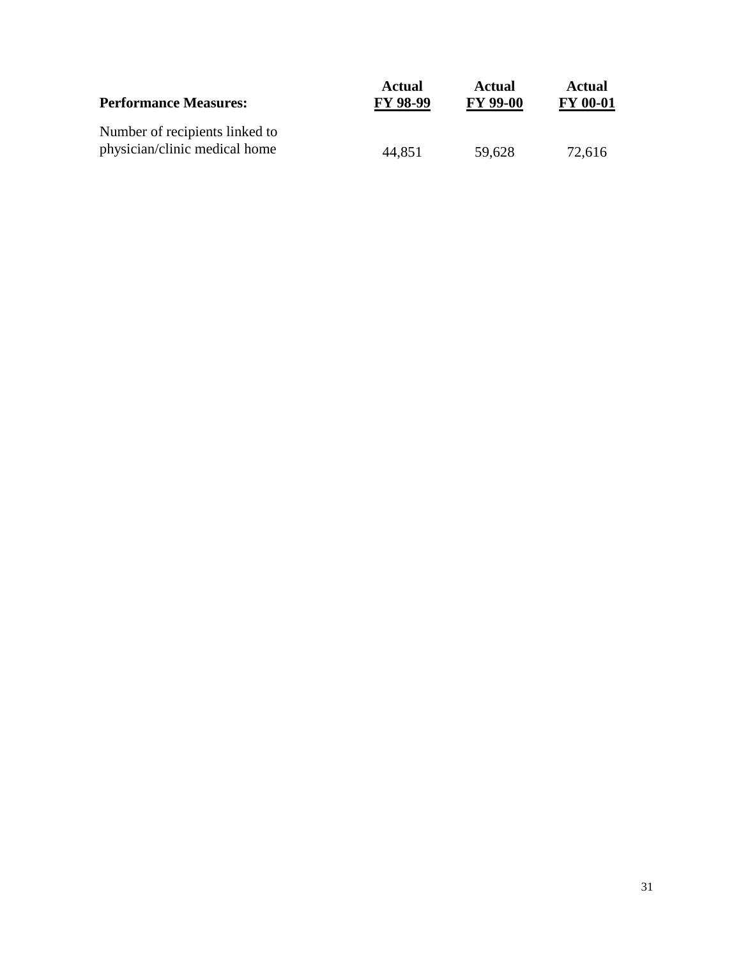| <b>Performance Measures:</b>                                    | <b>Actual</b>   | <b>Actual</b>   | Actual          |
|-----------------------------------------------------------------|-----------------|-----------------|-----------------|
|                                                                 | <b>FY 98-99</b> | <b>FY 99-00</b> | <b>FY 00-01</b> |
| Number of recipients linked to<br>physician/clinic medical home | 44.851          | 59,628          | 72,616          |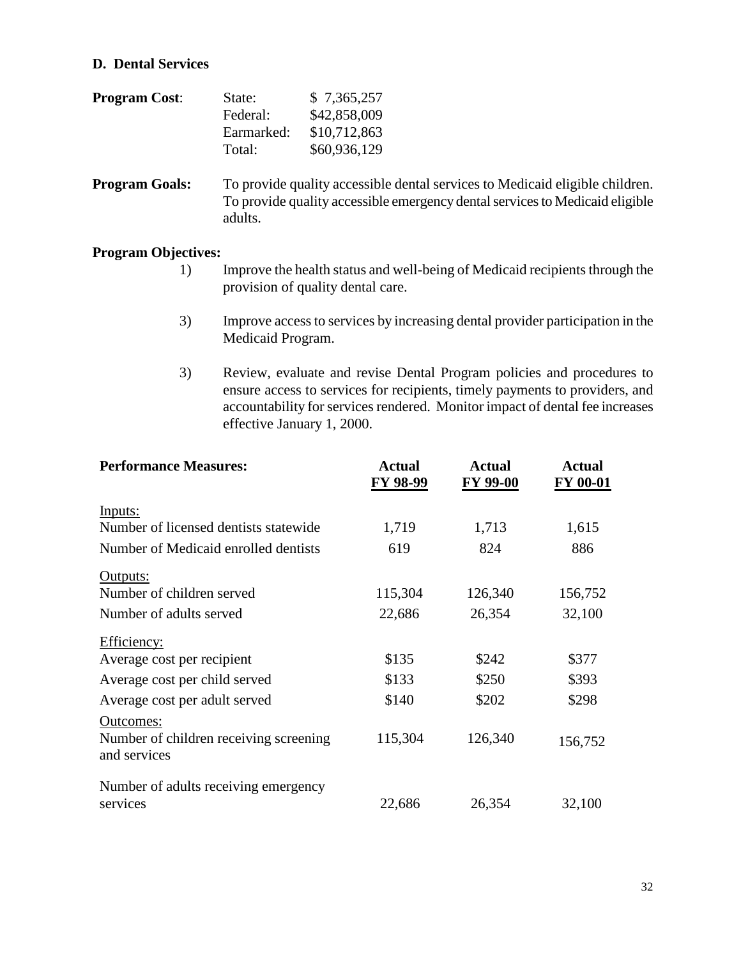#### **D. Dental Services**

| <b>Program Cost:</b> | State:     | \$7,365,257  |
|----------------------|------------|--------------|
|                      | Federal:   | \$42,858,009 |
|                      | Earmarked: | \$10,712,863 |
|                      | Total:     | \$60,936,129 |

**Program Goals:** To provide quality accessible dental services to Medicaid eligible children. To provide quality accessible emergency dental services to Medicaid eligible adults.

- 1) Improve the health status and well-being of Medicaid recipients through the provision of quality dental care.
- 3) Improve access to services by increasing dental provider participation in the Medicaid Program.
- 3) Review, evaluate and revise Dental Program policies and procedures to ensure access to services for recipients, timely payments to providers, and accountability for services rendered. Monitor impact of dental fee increases effective January 1, 2000.

| <b>Performance Measures:</b>                                        | <b>Actual</b><br>FY 98-99 | <b>Actual</b><br>FY 99-00 | <b>Actual</b><br>FY 00-01 |
|---------------------------------------------------------------------|---------------------------|---------------------------|---------------------------|
| Inputs:                                                             |                           |                           |                           |
| Number of licensed dentists statewide                               | 1,719                     | 1,713                     | 1,615                     |
| Number of Medicaid enrolled dentists                                | 619                       | 824                       | 886                       |
| Outputs:                                                            |                           |                           |                           |
| Number of children served                                           | 115,304                   | 126,340                   | 156,752                   |
| Number of adults served                                             | 22,686                    | 26,354                    | 32,100                    |
| Efficiency:                                                         |                           |                           |                           |
| Average cost per recipient                                          | \$135                     | \$242                     | \$377                     |
| Average cost per child served                                       | \$133                     | \$250                     | \$393                     |
| Average cost per adult served                                       | \$140                     | \$202                     | \$298                     |
| Outcomes:<br>Number of children receiving screening<br>and services | 115,304                   | 126,340                   | 156,752                   |
| Number of adults receiving emergency<br>services                    | 22,686                    | 26,354                    | 32,100                    |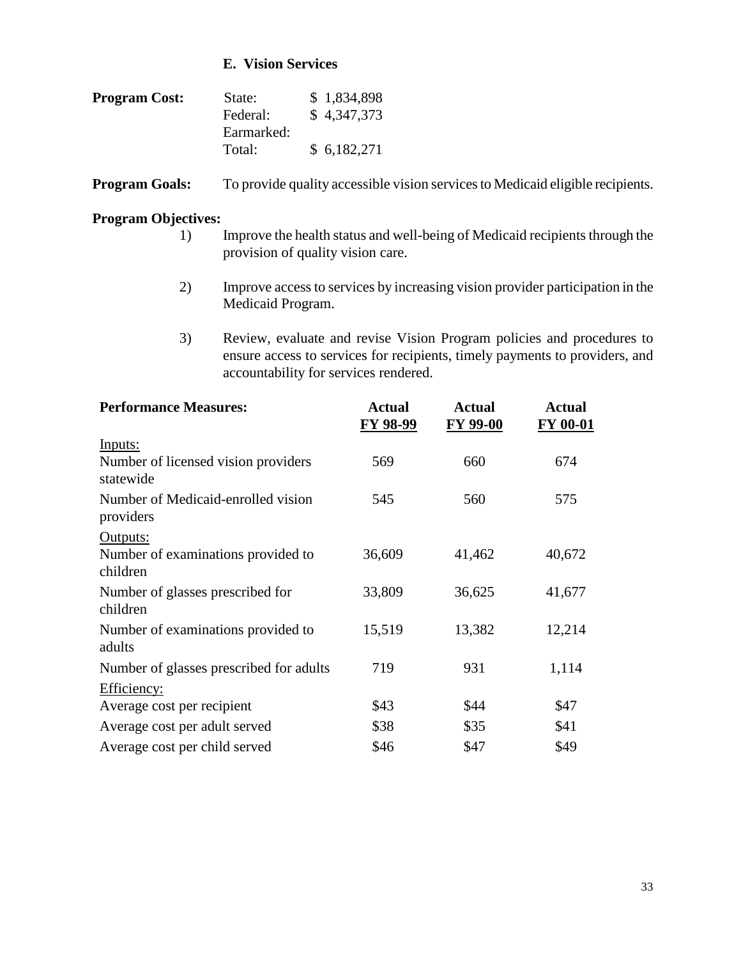#### **E. Vision Services**

| <b>Program Cost:</b> | State:     | \$1,834,898 |
|----------------------|------------|-------------|
|                      | Federal:   | \$4,347,373 |
|                      | Earmarked: |             |
|                      | Total:     | \$6,182,271 |

**Program Goals:** To provide quality accessible vision services to Medicaid eligible recipients.

- 1) Improve the health status and well-being of Medicaid recipients through the provision of quality vision care.
- 2) Improve access to services by increasing vision provider participation in the Medicaid Program.
- 3) Review, evaluate and revise Vision Program policies and procedures to ensure access to services for recipients, timely payments to providers, and accountability for services rendered.

| <b>Performance Measures:</b>                     | <b>Actual</b><br>FY 98-99 | <b>Actual</b><br>FY 99-00 | <b>Actual</b><br>FY 00-01 |
|--------------------------------------------------|---------------------------|---------------------------|---------------------------|
| Inputs:                                          |                           |                           |                           |
| Number of licensed vision providers<br>statewide | 569                       | 660                       | 674                       |
| Number of Medicaid-enrolled vision<br>providers  | 545                       | 560                       | 575                       |
| Outputs:                                         |                           |                           |                           |
| Number of examinations provided to<br>children   | 36,609                    | 41,462                    | 40,672                    |
| Number of glasses prescribed for<br>children     | 33,809                    | 36,625                    | 41,677                    |
| Number of examinations provided to<br>adults     | 15,519                    | 13,382                    | 12,214                    |
| Number of glasses prescribed for adults          | 719                       | 931                       | 1,114                     |
| Efficiency:                                      |                           |                           |                           |
| Average cost per recipient                       | \$43                      | \$44                      | \$47                      |
| Average cost per adult served                    | \$38                      | \$35                      | \$41                      |
| Average cost per child served                    | \$46                      | \$47                      | \$49                      |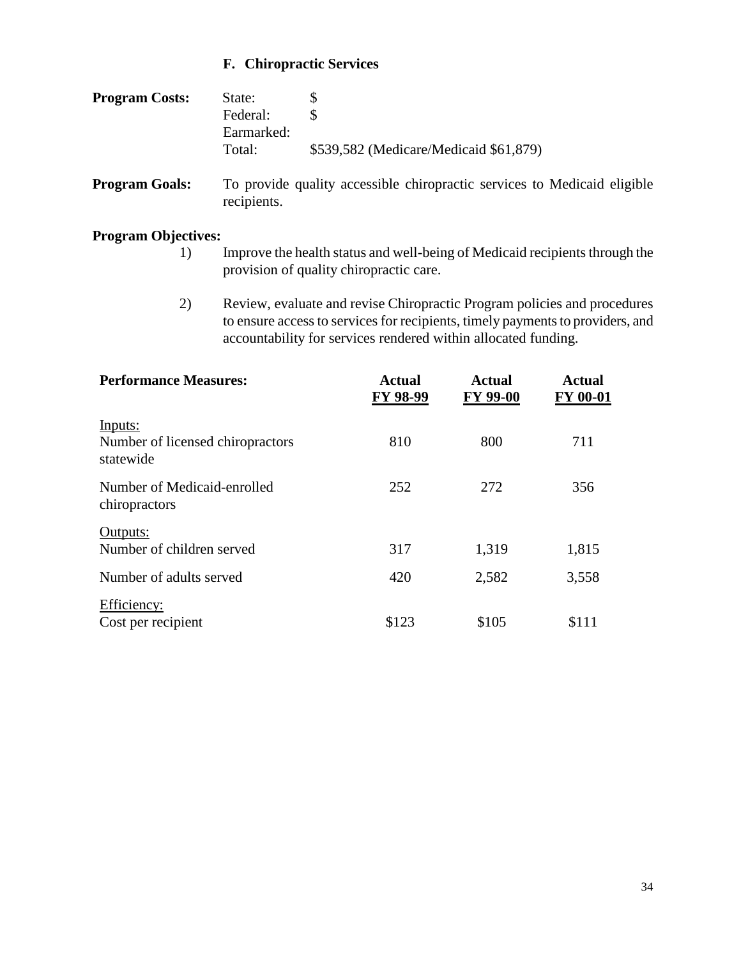## **F. Chiropractic Services**

| <b>Program Costs:</b> | State:<br>Federal:<br>Earmarked:<br>Total: | \$539,582 (Medicare/Medicaid \$61,879) |
|-----------------------|--------------------------------------------|----------------------------------------|
|                       |                                            |                                        |

**Program Goals:** To provide quality accessible chiropractic services to Medicaid eligible recipients.

- 1) Improve the health status and well-being of Medicaid recipients through the provision of quality chiropractic care.
- 2) Review, evaluate and revise Chiropractic Program policies and procedures to ensure access to services for recipients, timely payments to providers, and accountability for services rendered within allocated funding.

| <b>Performance Measures:</b>                             | <b>Actual</b><br>FY 98-99 | Actual<br><b>FY 99-00</b> | <b>Actual</b><br><b>FY 00-01</b> |
|----------------------------------------------------------|---------------------------|---------------------------|----------------------------------|
| Inputs:<br>Number of licensed chiropractors<br>statewide | 810                       | 800                       | 711                              |
| Number of Medicaid-enrolled<br>chiropractors             | 252                       | 272                       | 356                              |
| Outputs:<br>Number of children served                    | 317                       | 1,319                     | 1,815                            |
| Number of adults served                                  | 420                       | 2,582                     | 3,558                            |
| Efficiency:<br>Cost per recipient                        | \$123                     | \$105                     | \$111                            |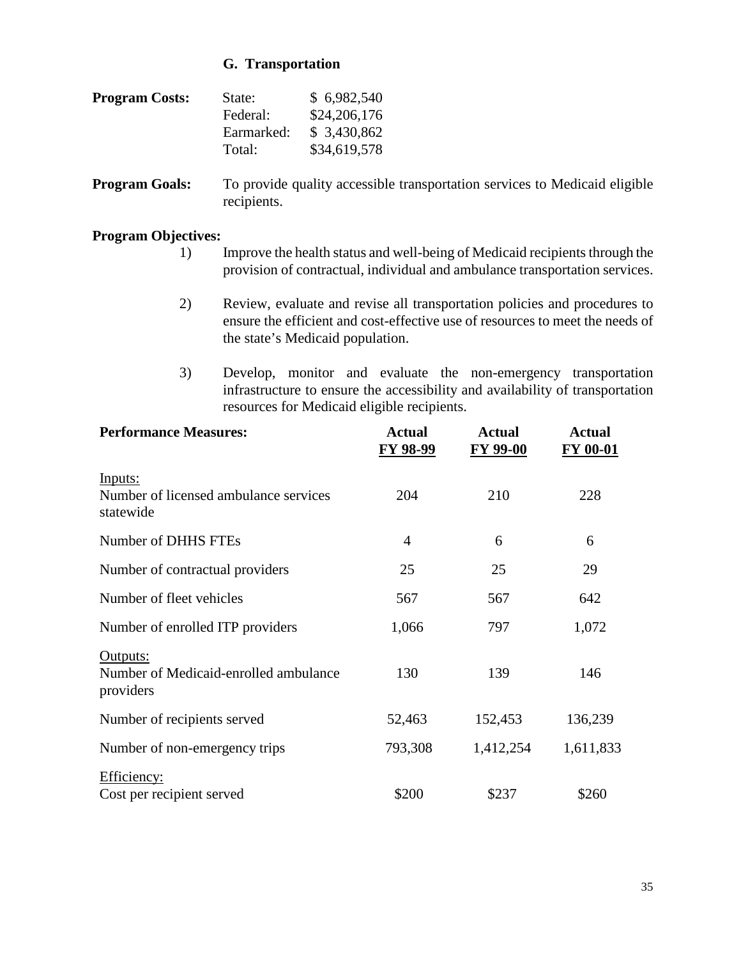#### **G. Transportation**

| <b>Program Costs:</b> | State:     | \$6,982,540  |
|-----------------------|------------|--------------|
|                       | Federal:   | \$24,206,176 |
|                       | Earmarked: | \$3,430,862  |
|                       | Total:     | \$34,619,578 |

**Program Goals:** To provide quality accessible transportation services to Medicaid eligible recipients.

- 1) Improve the health status and well-being of Medicaid recipients through the provision of contractual, individual and ambulance transportation services.
- 2) Review, evaluate and revise all transportation policies and procedures to ensure the efficient and cost-effective use of resources to meet the needs of the state's Medicaid population.
- 3) Develop, monitor and evaluate the non-emergency transportation infrastructure to ensure the accessibility and availability of transportation resources for Medicaid eligible recipients.

| <b>Performance Measures:</b>                                   | <b>Actual</b><br><b>FY 98-99</b> | <b>Actual</b><br><b>FY 99-00</b> | <b>Actual</b><br>FY 00-01 |
|----------------------------------------------------------------|----------------------------------|----------------------------------|---------------------------|
| Inputs:<br>Number of licensed ambulance services<br>statewide  | 204                              | 210                              | 228                       |
| Number of DHHS FTEs                                            | $\overline{4}$                   | 6                                | 6                         |
| Number of contractual providers                                | 25                               | 25                               | 29                        |
| Number of fleet vehicles                                       | 567                              | 567                              | 642                       |
| Number of enrolled ITP providers                               | 1,066                            | 797                              | 1,072                     |
| Outputs:<br>Number of Medicaid-enrolled ambulance<br>providers | 130                              | 139                              | 146                       |
| Number of recipients served                                    | 52,463                           | 152,453                          | 136,239                   |
| Number of non-emergency trips                                  | 793,308                          | 1,412,254                        | 1,611,833                 |
| Efficiency:<br>Cost per recipient served                       | \$200                            | \$237                            | \$260                     |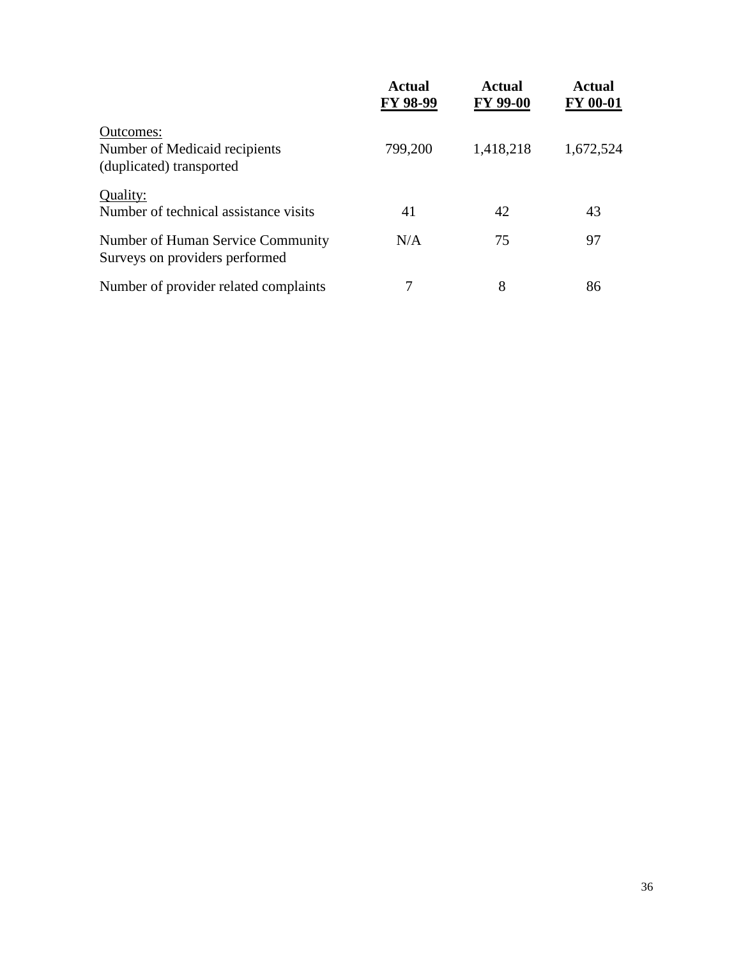|                                                                        | Actual<br>FY 98-99 | Actual<br><b>FY 99-00</b> | <b>Actual</b><br><b>FY 00-01</b> |
|------------------------------------------------------------------------|--------------------|---------------------------|----------------------------------|
| Outcomes:<br>Number of Medicaid recipients<br>(duplicated) transported | 799,200            | 1,418,218                 | 1,672,524                        |
| Quality:<br>Number of technical assistance visits                      | 41                 | 42                        | 43                               |
| Number of Human Service Community<br>Surveys on providers performed    | N/A                | 75                        | 97                               |
| Number of provider related complaints                                  | 7                  | 8                         | 86                               |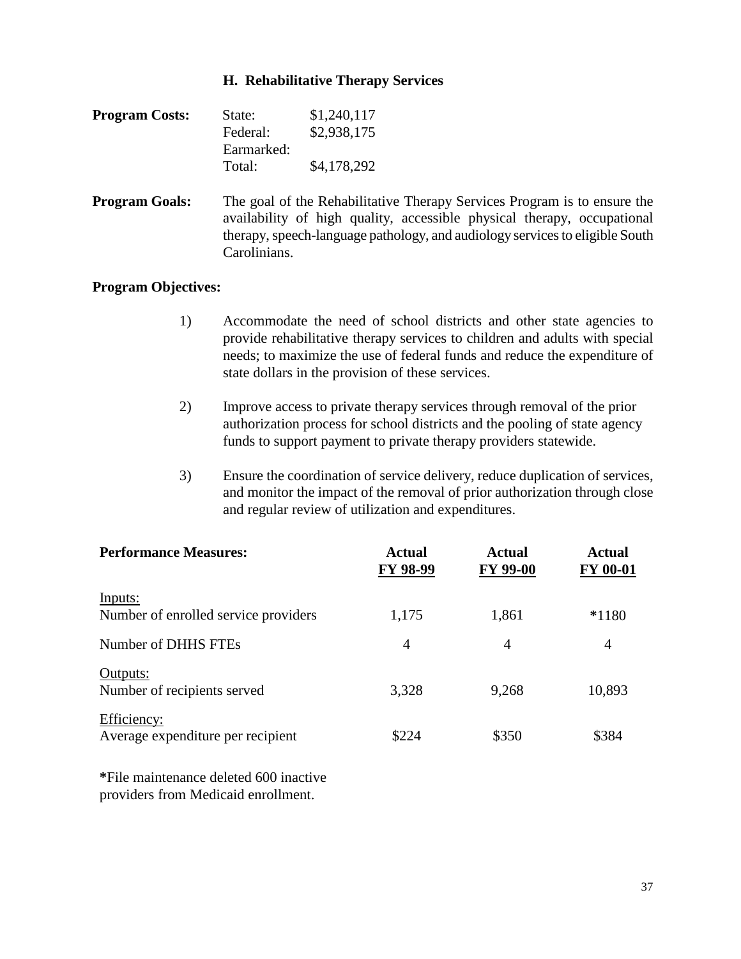#### **H. Rehabilitative Therapy Services**

| <b>Program Costs:</b> | State:     | \$1,240,117 |
|-----------------------|------------|-------------|
|                       | Federal:   | \$2,938,175 |
|                       | Earmarked: |             |
|                       | Total:     | \$4,178,292 |

**Program Goals:** The goal of the Rehabilitative Therapy Services Program is to ensure the availability of high quality, accessible physical therapy, occupational therapy, speech-language pathology, and audiology services to eligible South Carolinians.

#### **Program Objectives:**

- 1) Accommodate the need of school districts and other state agencies to provide rehabilitative therapy services to children and adults with special needs; to maximize the use of federal funds and reduce the expenditure of state dollars in the provision of these services.
- 2) Improve access to private therapy services through removal of the prior authorization process for school districts and the pooling of state agency funds to support payment to private therapy providers statewide.
- 3) Ensure the coordination of service delivery, reduce duplication of services, and monitor the impact of the removal of prior authorization through close and regular review of utilization and expenditures.

| <b>Performance Measures:</b>                     | Actual<br>FY 98-99 | Actual<br><b>FY 99-00</b> | <b>Actual</b><br><b>FY 00-01</b> |
|--------------------------------------------------|--------------------|---------------------------|----------------------------------|
| Inputs:<br>Number of enrolled service providers  | 1,175              | 1,861                     | $*1180$                          |
| Number of DHHS FTEs                              | $\overline{4}$     | 4                         | 4                                |
| Outputs:<br>Number of recipients served          | 3,328              | 9,268                     | 10,893                           |
| Efficiency:<br>Average expenditure per recipient | \$224              | \$350                     | \$384                            |

**\***File maintenance deleted 600 inactive providers from Medicaid enrollment.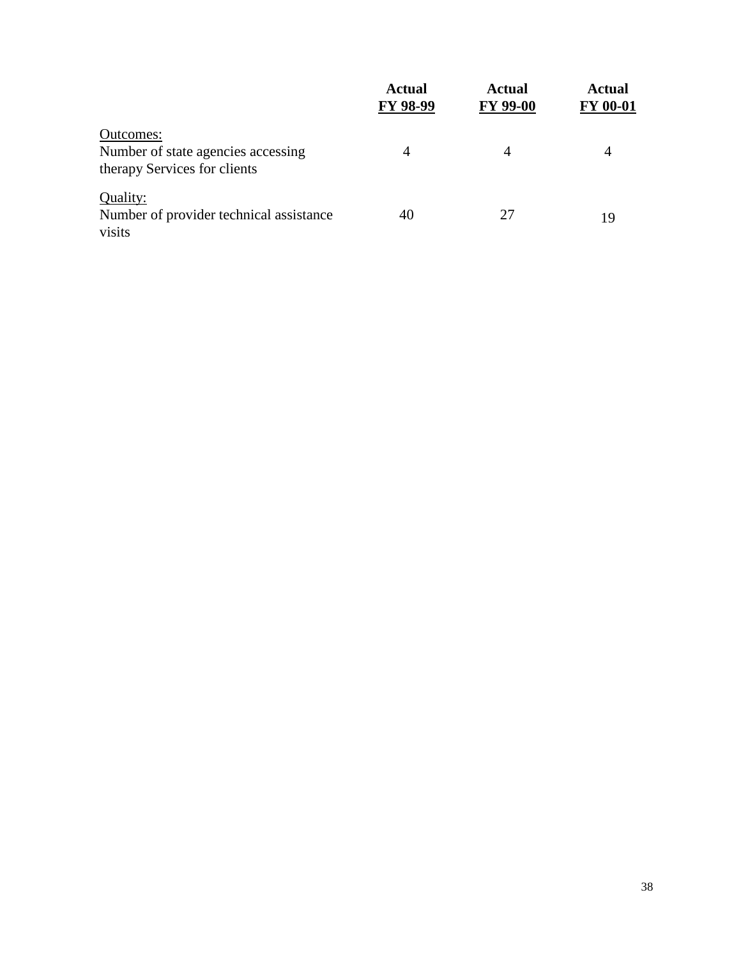|                                                                                 | <b>Actual</b><br>FY 98-99 | <b>Actual</b><br><b>FY 99-00</b> | <b>Actual</b><br><b>FY 00-01</b> |
|---------------------------------------------------------------------------------|---------------------------|----------------------------------|----------------------------------|
| Outcomes:<br>Number of state agencies accessing<br>therapy Services for clients | $\overline{4}$            | 4                                | 4                                |
| Quality:<br>Number of provider technical assistance<br>visits                   | 40                        | 27                               | 19                               |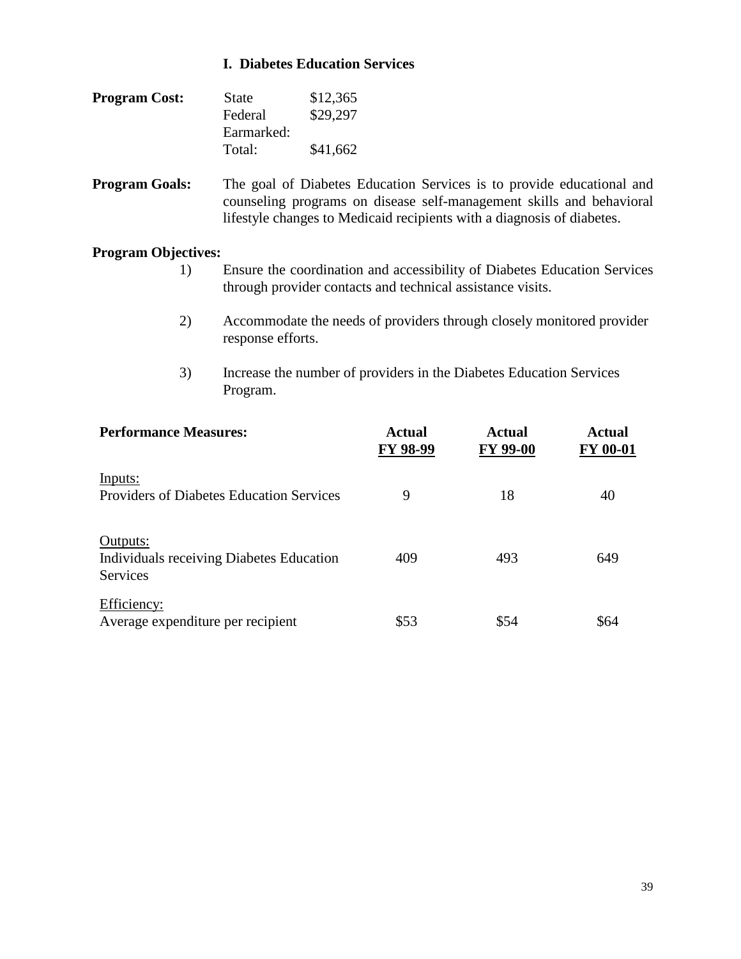#### **I. Diabetes Education Services**

| <b>Program Cost:</b> | <b>State</b> | \$12,365 |
|----------------------|--------------|----------|
|                      | Federal      | \$29,297 |
|                      | Earmarked:   |          |
|                      | Total:       | \$41,662 |

**Program Goals:** The goal of Diabetes Education Services is to provide educational and counseling programs on disease self-management skills and behavioral lifestyle changes to Medicaid recipients with a diagnosis of diabetes.

- 1) Ensure the coordination and accessibility of Diabetes Education Services through provider contacts and technical assistance visits.
- 2) Accommodate the needs of providers through closely monitored provider response efforts.
- 3) Increase the number of providers in the Diabetes Education Services Program.

| <b>Performance Measures:</b>                                            | Actual<br>FY 98-99 | Actual<br><b>FY 99-00</b> | <b>Actual</b><br><b>FY 00-01</b> |
|-------------------------------------------------------------------------|--------------------|---------------------------|----------------------------------|
| Inputs:<br><b>Providers of Diabetes Education Services</b>              | 9                  | 18                        | 40                               |
| Outputs:<br>Individuals receiving Diabetes Education<br><b>Services</b> | 409                | 493                       | 649                              |
| Efficiency:<br>Average expenditure per recipient                        | \$53               | \$54                      | \$64                             |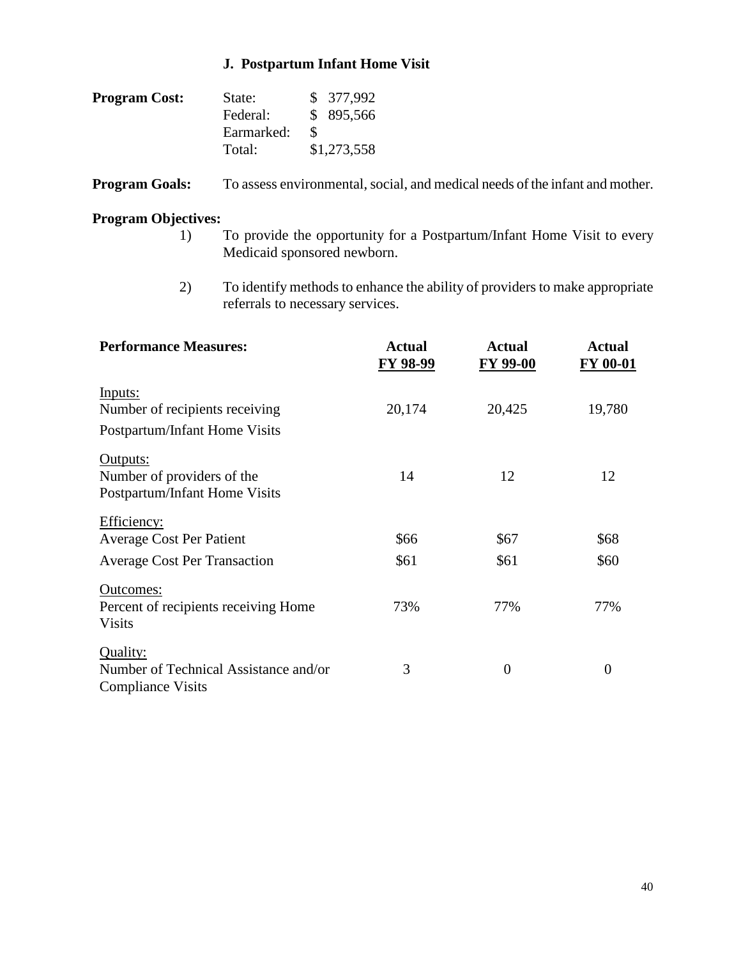## **J. Postpartum Infant Home Visit**

| <b>Program Cost:</b> | State:     |   | \$ 377,992  |
|----------------------|------------|---|-------------|
|                      | Federal:   |   | \$ 895,566  |
|                      | Earmarked: | К |             |
|                      | Total:     |   | \$1,273,558 |

**Program Goals:** To assess environmental, social, and medical needs of the infant and mother.

- 1) To provide the opportunity for a Postpartum/Infant Home Visit to every Medicaid sponsored newborn.
- 2) To identify methods to enhance the ability of providers to make appropriate referrals to necessary services.

| <b>Performance Measures:</b>                                                          | <b>Actual</b><br><b>FY 98-99</b> | Actual<br><b>FY 99-00</b> | <b>Actual</b><br><b>FY 00-01</b> |
|---------------------------------------------------------------------------------------|----------------------------------|---------------------------|----------------------------------|
| Inputs:<br>Number of recipients receiving<br>Postpartum/Infant Home Visits            | 20,174                           | 20,425                    | 19,780                           |
| Outputs:<br>Number of providers of the<br>Postpartum/Infant Home Visits               | 14                               | 12                        | 12                               |
| Efficiency:<br><b>Average Cost Per Patient</b><br><b>Average Cost Per Transaction</b> | \$66<br>\$61                     | \$67<br>\$61              | \$68<br>\$60                     |
| Outcomes:<br>Percent of recipients receiving Home<br><b>Visits</b>                    | 73%                              | 77%                       | 77%                              |
| Quality:<br>Number of Technical Assistance and/or<br><b>Compliance Visits</b>         | 3                                | $\overline{0}$            | $\theta$                         |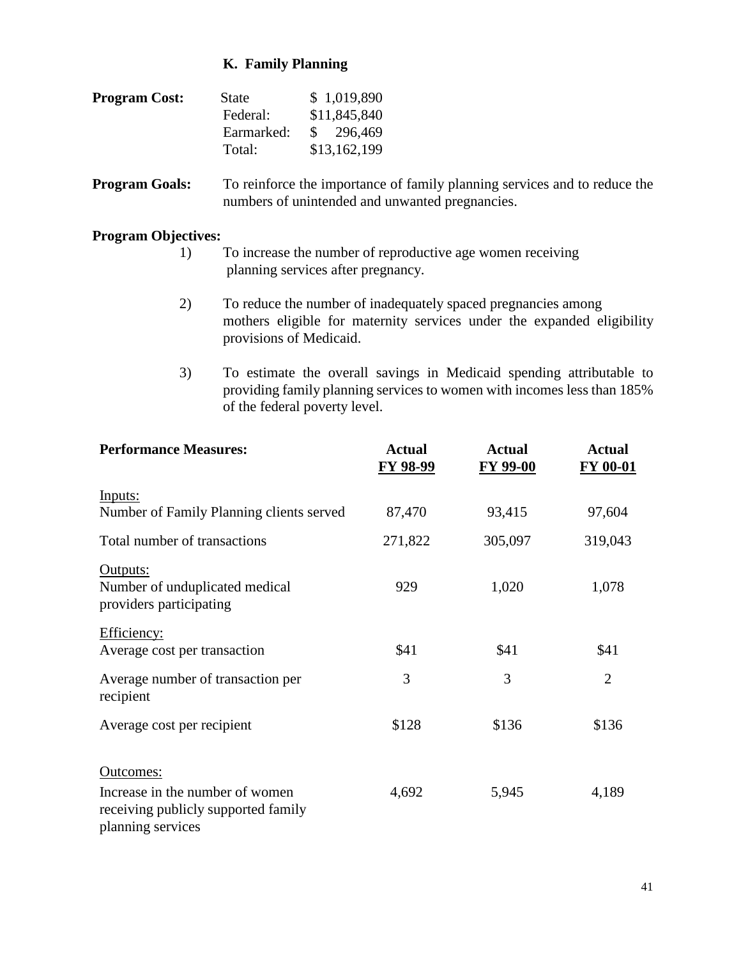#### **K. Family Planning**

| <b>Program Cost:</b> | <b>State</b> | \$1,019,890  |
|----------------------|--------------|--------------|
|                      | Federal:     | \$11,845,840 |
|                      | Earmarked:   | \$296,469    |
|                      | Total:       | \$13,162,199 |

**Program Goals:** To reinforce the importance of family planning services and to reduce the numbers of unintended and unwanted pregnancies.

- 1) To increase the number of reproductive age women receiving planning services after pregnancy.
- 2) To reduce the number of inadequately spaced pregnancies among mothers eligible for maternity services under the expanded eligibility provisions of Medicaid.
- 3) To estimate the overall savings in Medicaid spending attributable to providing family planning services to women with incomes less than 185% of the federal poverty level.

| <b>Performance Measures:</b>                                                                | <b>Actual</b><br>FY 98-99 | <b>Actual</b><br>FY 99-00 | <b>Actual</b><br>FY 00-01 |
|---------------------------------------------------------------------------------------------|---------------------------|---------------------------|---------------------------|
| Inputs:<br>Number of Family Planning clients served                                         | 87,470                    | 93,415                    | 97,604                    |
| Total number of transactions                                                                | 271,822                   | 305,097                   | 319,043                   |
| Outputs:<br>Number of unduplicated medical<br>providers participating                       | 929                       | 1,020                     | 1,078                     |
| Efficiency:<br>Average cost per transaction                                                 | \$41                      | \$41                      | \$41                      |
| Average number of transaction per<br>recipient                                              | 3                         | 3                         | $\overline{2}$            |
| Average cost per recipient                                                                  | \$128                     | \$136                     | \$136                     |
| Outcomes:                                                                                   |                           |                           |                           |
| Increase in the number of women<br>receiving publicly supported family<br>planning services | 4,692                     | 5,945                     | 4,189                     |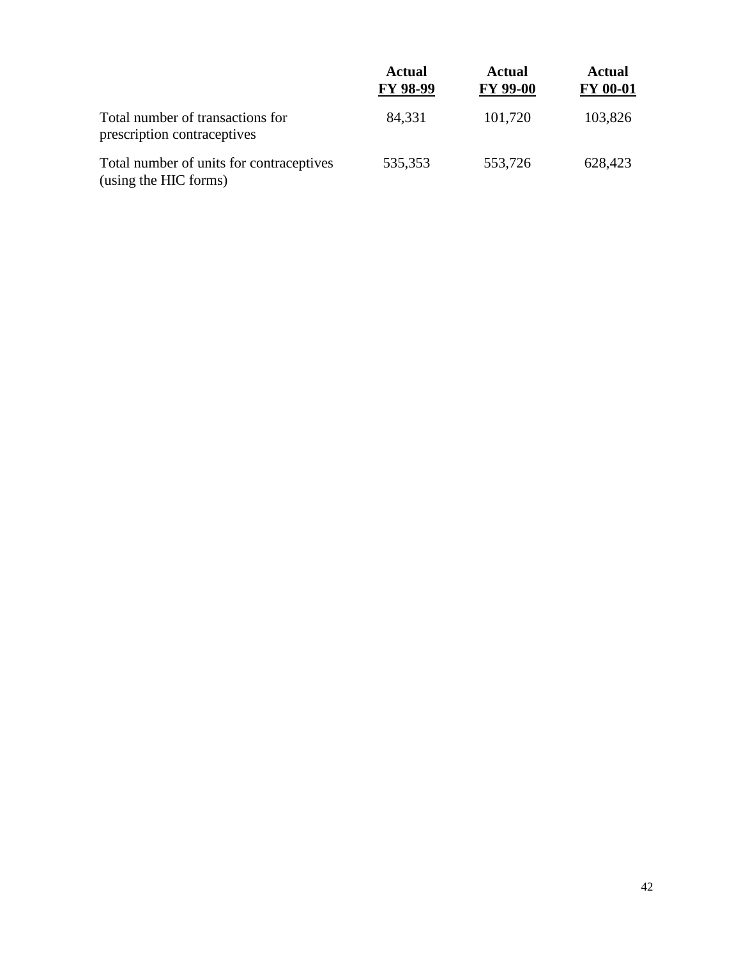|                                                                   | <b>Actual</b><br><b>FY 98-99</b> | <b>Actual</b><br><b>FY 99-00</b> | <b>Actual</b><br><b>FY 00-01</b> |
|-------------------------------------------------------------------|----------------------------------|----------------------------------|----------------------------------|
| Total number of transactions for<br>prescription contraceptives   | 84,331                           | 101,720                          | 103,826                          |
| Total number of units for contraceptives<br>(using the HIC forms) | 535,353                          | 553,726                          | 628,423                          |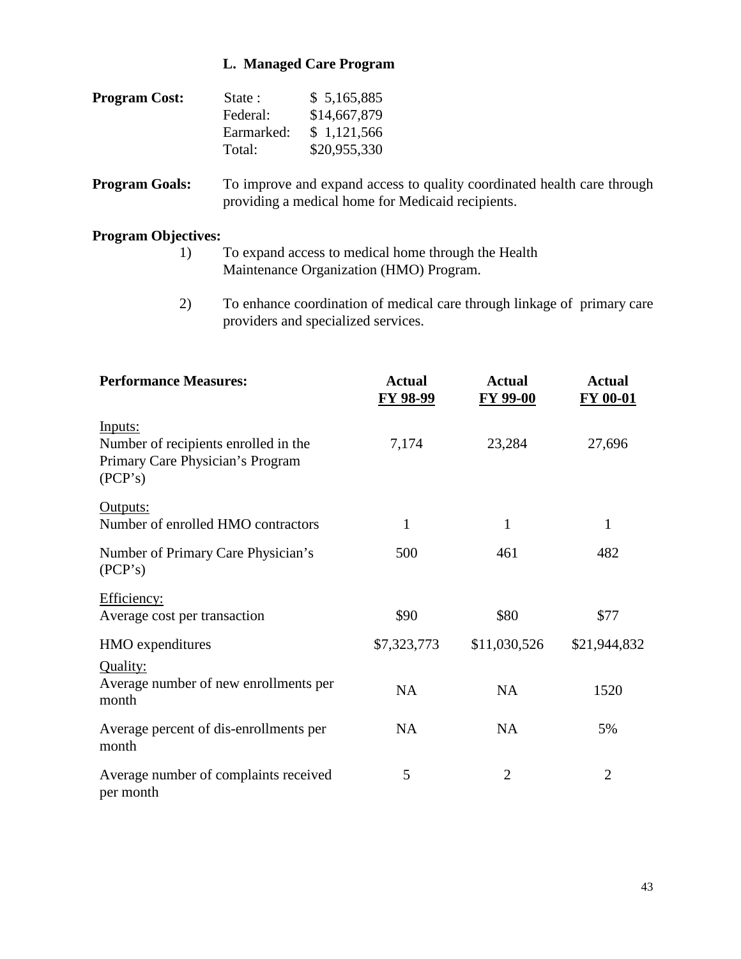#### **L. Managed Care Program**

| <b>Program Cost:</b> | State:     | \$5,165,885  |
|----------------------|------------|--------------|
|                      | Federal:   | \$14,667,879 |
|                      | Earmarked: | \$1,121,566  |
|                      | Total:     | \$20,955,330 |

**Program Goals:** To improve and expand access to quality coordinated health care through providing a medical home for Medicaid recipients.

- 1) To expand access to medical home through the Health Maintenance Organization (HMO) Program.
- 2) To enhance coordination of medical care through linkage of primary care providers and specialized services.

| <b>Performance Measures:</b>                                                                   | <b>Actual</b><br>FY 98-99 | <b>Actual</b><br><b>FY 99-00</b> | <b>Actual</b><br><b>FY 00-01</b> |
|------------------------------------------------------------------------------------------------|---------------------------|----------------------------------|----------------------------------|
| Inputs:<br>Number of recipients enrolled in the<br>Primary Care Physician's Program<br>(PCP's) | 7,174                     | 23,284                           | 27,696                           |
| Outputs:<br>Number of enrolled HMO contractors                                                 | $\mathbf{1}$              | $\mathbf{1}$                     | $\mathbf{1}$                     |
| Number of Primary Care Physician's<br>(PCP's)                                                  | 500                       | 461                              | 482                              |
| Efficiency:<br>Average cost per transaction                                                    | \$90                      | \$80                             | \$77                             |
| HMO expenditures                                                                               | \$7,323,773               | \$11,030,526                     | \$21,944,832                     |
| Quality:<br>Average number of new enrollments per<br>month                                     | <b>NA</b>                 | <b>NA</b>                        | 1520                             |
| Average percent of dis-enrollments per<br>month                                                | <b>NA</b>                 | <b>NA</b>                        | 5%                               |
| Average number of complaints received<br>per month                                             | 5                         | $\overline{2}$                   | $\overline{2}$                   |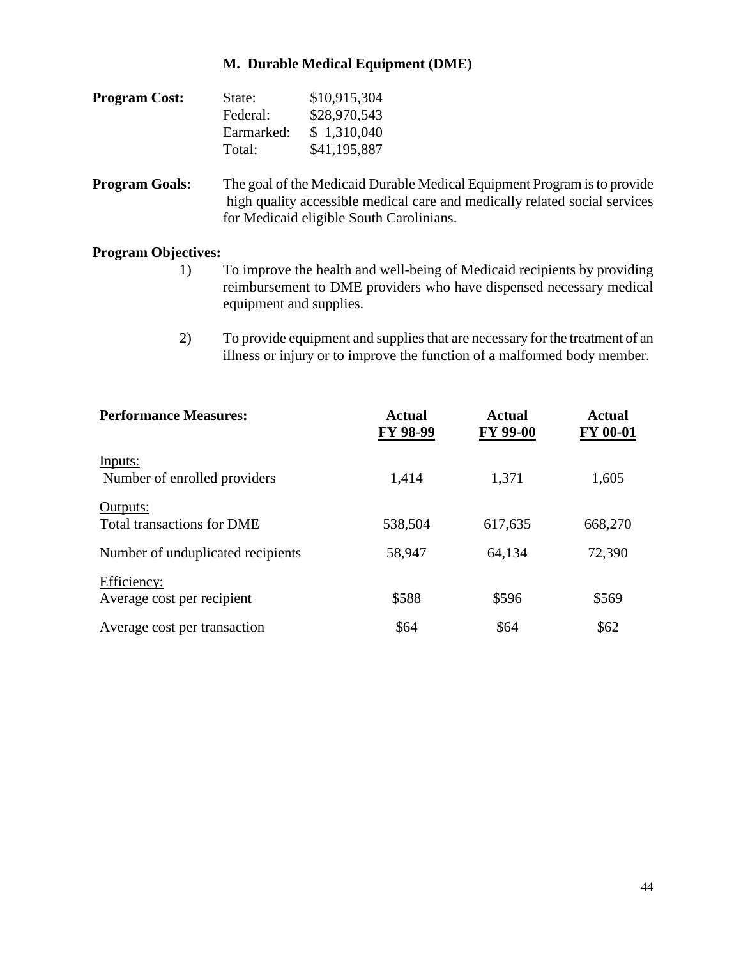## **M. Durable Medical Equipment (DME)**

| <b>Program Cost:</b> | State:     | \$10,915,304 |
|----------------------|------------|--------------|
|                      | Federal:   | \$28,970,543 |
|                      | Earmarked: | \$1,310,040  |
|                      | Total:     | \$41,195,887 |

**Program Goals:** The goal of the Medicaid Durable Medical Equipment Program is to provide high quality accessible medical care and medically related social services for Medicaid eligible South Carolinians.

- 1) To improve the health and well-being of Medicaid recipients by providing reimbursement to DME providers who have dispensed necessary medical equipment and supplies.
- 2) To provide equipment and supplies that are necessary for the treatment of an illness or injury or to improve the function of a malformed body member.

| <b>Performance Measures:</b>                  | <b>Actual</b><br>FY 98-99 | <b>Actual</b><br><b>FY 99-00</b> | <b>Actual</b><br><b>FY 00-01</b> |
|-----------------------------------------------|---------------------------|----------------------------------|----------------------------------|
| Inputs:<br>Number of enrolled providers       | 1,414                     | 1,371                            | 1,605                            |
| Outputs:<br><b>Total transactions for DME</b> | 538,504                   | 617,635                          | 668,270                          |
| Number of unduplicated recipients             | 58,947                    | 64,134                           | 72,390                           |
| Efficiency:<br>Average cost per recipient     | \$588                     | \$596                            | \$569                            |
| Average cost per transaction                  | \$64                      | \$64                             | \$62                             |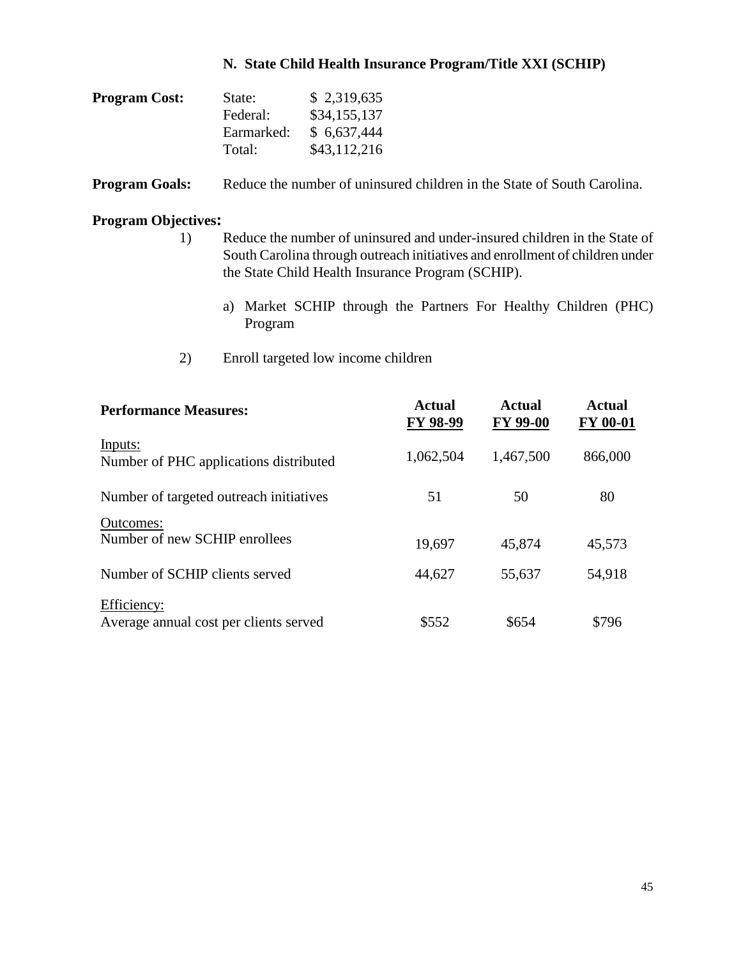#### **N. State Child Health Insurance Program/Title XXI (SCHIP)**

| <b>Program Cost:</b> | State:     | \$2,319,635  |
|----------------------|------------|--------------|
|                      | Federal:   | \$34,155,137 |
|                      | Earmarked: | \$6,637,444  |
|                      | Total:     | \$43,112,216 |

**Program Goals:** Reduce the number of uninsured children in the State of South Carolina.

- 1) Reduce the number of uninsured and under-insured children in the State of South Carolina through outreach initiatives and enrollment of children under the State Child Health Insurance Program (SCHIP).
	- a) Market SCHIP through the Partners For Healthy Children (PHC) Program
- 2) Enroll targeted low income children

| <b>Performance Measures:</b>                          | <b>Actual</b><br>FY 98-99 | <b>Actual</b><br><b>FY 99-00</b> | <b>Actual</b><br><b>FY 00-01</b> |
|-------------------------------------------------------|---------------------------|----------------------------------|----------------------------------|
| Inputs:<br>Number of PHC applications distributed     | 1,062,504                 | 1,467,500                        | 866,000                          |
| Number of targeted outreach initiatives               | 51                        | 50                               | 80                               |
| Outcomes:<br>Number of new SCHIP enrollees            | 19,697                    | 45,874                           | 45,573                           |
| Number of SCHIP clients served                        | 44,627                    | 55,637                           | 54,918                           |
| Efficiency:<br>Average annual cost per clients served | \$552                     | \$654                            | \$796                            |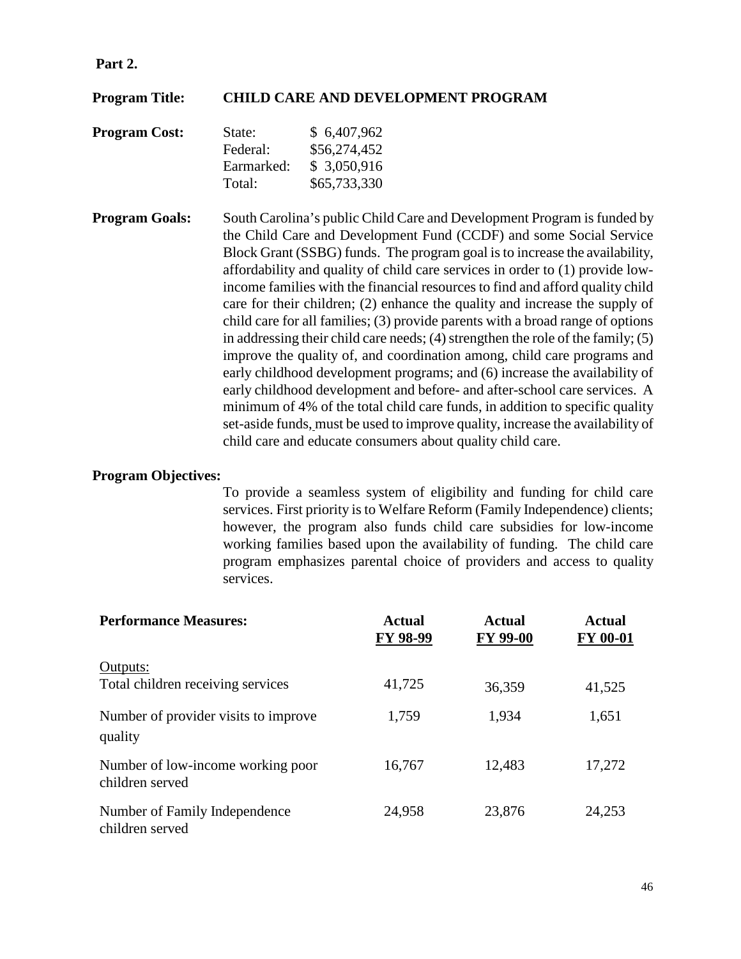#### **Part 2.**

#### **Program Title: CHILD CARE AND DEVELOPMENT PROGRAM**

| <b>Program Cost:</b> | State:     | \$6,407,962  |
|----------------------|------------|--------------|
|                      | Federal:   | \$56,274,452 |
|                      | Earmarked: | \$3,050,916  |
|                      | Total:     | \$65,733,330 |

**Program Goals:** South Carolina's public Child Care and Development Program is funded by the Child Care and Development Fund (CCDF) and some Social Service Block Grant (SSBG) funds. The program goal is to increase the availability, affordability and quality of child care services in order to (1) provide lowincome families with the financial resources to find and afford quality child care for their children; (2) enhance the quality and increase the supply of child care for all families; (3) provide parents with a broad range of options in addressing their child care needs; (4) strengthen the role of the family; (5) improve the quality of, and coordination among, child care programs and early childhood development programs; and (6) increase the availability of early childhood development and before- and after-school care services. A minimum of 4% of the total child care funds, in addition to specific quality set-aside funds, must be used to improve quality, increase the availability of child care and educate consumers about quality child care.

#### **Program Objectives:**

To provide a seamless system of eligibility and funding for child care services. First priority is to Welfare Reform (Family Independence) clients; however, the program also funds child care subsidies for low-income working families based upon the availability of funding. The child care program emphasizes parental choice of providers and access to quality services.

| <b>Performance Measures:</b>                         | <b>Actual</b><br>FY 98-99 | <b>Actual</b><br>FY 99-00 | <b>Actual</b><br><b>FY 00-01</b> |
|------------------------------------------------------|---------------------------|---------------------------|----------------------------------|
| Outputs:<br>Total children receiving services        | 41,725                    | 36,359                    | 41,525                           |
| Number of provider visits to improve<br>quality      | 1,759                     | 1,934                     | 1,651                            |
| Number of low-income working poor<br>children served | 16,767                    | 12,483                    | 17,272                           |
| Number of Family Independence<br>children served     | 24,958                    | 23,876                    | 24,253                           |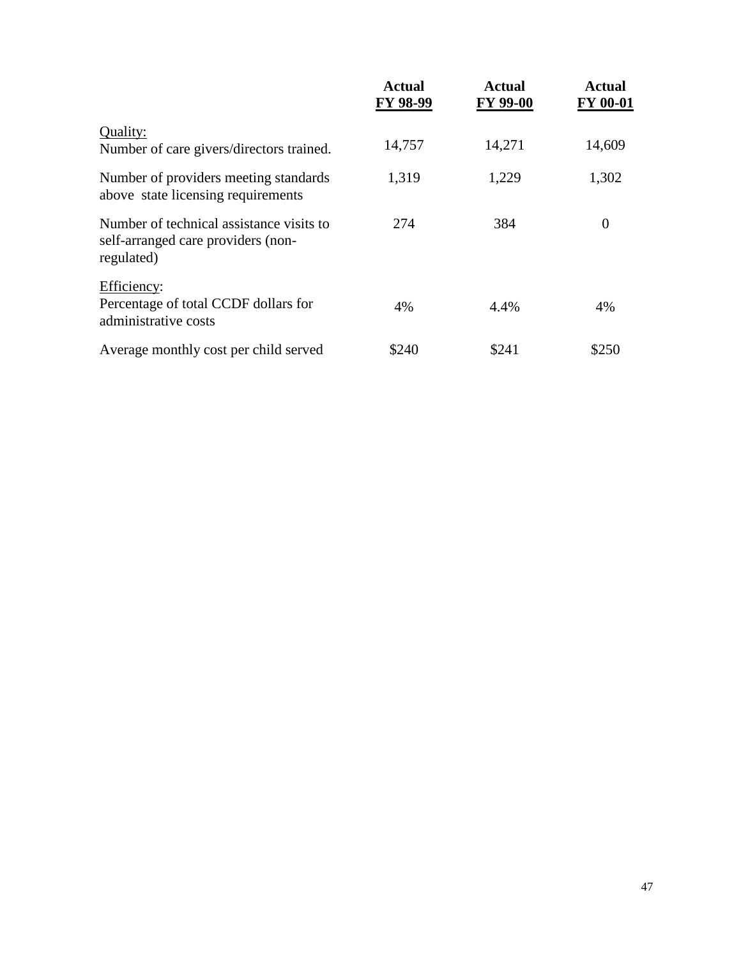|                                                                                              | <b>Actual</b><br>FY 98-99 | Actual<br>FY 99-00 | <b>Actual</b><br><b>FY 00-01</b> |
|----------------------------------------------------------------------------------------------|---------------------------|--------------------|----------------------------------|
| Quality:<br>Number of care givers/directors trained.                                         | 14,757                    | 14,271             | 14,609                           |
| Number of providers meeting standards<br>above state licensing requirements                  | 1,319                     | 1,229              | 1,302                            |
| Number of technical assistance visits to<br>self-arranged care providers (non-<br>regulated) | 274                       | 384                | $\Omega$                         |
| Efficiency:<br>Percentage of total CCDF dollars for<br>administrative costs                  | 4%                        | 4.4%               | 4%                               |
| Average monthly cost per child served                                                        | \$240                     | \$241              | \$250                            |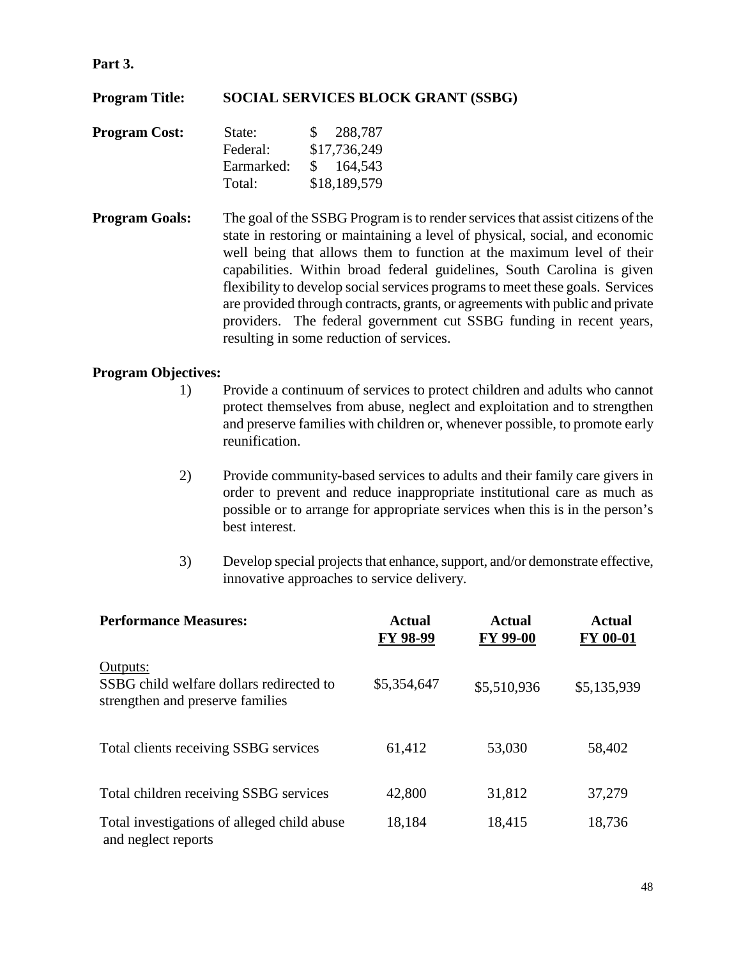#### **Part 3.**

## **Program Title: SOCIAL SERVICES BLOCK GRANT (SSBG)**

| <b>Program Cost:</b> | State:     | \$288,787    |
|----------------------|------------|--------------|
|                      | Federal:   | \$17,736,249 |
|                      | Earmarked: | \$164,543    |
|                      | Total:     | \$18,189,579 |

**Program Goals:** The goal of the SSBG Program is to render services that assist citizens of the state in restoring or maintaining a level of physical, social, and economic well being that allows them to function at the maximum level of their capabilities. Within broad federal guidelines, South Carolina is given flexibility to develop social services programs to meet these goals. Services are provided through contracts, grants, or agreements with public and private providers. The federal government cut SSBG funding in recent years, resulting in some reduction of services.

- 1) Provide a continuum of services to protect children and adults who cannot protect themselves from abuse, neglect and exploitation and to strengthen and preserve families with children or, whenever possible, to promote early reunification.
- 2) Provide community-based services to adults and their family care givers in order to prevent and reduce inappropriate institutional care as much as possible or to arrange for appropriate services when this is in the person's best interest.
- 3) Develop special projects that enhance, support, and/or demonstrate effective, innovative approaches to service delivery.

| <b>Performance Measures:</b>                                                             | <b>Actual</b><br>FY 98-99 | <b>Actual</b><br>FY 99-00 | <b>Actual</b><br><b>FY 00-01</b> |
|------------------------------------------------------------------------------------------|---------------------------|---------------------------|----------------------------------|
| Outputs:<br>SSBG child welfare dollars redirected to<br>strengthen and preserve families | \$5,354,647               | \$5,510,936               | \$5,135,939                      |
| Total clients receiving SSBG services                                                    | 61,412                    | 53,030                    | 58,402                           |
| Total children receiving SSBG services                                                   | 42,800                    | 31,812                    | 37,279                           |
| Total investigations of alleged child abuse<br>and neglect reports                       | 18,184                    | 18,415                    | 18,736                           |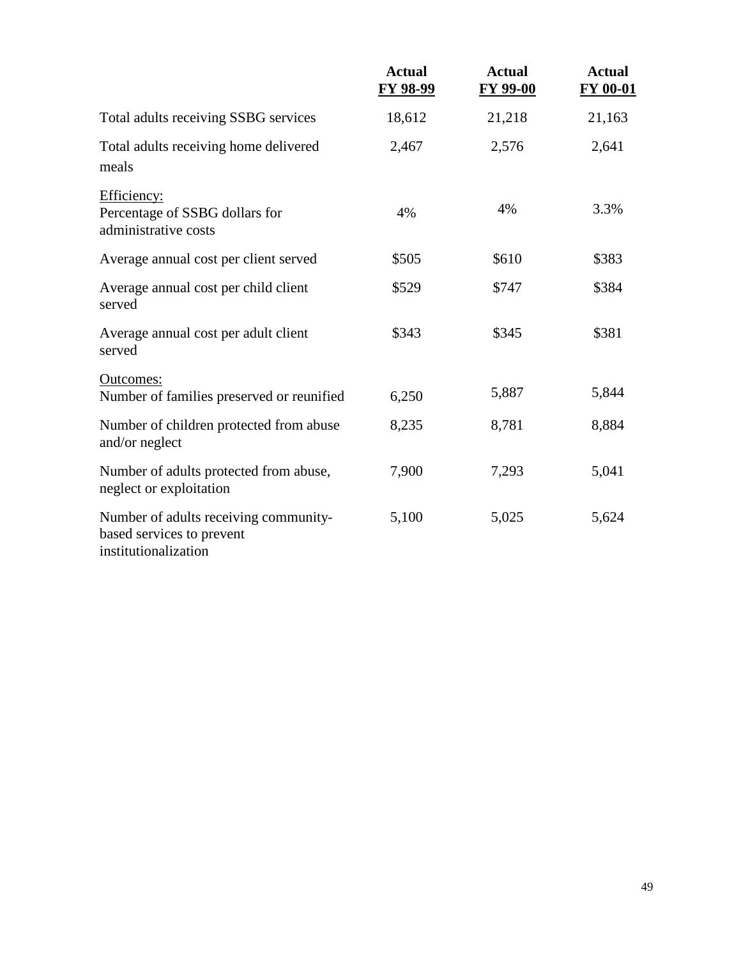|                                                                                            | <b>Actual</b><br>FY 98-99 | <b>Actual</b><br><b>FY 99-00</b> | <b>Actual</b><br><b>FY 00-01</b> |
|--------------------------------------------------------------------------------------------|---------------------------|----------------------------------|----------------------------------|
| Total adults receiving SSBG services                                                       | 18,612                    | 21,218                           | 21,163                           |
| Total adults receiving home delivered<br>meals                                             | 2,467                     | 2,576                            | 2,641                            |
| Efficiency:<br>Percentage of SSBG dollars for<br>administrative costs                      | 4%                        | 4%                               | 3.3%                             |
| Average annual cost per client served                                                      | \$505                     | \$610                            | \$383                            |
| Average annual cost per child client<br>served                                             | \$529                     | \$747                            | \$384                            |
| Average annual cost per adult client<br>served                                             | \$343                     | \$345                            | \$381                            |
| Outcomes:<br>Number of families preserved or reunified                                     | 6,250                     | 5,887                            | 5,844                            |
| Number of children protected from abuse<br>and/or neglect                                  | 8,235                     | 8,781                            | 8,884                            |
| Number of adults protected from abuse,<br>neglect or exploitation                          | 7,900                     | 7,293                            | 5,041                            |
| Number of adults receiving community-<br>based services to prevent<br>institutionalization | 5,100                     | 5,025                            | 5,624                            |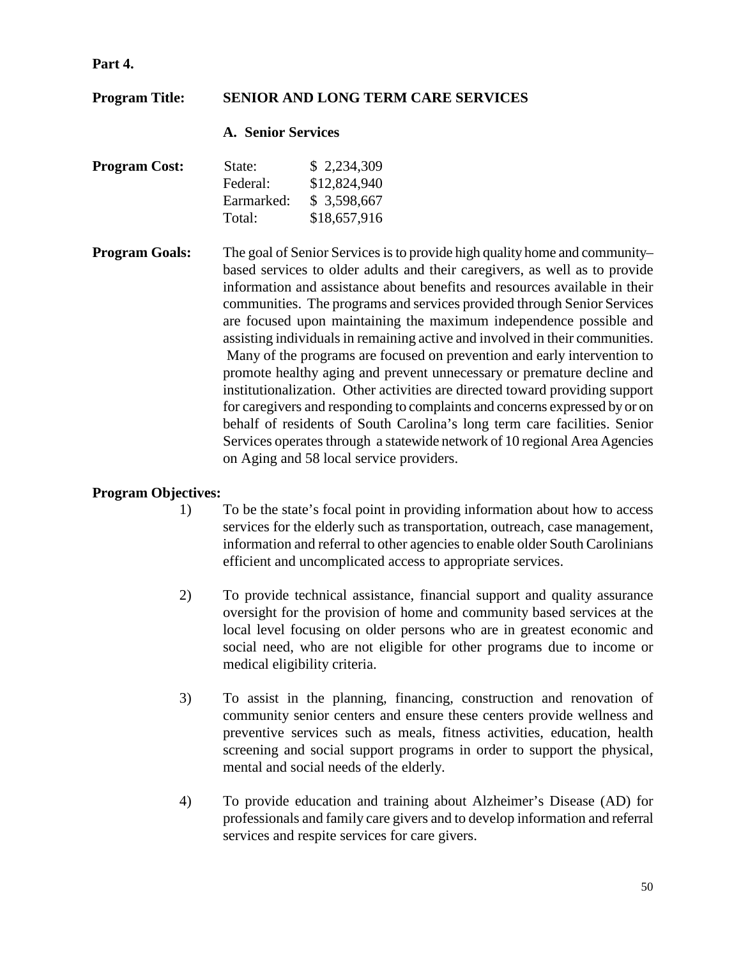#### **Part 4.**

## **Program Title: SENIOR AND LONG TERM CARE SERVICES**

#### **A. Senior Services**

| <b>Program Cost:</b> | State:     | \$2,234,309  |
|----------------------|------------|--------------|
|                      | Federal:   | \$12,824,940 |
|                      | Earmarked: | \$3,598,667  |
|                      | Total:     | \$18,657,916 |

**Program Goals:** The goal of Senior Services is to provide high quality home and community– based services to older adults and their caregivers, as well as to provide information and assistance about benefits and resources available in their communities. The programs and services provided through Senior Services are focused upon maintaining the maximum independence possible and assisting individuals in remaining active and involved in their communities. Many of the programs are focused on prevention and early intervention to promote healthy aging and prevent unnecessary or premature decline and institutionalization. Other activities are directed toward providing support for caregivers and responding to complaints and concerns expressed by or on behalf of residents of South Carolina's long term care facilities. Senior Services operates through a statewide network of 10 regional Area Agencies on Aging and 58 local service providers.

- 1) To be the state's focal point in providing information about how to access services for the elderly such as transportation, outreach, case management, information and referral to other agencies to enable older South Carolinians efficient and uncomplicated access to appropriate services.
- 2) To provide technical assistance, financial support and quality assurance oversight for the provision of home and community based services at the local level focusing on older persons who are in greatest economic and social need, who are not eligible for other programs due to income or medical eligibility criteria.
- 3) To assist in the planning, financing, construction and renovation of community senior centers and ensure these centers provide wellness and preventive services such as meals, fitness activities, education, health screening and social support programs in order to support the physical, mental and social needs of the elderly.
- 4) To provide education and training about Alzheimer's Disease (AD) for professionals and family care givers and to develop information and referral services and respite services for care givers.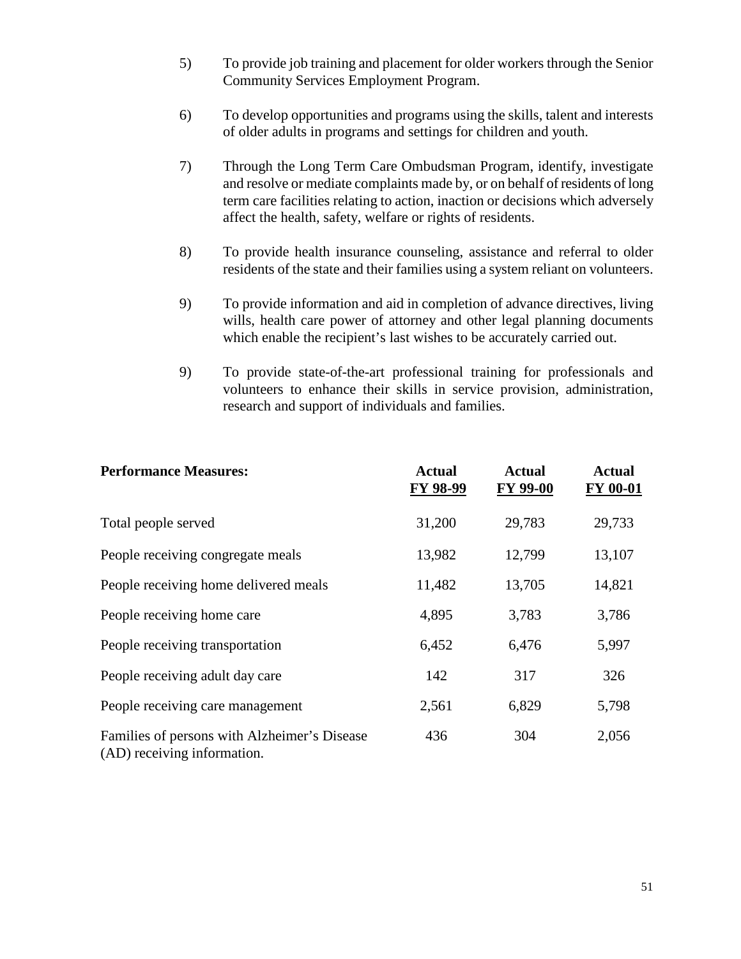- 5) To provide job training and placement for older workers through the Senior Community Services Employment Program.
- 6) To develop opportunities and programs using the skills, talent and interests of older adults in programs and settings for children and youth.
- 7) Through the Long Term Care Ombudsman Program, identify, investigate and resolve or mediate complaints made by, or on behalf of residents of long term care facilities relating to action, inaction or decisions which adversely affect the health, safety, welfare or rights of residents.
- 8) To provide health insurance counseling, assistance and referral to older residents of the state and their families using a system reliant on volunteers.
- 9) To provide information and aid in completion of advance directives, living wills, health care power of attorney and other legal planning documents which enable the recipient's last wishes to be accurately carried out.
- 9) To provide state-of-the-art professional training for professionals and volunteers to enhance their skills in service provision, administration, research and support of individuals and families.

| <b>Performance Measures:</b>                                                | <b>Actual</b><br>FY 98-99 | <b>Actual</b><br>FY 99-00 | <b>Actual</b><br>FY 00-01 |
|-----------------------------------------------------------------------------|---------------------------|---------------------------|---------------------------|
| Total people served                                                         | 31,200                    | 29,783                    | 29,733                    |
| People receiving congregate meals                                           | 13,982                    | 12,799                    | 13,107                    |
| People receiving home delivered meals                                       | 11,482                    | 13,705                    | 14,821                    |
| People receiving home care                                                  | 4,895                     | 3,783                     | 3,786                     |
| People receiving transportation                                             | 6,452                     | 6,476                     | 5,997                     |
| People receiving adult day care                                             | 142                       | 317                       | 326                       |
| People receiving care management                                            | 2,561                     | 6,829                     | 5,798                     |
| Families of persons with Alzheimer's Disease<br>(AD) receiving information. | 436                       | 304                       | 2,056                     |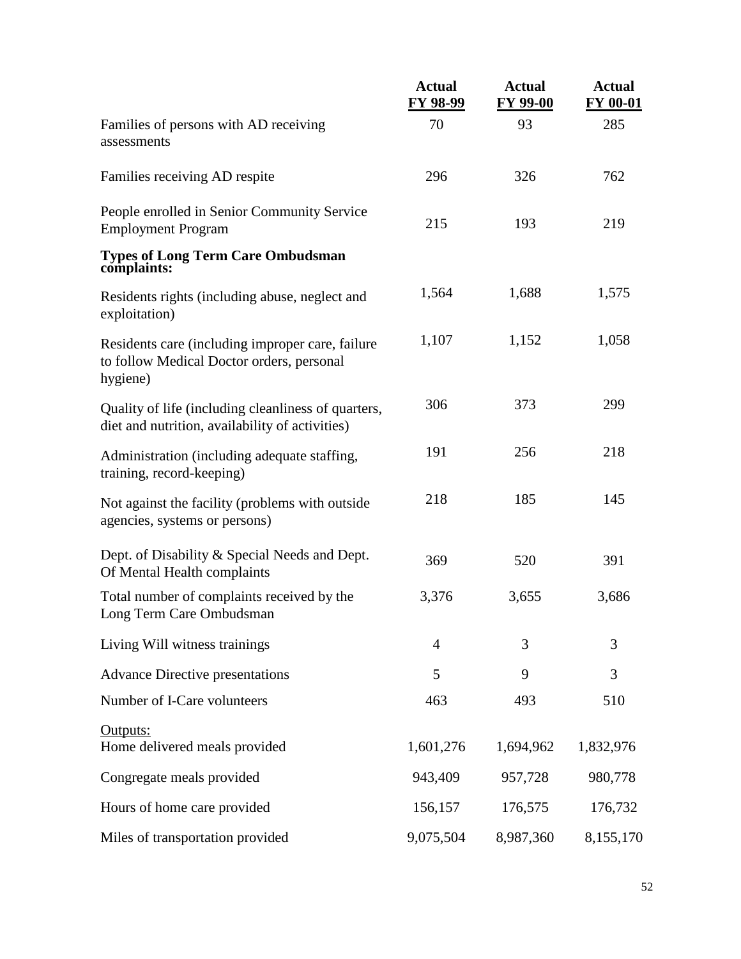|                                                                                                           | <b>Actual</b><br>FY 98-99 | <b>Actual</b><br><b>FY 99-00</b> | <b>Actual</b><br>FY 00-01 |
|-----------------------------------------------------------------------------------------------------------|---------------------------|----------------------------------|---------------------------|
| Families of persons with AD receiving<br>assessments                                                      | 70                        | 93                               | 285                       |
| Families receiving AD respite                                                                             | 296                       | 326                              | 762                       |
| People enrolled in Senior Community Service<br><b>Employment Program</b>                                  | 215                       | 193                              | 219                       |
| <b>Types of Long Term Care Ombudsman</b><br>complaints:                                                   |                           |                                  |                           |
| Residents rights (including abuse, neglect and<br>exploitation)                                           | 1,564                     | 1,688                            | 1,575                     |
| Residents care (including improper care, failure<br>to follow Medical Doctor orders, personal<br>hygiene) | 1,107                     | 1,152                            | 1,058                     |
| Quality of life (including cleanliness of quarters,<br>diet and nutrition, availability of activities)    | 306                       | 373                              | 299                       |
| Administration (including adequate staffing,<br>training, record-keeping)                                 | 191                       | 256                              | 218                       |
| Not against the facility (problems with outside<br>agencies, systems or persons)                          | 218                       | 185                              | 145                       |
| Dept. of Disability & Special Needs and Dept.<br>Of Mental Health complaints                              | 369                       | 520                              | 391                       |
| Total number of complaints received by the<br>Long Term Care Ombudsman                                    | 3,376                     | 3,655                            | 3,686                     |
| Living Will witness trainings                                                                             | 4                         | 3                                | 3                         |
| <b>Advance Directive presentations</b>                                                                    | 5                         | 9                                | 3                         |
| Number of I-Care volunteers                                                                               | 463                       | 493                              | 510                       |
| Outputs:<br>Home delivered meals provided                                                                 | 1,601,276                 | 1,694,962                        | 1,832,976                 |
| Congregate meals provided                                                                                 | 943,409                   | 957,728                          | 980,778                   |
| Hours of home care provided                                                                               | 156,157                   | 176,575                          | 176,732                   |
| Miles of transportation provided                                                                          | 9,075,504                 | 8,987,360                        | 8,155,170                 |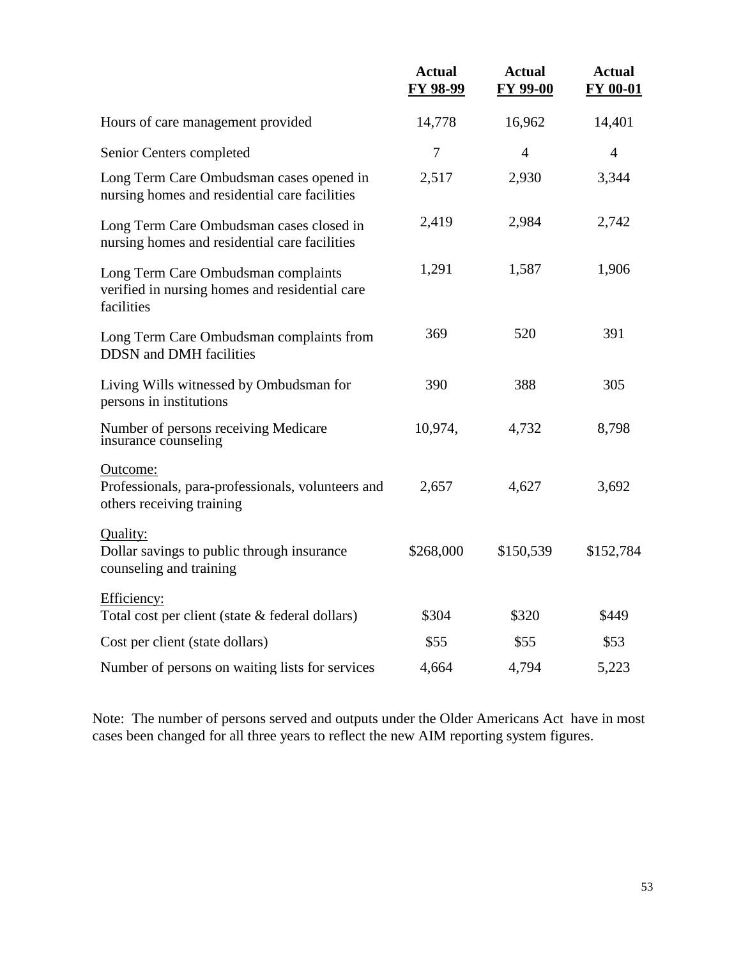|                                                                                                     | <b>Actual</b><br>FY 98-99 | <b>Actual</b><br><b>FY 99-00</b> | <b>Actual</b><br>FY 00-01 |
|-----------------------------------------------------------------------------------------------------|---------------------------|----------------------------------|---------------------------|
| Hours of care management provided                                                                   | 14,778                    | 16,962                           | 14,401                    |
| Senior Centers completed                                                                            | 7                         | $\overline{4}$                   | $\overline{4}$            |
| Long Term Care Ombudsman cases opened in<br>nursing homes and residential care facilities           | 2,517                     | 2,930                            | 3,344                     |
| Long Term Care Ombudsman cases closed in<br>nursing homes and residential care facilities           | 2,419                     | 2,984                            | 2,742                     |
| Long Term Care Ombudsman complaints<br>verified in nursing homes and residential care<br>facilities | 1,291                     | 1,587                            | 1,906                     |
| Long Term Care Ombudsman complaints from<br><b>DDSN</b> and DMH facilities                          | 369                       | 520                              | 391                       |
| Living Wills witnessed by Ombudsman for<br>persons in institutions                                  | 390                       | 388                              | 305                       |
| Number of persons receiving Medicare<br>insurance counseling                                        | 10,974,                   | 4,732                            | 8,798                     |
| Outcome:<br>Professionals, para-professionals, volunteers and<br>others receiving training          | 2,657                     | 4,627                            | 3,692                     |
| Quality:<br>Dollar savings to public through insurance<br>counseling and training                   | \$268,000                 | \$150,539                        | \$152,784                 |
| Efficiency:<br>Total cost per client (state & federal dollars)                                      | \$304                     | \$320                            | \$449                     |
| Cost per client (state dollars)                                                                     | \$55                      | \$55                             | \$53                      |
| Number of persons on waiting lists for services                                                     | 4,664                     | 4,794                            | 5,223                     |

Note: The number of persons served and outputs under the Older Americans Act have in most cases been changed for all three years to reflect the new AIM reporting system figures.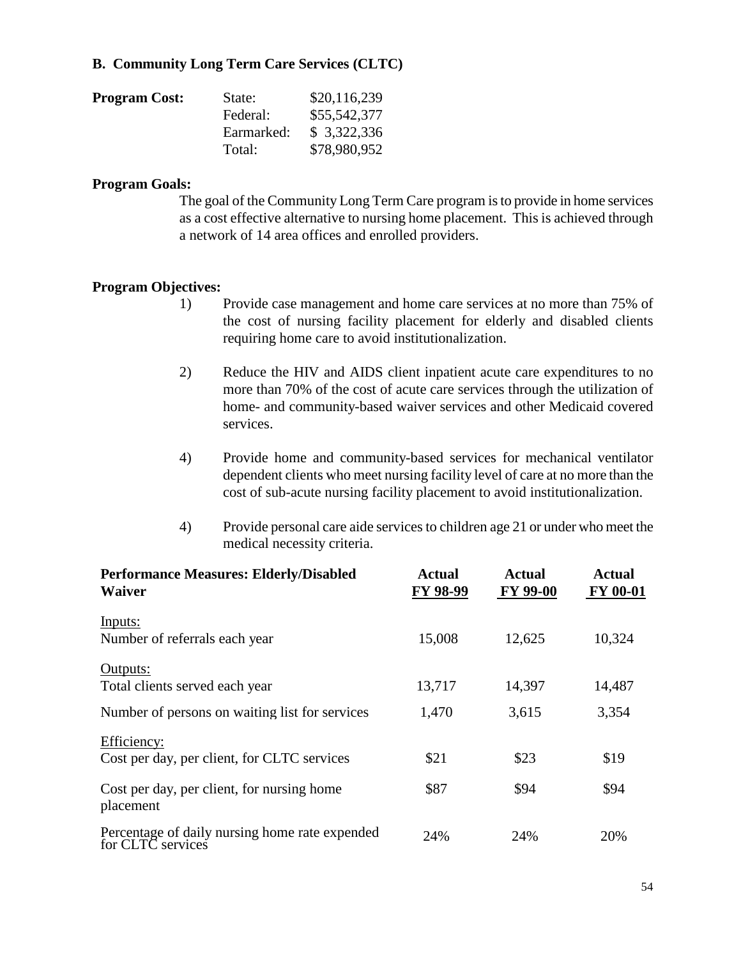## **B. Community Long Term Care Services (CLTC)**

| <b>Program Cost:</b> | State:     | \$20,116,239 |
|----------------------|------------|--------------|
|                      | Federal:   | \$55,542,377 |
|                      | Earmarked: | \$3,322,336  |
|                      | Total:     | \$78,980,952 |

#### **Program Goals:**

The goal of the Community Long Term Care program is to provide in home services as a cost effective alternative to nursing home placement. This is achieved through a network of 14 area offices and enrolled providers.

- 1) Provide case management and home care services at no more than 75% of the cost of nursing facility placement for elderly and disabled clients requiring home care to avoid institutionalization.
- 2) Reduce the HIV and AIDS client inpatient acute care expenditures to no more than 70% of the cost of acute care services through the utilization of home- and community-based waiver services and other Medicaid covered services.
- 4) Provide home and community-based services for mechanical ventilator dependent clients who meet nursing facility level of care at no more than the cost of sub-acute nursing facility placement to avoid institutionalization.
- 4) Provide personal care aide services to children age 21 or under who meet the medical necessity criteria.

| <b>Performance Measures: Elderly/Disabled</b><br><b>Waiver</b>      | <b>Actual</b><br>FY 98-99 | <b>Actual</b><br><b>FY 99-00</b> | <b>Actual</b><br><b>FY 00-01</b> |  |
|---------------------------------------------------------------------|---------------------------|----------------------------------|----------------------------------|--|
| Inputs:                                                             |                           |                                  |                                  |  |
| Number of referrals each year                                       | 15,008                    | 12,625                           | 10,324                           |  |
| Outputs:                                                            |                           |                                  |                                  |  |
| Total clients served each year                                      | 13,717                    | 14,397                           | 14,487                           |  |
| Number of persons on waiting list for services                      | 1,470                     | 3,615                            | 3,354                            |  |
| Efficiency:                                                         |                           |                                  |                                  |  |
| Cost per day, per client, for CLTC services                         | \$21                      | \$23                             | \$19                             |  |
| Cost per day, per client, for nursing home<br>placement             | \$87                      | \$94                             | \$94                             |  |
| Percentage of daily nursing home rate expended<br>for CLTC services | 24%                       | 24%                              | 20%                              |  |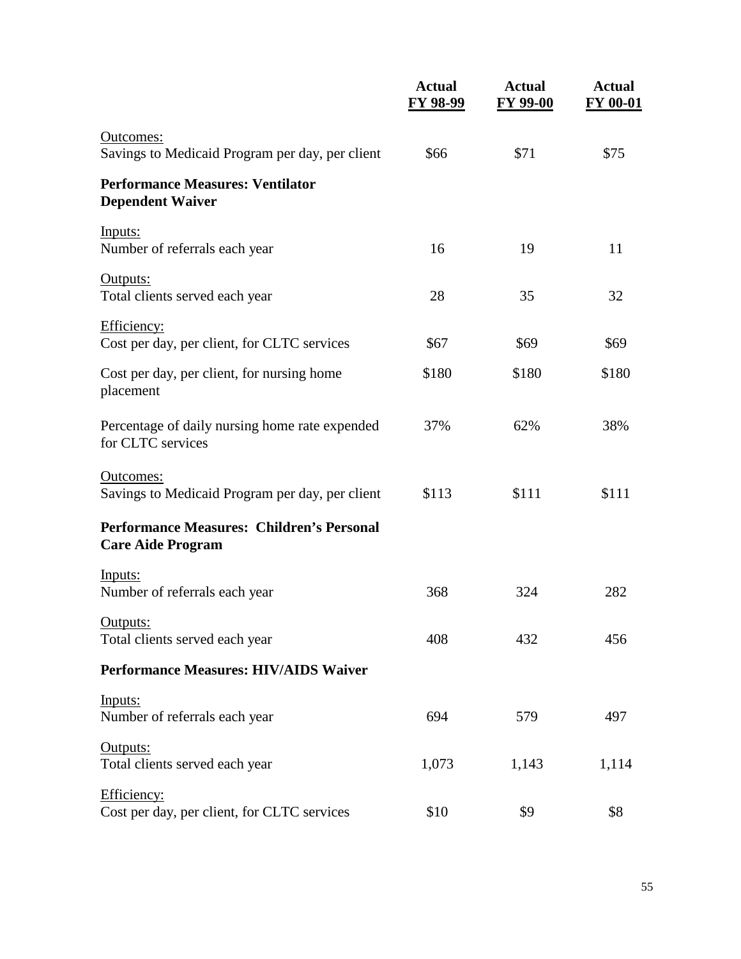|                                                                              | <b>Actual</b><br><b>FY 98-99</b> | <b>Actual</b><br><b>FY 99-00</b> | <b>Actual</b><br>FY 00-01 |
|------------------------------------------------------------------------------|----------------------------------|----------------------------------|---------------------------|
| Outcomes:<br>Savings to Medicaid Program per day, per client                 | \$66                             | \$71                             | \$75                      |
| <b>Performance Measures: Ventilator</b><br><b>Dependent Waiver</b>           |                                  |                                  |                           |
| Inputs:<br>Number of referrals each year                                     | 16                               | 19                               | 11                        |
| Outputs:<br>Total clients served each year                                   | 28                               | 35                               | 32                        |
| Efficiency:<br>Cost per day, per client, for CLTC services                   | \$67                             | \$69                             | \$69                      |
| Cost per day, per client, for nursing home<br>placement                      | \$180                            | \$180                            | \$180                     |
| Percentage of daily nursing home rate expended<br>for CLTC services          | 37%                              | 62%                              | 38%                       |
| Outcomes:<br>Savings to Medicaid Program per day, per client                 | \$113                            | \$111                            | \$111                     |
| <b>Performance Measures: Children's Personal</b><br><b>Care Aide Program</b> |                                  |                                  |                           |
| Inputs:<br>Number of referrals each year                                     | 368                              | 324                              | 282                       |
| Outputs:<br>Total clients served each year                                   | 408                              | 432                              | 456                       |
| <b>Performance Measures: HIV/AIDS Waiver</b>                                 |                                  |                                  |                           |
| Inputs:<br>Number of referrals each year                                     | 694                              | 579                              | 497                       |
| Outputs:<br>Total clients served each year                                   | 1,073                            | 1,143                            | 1,114                     |
| Efficiency:<br>Cost per day, per client, for CLTC services                   | \$10                             | \$9                              | \$8                       |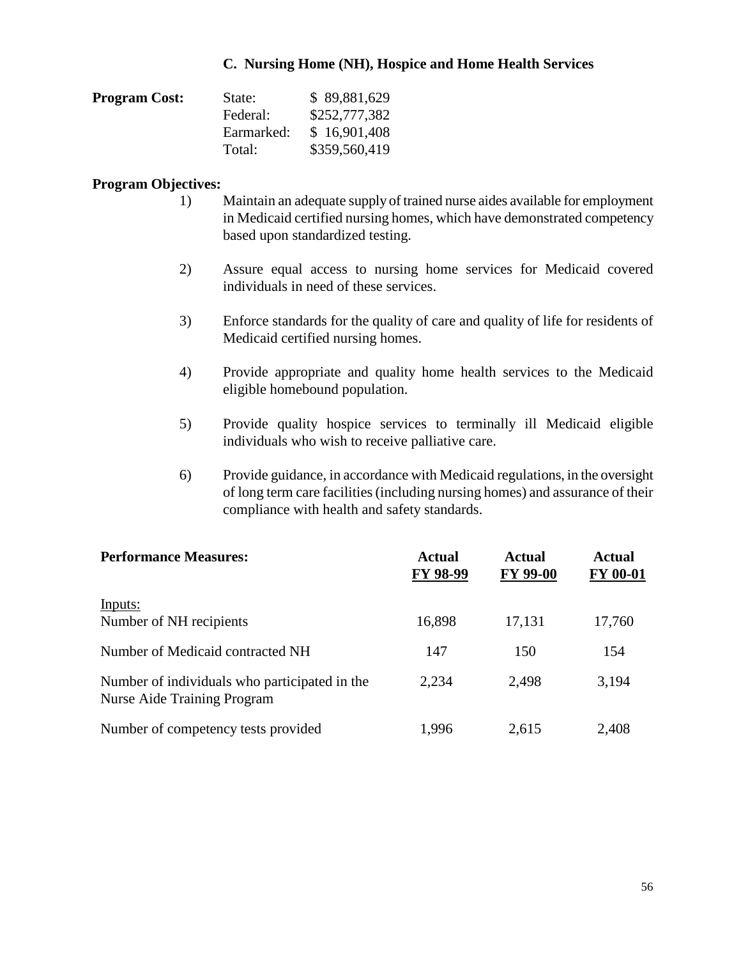#### **C. Nursing Home (NH), Hospice and Home Health Services**

| <b>Program Cost:</b> | State:     | \$89,881,629  |
|----------------------|------------|---------------|
|                      | Federal:   | \$252,777,382 |
|                      | Earmarked: | \$16,901,408  |
|                      | Total:     | \$359,560,419 |

- 1) Maintain an adequate supply of trained nurse aides available for employment in Medicaid certified nursing homes, which have demonstrated competency based upon standardized testing.
- 2) Assure equal access to nursing home services for Medicaid covered individuals in need of these services.
- 3) Enforce standards for the quality of care and quality of life for residents of Medicaid certified nursing homes.
- 4) Provide appropriate and quality home health services to the Medicaid eligible homebound population.
- 5) Provide quality hospice services to terminally ill Medicaid eligible individuals who wish to receive palliative care.
- 6) Provide guidance, in accordance with Medicaid regulations, in the oversight of long term care facilities (including nursing homes) and assurance of their compliance with health and safety standards.

| <b>Performance Measures:</b>                                                        | <b>Actual</b><br>FY 98-99 | <b>Actual</b><br><b>FY 99-00</b> | <b>Actual</b><br><b>FY 00-01</b> |  |
|-------------------------------------------------------------------------------------|---------------------------|----------------------------------|----------------------------------|--|
| Inputs:<br>Number of NH recipients                                                  | 16,898                    | 17,131                           | 17,760                           |  |
| Number of Medicaid contracted NH                                                    | 147                       | 150                              | 154                              |  |
| Number of individuals who participated in the<br><b>Nurse Aide Training Program</b> | 2,234                     | 2,498                            | 3,194                            |  |
| Number of competency tests provided                                                 | 1,996                     | 2,615                            | 2,408                            |  |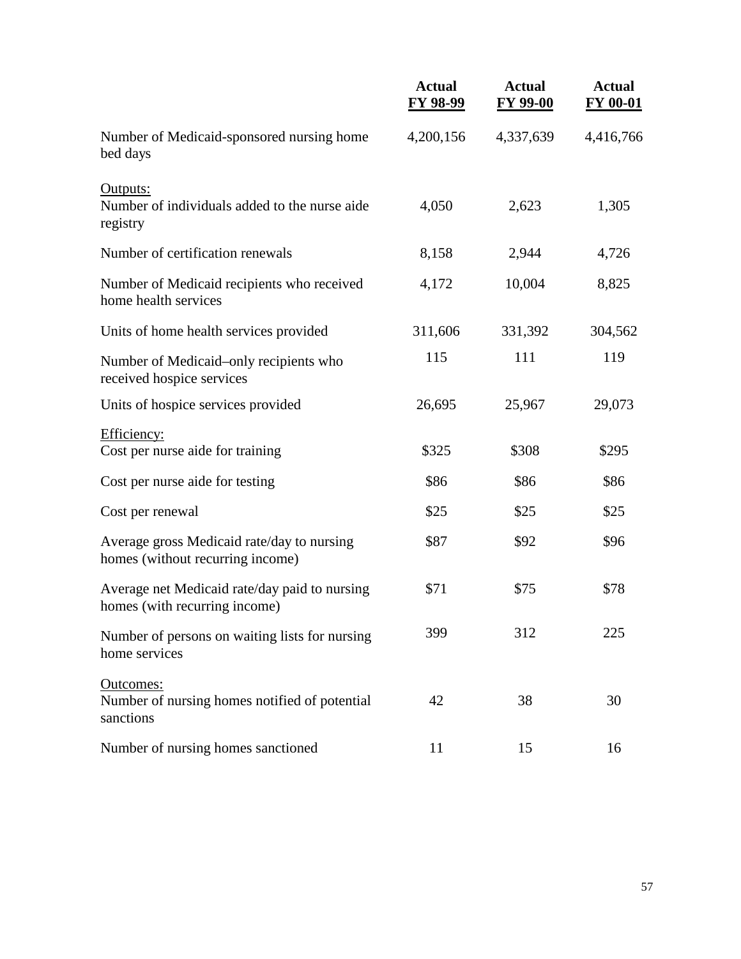|                                                                                | <b>Actual</b><br><b>FY 98-99</b> | <b>Actual</b><br><b>FY 99-00</b> | <b>Actual</b><br><b>FY 00-01</b> |
|--------------------------------------------------------------------------------|----------------------------------|----------------------------------|----------------------------------|
| Number of Medicaid-sponsored nursing home<br>bed days                          | 4,200,156                        | 4,337,639                        | 4,416,766                        |
| Outputs:<br>Number of individuals added to the nurse aide<br>registry          | 4,050                            | 2,623                            | 1,305                            |
| Number of certification renewals                                               | 8,158                            | 2,944                            | 4,726                            |
| Number of Medicaid recipients who received<br>home health services             | 4,172                            | 10,004                           | 8,825                            |
| Units of home health services provided                                         | 311,606                          | 331,392                          | 304,562                          |
| Number of Medicaid–only recipients who<br>received hospice services            | 115                              | 111                              | 119                              |
| Units of hospice services provided                                             | 26,695                           | 25,967                           | 29,073                           |
| Efficiency:<br>Cost per nurse aide for training                                | \$325                            | \$308                            | \$295                            |
| Cost per nurse aide for testing                                                | \$86                             | \$86                             | \$86                             |
| Cost per renewal                                                               | \$25                             | \$25                             | \$25                             |
| Average gross Medicaid rate/day to nursing<br>homes (without recurring income) | \$87                             | \$92                             | \$96                             |
| Average net Medicaid rate/day paid to nursing<br>homes (with recurring income) | \$71                             | \$75                             | \$78                             |
| Number of persons on waiting lists for nursing<br>home services                | 399                              | 312                              | 225                              |
| Outcomes:<br>Number of nursing homes notified of potential<br>sanctions        | 42                               | 38                               | 30                               |
| Number of nursing homes sanctioned                                             | 11                               | 15                               | 16                               |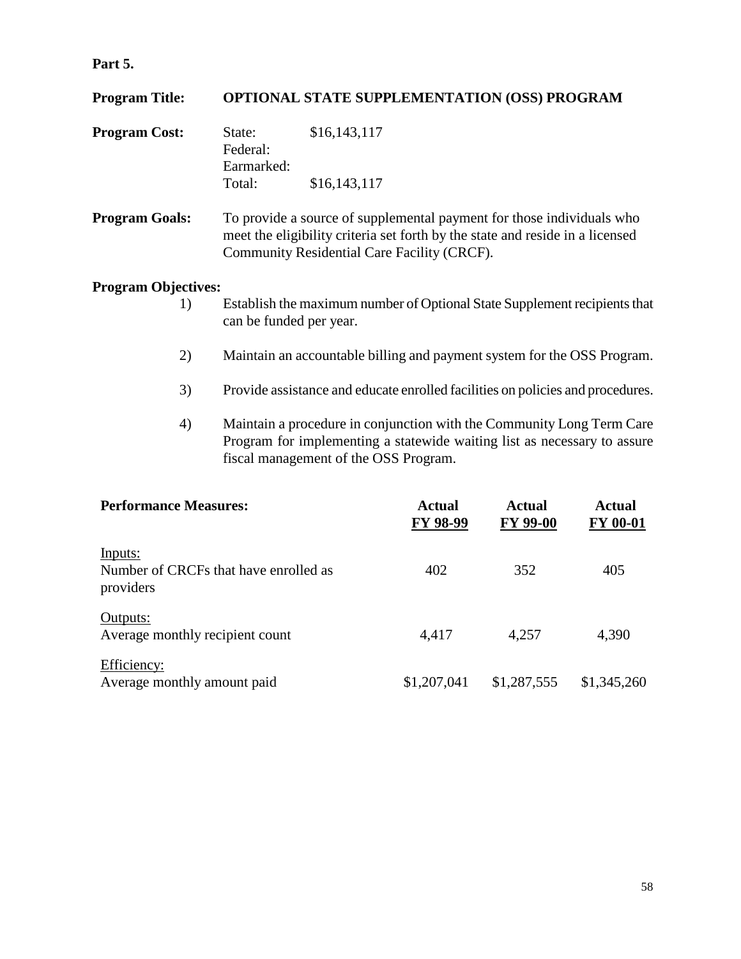## **Part 5.**

| <b>Program Title:</b> |                                                                                                                                                                                                       | <b>OPTIONAL STATE SUPPLEMENTATION (OSS) PROGRAM</b> |  |  |
|-----------------------|-------------------------------------------------------------------------------------------------------------------------------------------------------------------------------------------------------|-----------------------------------------------------|--|--|
| <b>Program Cost:</b>  | State:<br>Federal:<br>Earmarked:                                                                                                                                                                      | \$16,143,117                                        |  |  |
|                       | Total:                                                                                                                                                                                                | \$16, 143, 117                                      |  |  |
| <b>Program Goals:</b> | To provide a source of supplemental payment for those individuals who<br>meet the eligibility criteria set forth by the state and reside in a licensed<br>Community Residential Care Facility (CRCF). |                                                     |  |  |

- 1) Establish the maximum number of Optional State Supplement recipients that can be funded per year.
- 2) Maintain an accountable billing and payment system for the OSS Program.
- 3) Provide assistance and educate enrolled facilities on policies and procedures.
- 4) Maintain a procedure in conjunction with the Community Long Term Care Program for implementing a statewide waiting list as necessary to assure fiscal management of the OSS Program.

| <b>Performance Measures:</b>                                  | Actual<br>FY 98-99 | Actual<br><b>FY 99-00</b> | <b>Actual</b><br><b>FY 00-01</b> |  |
|---------------------------------------------------------------|--------------------|---------------------------|----------------------------------|--|
| Inputs:<br>Number of CRCFs that have enrolled as<br>providers | 402                | 352                       | 405                              |  |
| Outputs:<br>Average monthly recipient count                   | 4,417              | 4,257                     | 4,390                            |  |
| Efficiency:<br>Average monthly amount paid                    | \$1,207,041        | \$1,287,555               | \$1,345,260                      |  |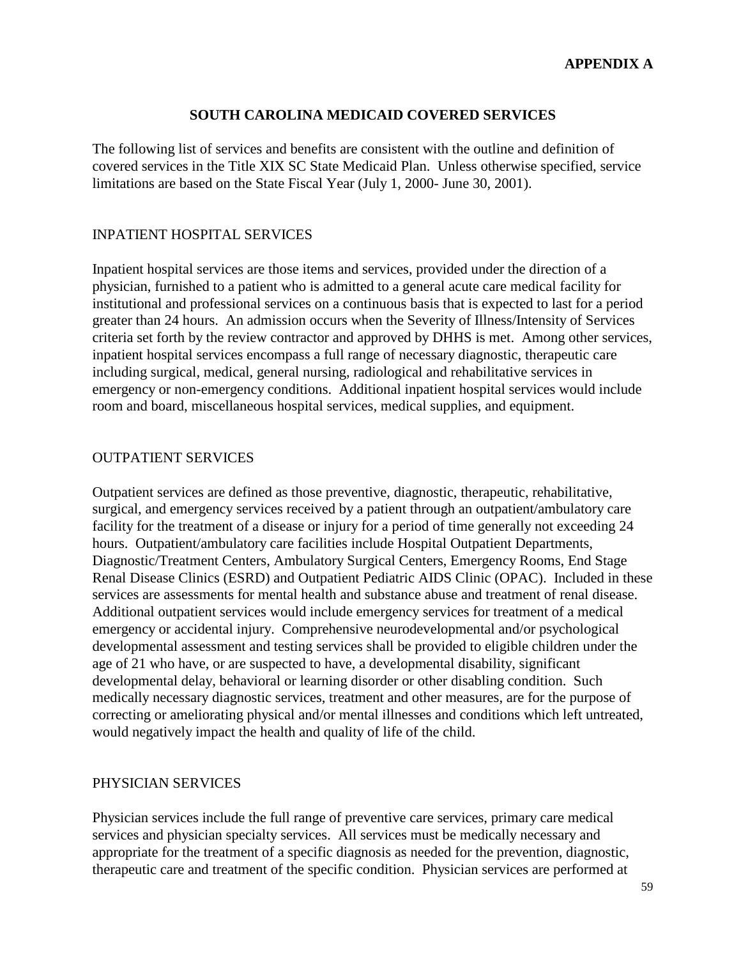#### **SOUTH CAROLINA MEDICAID COVERED SERVICES**

The following list of services and benefits are consistent with the outline and definition of covered services in the Title XIX SC State Medicaid Plan. Unless otherwise specified, service limitations are based on the State Fiscal Year (July 1, 2000- June 30, 2001).

#### INPATIENT HOSPITAL SERVICES

Inpatient hospital services are those items and services, provided under the direction of a physician, furnished to a patient who is admitted to a general acute care medical facility for institutional and professional services on a continuous basis that is expected to last for a period greater than 24 hours. An admission occurs when the Severity of Illness/Intensity of Services criteria set forth by the review contractor and approved by DHHS is met. Among other services, inpatient hospital services encompass a full range of necessary diagnostic, therapeutic care including surgical, medical, general nursing, radiological and rehabilitative services in emergency or non-emergency conditions. Additional inpatient hospital services would include room and board, miscellaneous hospital services, medical supplies, and equipment.

#### OUTPATIENT SERVICES

Outpatient services are defined as those preventive, diagnostic, therapeutic, rehabilitative, surgical, and emergency services received by a patient through an outpatient/ambulatory care facility for the treatment of a disease or injury for a period of time generally not exceeding 24 hours. Outpatient/ambulatory care facilities include Hospital Outpatient Departments, Diagnostic/Treatment Centers, Ambulatory Surgical Centers, Emergency Rooms, End Stage Renal Disease Clinics (ESRD) and Outpatient Pediatric AIDS Clinic (OPAC). Included in these services are assessments for mental health and substance abuse and treatment of renal disease. Additional outpatient services would include emergency services for treatment of a medical emergency or accidental injury. Comprehensive neurodevelopmental and/or psychological developmental assessment and testing services shall be provided to eligible children under the age of 21 who have, or are suspected to have, a developmental disability, significant developmental delay, behavioral or learning disorder or other disabling condition. Such medically necessary diagnostic services, treatment and other measures, are for the purpose of correcting or ameliorating physical and/or mental illnesses and conditions which left untreated, would negatively impact the health and quality of life of the child.

#### PHYSICIAN SERVICES

Physician services include the full range of preventive care services, primary care medical services and physician specialty services. All services must be medically necessary and appropriate for the treatment of a specific diagnosis as needed for the prevention, diagnostic, therapeutic care and treatment of the specific condition. Physician services are performed at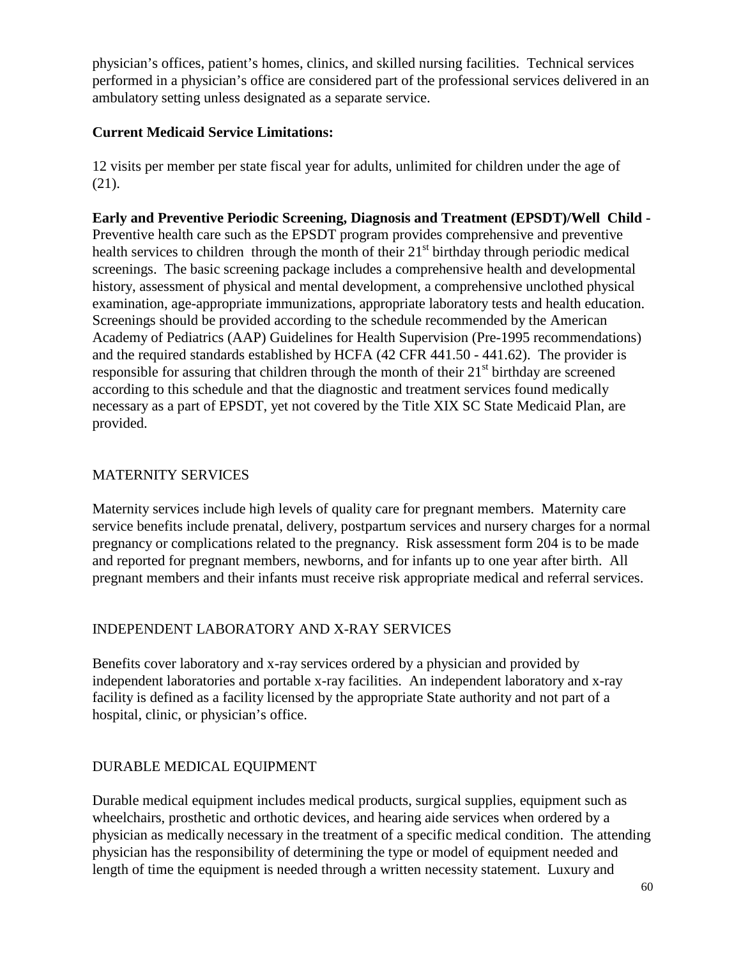physician's offices, patient's homes, clinics, and skilled nursing facilities. Technical services performed in a physician's office are considered part of the professional services delivered in an ambulatory setting unless designated as a separate service.

## **Current Medicaid Service Limitations:**

12 visits per member per state fiscal year for adults, unlimited for children under the age of (21).

**Early and Preventive Periodic Screening, Diagnosis and Treatment (EPSDT)/Well Child -** Preventive health care such as the EPSDT program provides comprehensive and preventive health services to children through the month of their  $21<sup>st</sup>$  birthday through periodic medical screenings. The basic screening package includes a comprehensive health and developmental history, assessment of physical and mental development, a comprehensive unclothed physical examination, age-appropriate immunizations, appropriate laboratory tests and health education. Screenings should be provided according to the schedule recommended by the American Academy of Pediatrics (AAP) Guidelines for Health Supervision (Pre-1995 recommendations) and the required standards established by HCFA (42 CFR 441.50 - 441.62). The provider is responsible for assuring that children through the month of their  $21<sup>st</sup>$  birthday are screened according to this schedule and that the diagnostic and treatment services found medically necessary as a part of EPSDT, yet not covered by the Title XIX SC State Medicaid Plan, are provided.

## MATERNITY SERVICES

Maternity services include high levels of quality care for pregnant members. Maternity care service benefits include prenatal, delivery, postpartum services and nursery charges for a normal pregnancy or complications related to the pregnancy. Risk assessment form 204 is to be made and reported for pregnant members, newborns, and for infants up to one year after birth. All pregnant members and their infants must receive risk appropriate medical and referral services.

## INDEPENDENT LABORATORY AND X-RAY SERVICES

Benefits cover laboratory and x-ray services ordered by a physician and provided by independent laboratories and portable x-ray facilities. An independent laboratory and x-ray facility is defined as a facility licensed by the appropriate State authority and not part of a hospital, clinic, or physician's office.

## DURABLE MEDICAL EQUIPMENT

Durable medical equipment includes medical products, surgical supplies, equipment such as wheelchairs, prosthetic and orthotic devices, and hearing aide services when ordered by a physician as medically necessary in the treatment of a specific medical condition. The attending physician has the responsibility of determining the type or model of equipment needed and length of time the equipment is needed through a written necessity statement. Luxury and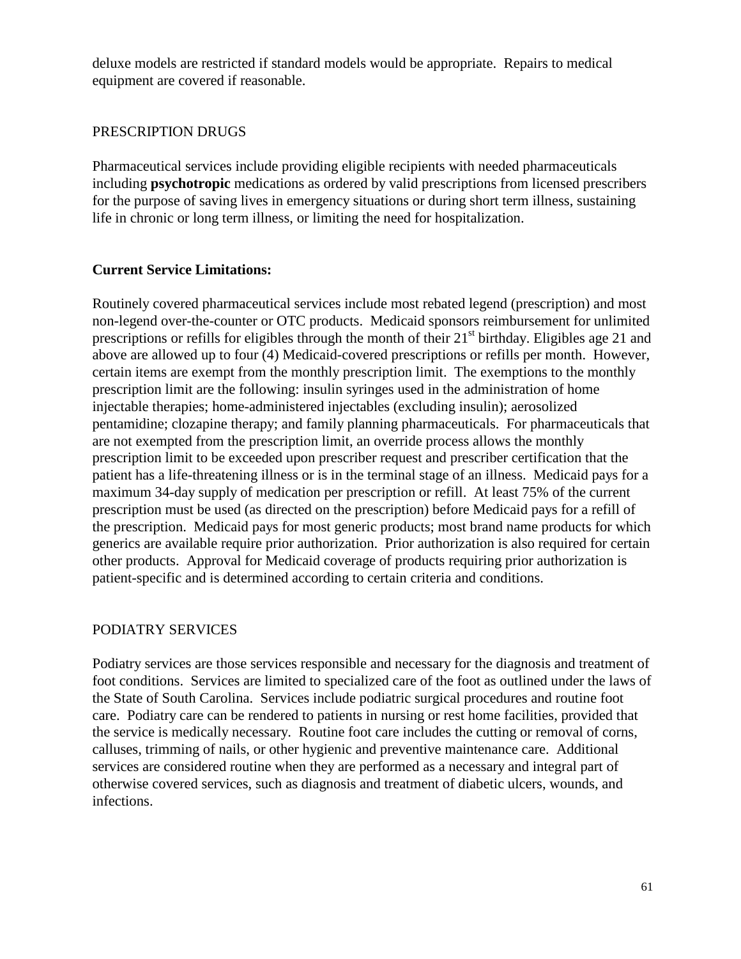deluxe models are restricted if standard models would be appropriate. Repairs to medical equipment are covered if reasonable.

#### PRESCRIPTION DRUGS

Pharmaceutical services include providing eligible recipients with needed pharmaceuticals including **psychotropic** medications as ordered by valid prescriptions from licensed prescribers for the purpose of saving lives in emergency situations or during short term illness, sustaining life in chronic or long term illness, or limiting the need for hospitalization.

#### **Current Service Limitations:**

Routinely covered pharmaceutical services include most rebated legend (prescription) and most non-legend over-the-counter or OTC products. Medicaid sponsors reimbursement for unlimited prescriptions or refills for eligibles through the month of their  $21<sup>st</sup>$  birthday. Eligibles age 21 and above are allowed up to four (4) Medicaid-covered prescriptions or refills per month. However, certain items are exempt from the monthly prescription limit. The exemptions to the monthly prescription limit are the following: insulin syringes used in the administration of home injectable therapies; home-administered injectables (excluding insulin); aerosolized pentamidine; clozapine therapy; and family planning pharmaceuticals. For pharmaceuticals that are not exempted from the prescription limit, an override process allows the monthly prescription limit to be exceeded upon prescriber request and prescriber certification that the patient has a life-threatening illness or is in the terminal stage of an illness. Medicaid pays for a maximum 34-day supply of medication per prescription or refill. At least 75% of the current prescription must be used (as directed on the prescription) before Medicaid pays for a refill of the prescription. Medicaid pays for most generic products; most brand name products for which generics are available require prior authorization. Prior authorization is also required for certain other products. Approval for Medicaid coverage of products requiring prior authorization is patient-specific and is determined according to certain criteria and conditions.

#### PODIATRY SERVICES

Podiatry services are those services responsible and necessary for the diagnosis and treatment of foot conditions. Services are limited to specialized care of the foot as outlined under the laws of the State of South Carolina. Services include podiatric surgical procedures and routine foot care. Podiatry care can be rendered to patients in nursing or rest home facilities, provided that the service is medically necessary. Routine foot care includes the cutting or removal of corns, calluses, trimming of nails, or other hygienic and preventive maintenance care. Additional services are considered routine when they are performed as a necessary and integral part of otherwise covered services, such as diagnosis and treatment of diabetic ulcers, wounds, and infections.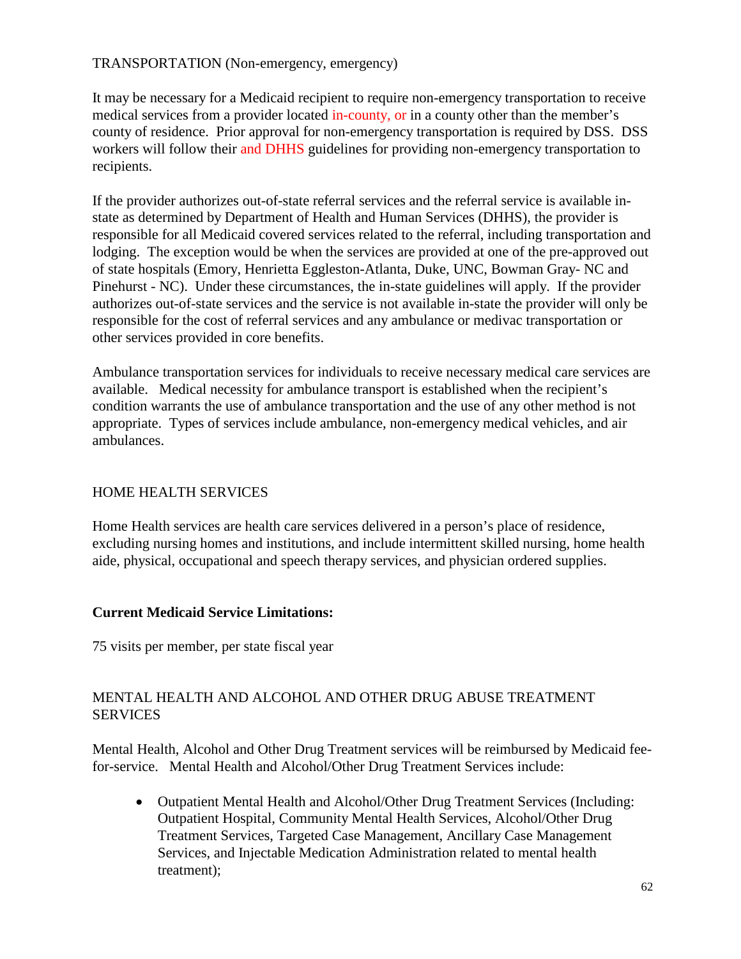#### TRANSPORTATION (Non-emergency, emergency)

It may be necessary for a Medicaid recipient to require non-emergency transportation to receive medical services from a provider located in-county, or in a county other than the member's county of residence. Prior approval for non-emergency transportation is required by DSS. DSS workers will follow their and DHHS guidelines for providing non-emergency transportation to recipients.

If the provider authorizes out-of-state referral services and the referral service is available instate as determined by Department of Health and Human Services (DHHS), the provider is responsible for all Medicaid covered services related to the referral, including transportation and lodging. The exception would be when the services are provided at one of the pre-approved out of state hospitals (Emory, Henrietta Eggleston-Atlanta, Duke, UNC, Bowman Gray- NC and Pinehurst - NC). Under these circumstances, the in-state guidelines will apply. If the provider authorizes out-of-state services and the service is not available in-state the provider will only be responsible for the cost of referral services and any ambulance or medivac transportation or other services provided in core benefits.

Ambulance transportation services for individuals to receive necessary medical care services are available. Medical necessity for ambulance transport is established when the recipient's condition warrants the use of ambulance transportation and the use of any other method is not appropriate. Types of services include ambulance, non-emergency medical vehicles, and air ambulances.

## HOME HEALTH SERVICES

Home Health services are health care services delivered in a person's place of residence, excluding nursing homes and institutions, and include intermittent skilled nursing, home health aide, physical, occupational and speech therapy services, and physician ordered supplies.

#### **Current Medicaid Service Limitations:**

75 visits per member, per state fiscal year

#### MENTAL HEALTH AND ALCOHOL AND OTHER DRUG ABUSE TREATMENT **SERVICES**

Mental Health, Alcohol and Other Drug Treatment services will be reimbursed by Medicaid feefor-service. Mental Health and Alcohol/Other Drug Treatment Services include:

• Outpatient Mental Health and Alcohol/Other Drug Treatment Services (Including: Outpatient Hospital, Community Mental Health Services, Alcohol/Other Drug Treatment Services, Targeted Case Management, Ancillary Case Management Services, and Injectable Medication Administration related to mental health treatment);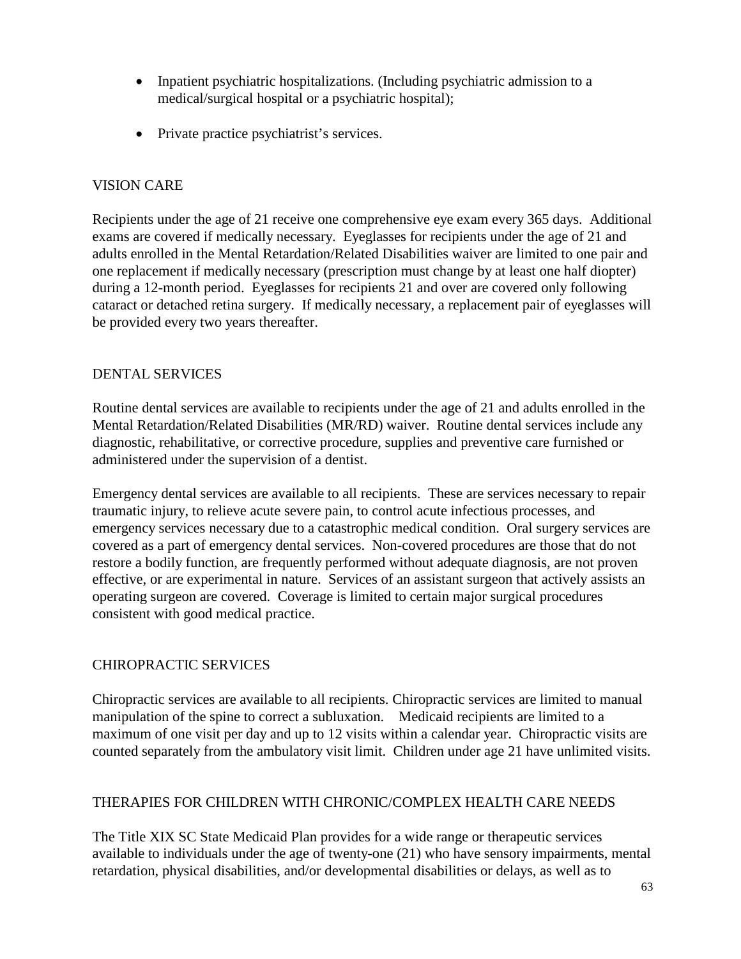- Inpatient psychiatric hospitalizations. (Including psychiatric admission to a medical/surgical hospital or a psychiatric hospital);
- Private practice psychiatrist's services.

#### VISION CARE

Recipients under the age of 21 receive one comprehensive eye exam every 365 days. Additional exams are covered if medically necessary. Eyeglasses for recipients under the age of 21 and adults enrolled in the Mental Retardation/Related Disabilities waiver are limited to one pair and one replacement if medically necessary (prescription must change by at least one half diopter) during a 12-month period. Eyeglasses for recipients 21 and over are covered only following cataract or detached retina surgery. If medically necessary, a replacement pair of eyeglasses will be provided every two years thereafter.

#### DENTAL SERVICES

Routine dental services are available to recipients under the age of 21 and adults enrolled in the Mental Retardation/Related Disabilities (MR/RD) waiver. Routine dental services include any diagnostic, rehabilitative, or corrective procedure, supplies and preventive care furnished or administered under the supervision of a dentist.

Emergency dental services are available to all recipients. These are services necessary to repair traumatic injury, to relieve acute severe pain, to control acute infectious processes, and emergency services necessary due to a catastrophic medical condition. Oral surgery services are covered as a part of emergency dental services. Non-covered procedures are those that do not restore a bodily function, are frequently performed without adequate diagnosis, are not proven effective, or are experimental in nature. Services of an assistant surgeon that actively assists an operating surgeon are covered. Coverage is limited to certain major surgical procedures consistent with good medical practice.

## CHIROPRACTIC SERVICES

Chiropractic services are available to all recipients. Chiropractic services are limited to manual manipulation of the spine to correct a subluxation. Medicaid recipients are limited to a maximum of one visit per day and up to 12 visits within a calendar year. Chiropractic visits are counted separately from the ambulatory visit limit. Children under age 21 have unlimited visits.

#### THERAPIES FOR CHILDREN WITH CHRONIC/COMPLEX HEALTH CARE NEEDS

The Title XIX SC State Medicaid Plan provides for a wide range or therapeutic services available to individuals under the age of twenty-one (21) who have sensory impairments, mental retardation, physical disabilities, and/or developmental disabilities or delays, as well as to